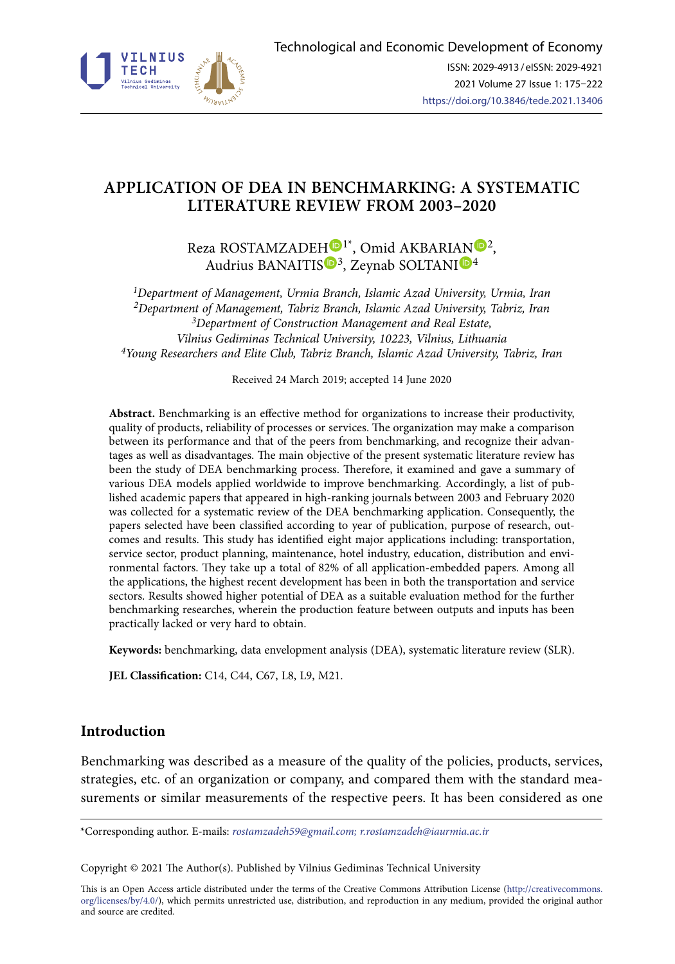

# **APPLICATION OF DEA IN BENCHMARKING: A SYSTEMATIC LITERATURE REVIEW FROM 2003–2020**

Reza ROSTAMZADE[H](https://orcid.org/0000-0002-3302-1209)<sup>D1\*</sup>, Omid AKBARI[AN](https://orcid.org/0000-0003-2579-2422)<sup>D2</sup>, Audrius BANAITIS<sup>®3</sup>, Zeynab SOLTANI<sup>®[4](http://orcid.org/0000-0001-8388-2990)</sup>

*1Department of Management, Urmia Branch, Islamic Azad University, Urmia, Iran 2Department of Management, Tabriz Branch, Islamic Azad University, Tabriz, Iran 3Department of Construction Management and Real Estate, Vilnius Gediminas Technical University, 10223, Vilnius, Lithuania 4Young Researchers and Elite Club, Tabriz Branch, Islamic Azad University, Tabriz, Iran*

Received 24 March 2019; accepted 14 June 2020

**Abstract.** Benchmarking is an effective method for organizations to increase their productivity, quality of products, reliability of processes or services. The organization may make a comparison between its performance and that of the peers from benchmarking, and recognize their advantages as well as disadvantages. The main objective of the present systematic literature review has been the study of DEA benchmarking process. Therefore, it examined and gave a summary of various DEA models applied worldwide to improve benchmarking. Accordingly, a list of published academic papers that appeared in high-ranking journals between 2003 and February 2020 was collected for a systematic review of the DEA benchmarking application. Consequently, the papers selected have been classified according to year of publication, purpose of research, outcomes and results. This study has identified eight major applications including: transportation, service sector, product planning, maintenance, hotel industry, education, distribution and environmental factors. They take up a total of 82% of all application-embedded papers. Among all the applications, the highest recent development has been in both the transportation and service sectors. Results showed higher potential of DEA as a suitable evaluation method for the further benchmarking researches, wherein the production feature between outputs and inputs has been practically lacked or very hard to obtain.

**Keywords:** benchmarking, data envelopment analysis (DEA), systematic literature review (SLR).

**JEL Classification:** C14, C44, C67, L8, L9, M21.

# **Introduction**

Benchmarking was described as a measure of the quality of the policies, products, services, strategies, etc. of an organization or company, and compared them with the standard measurements or similar measurements of the respective peers. It has been considered as one

\*Corresponding author. E-mails: *rostamzadeh59@gmail.com; [r.rostamzadeh@iaurmia.ac.ir](mailto:r.rostamzadeh@iaurmia.ac.ir)*

Copyright © 2021 The Author(s). Published by Vilnius Gediminas Technical University

This is an Open Access article distributed under the terms of the Creative Commons Attribution License ([http://creativecommons.](http://dx.doi.org/10.1016/S0377-2217(03)00091-2) [org/licenses/by/4.0/\)](http://dx.doi.org/10.1016/S0377-2217(03)00091-2), which permits unrestricted use, distribution, and reproduction in any medium, provided the original author and source are credited.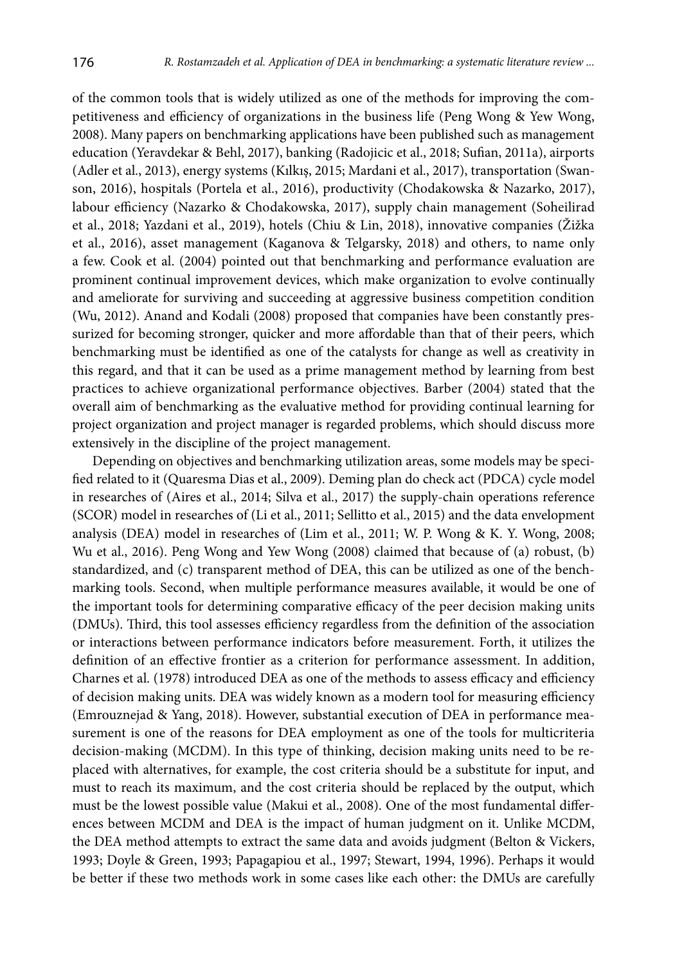of the common tools that is widely utilized as one of the methods for improving the competitiveness and efficiency of organizations in the business life (Peng Wong & Yew Wong, 2008). Many papers on benchmarking applications have been published such as management education (Yeravdekar & Behl, 2017), banking (Radojicic et al., 2018; Sufian, 2011a), airports (Adler et al., 2013), energy systems (Kılkış, 2015; Mardani et al., 2017), transportation (Swanson, 2016), hospitals (Portela et al., 2016), productivity (Chodakowska & Nazarko, 2017), labour efficiency (Nazarko & Chodakowska, 2017), supply chain management (Soheilirad et al., 2018; Yazdani et al., 2019), hotels (Chiu & Lin, 2018), innovative companies (Žižka et al., 2016), asset management (Kaganova & Telgarsky, 2018) and others, to name only a few. Cook et al. (2004) pointed out that benchmarking and performance evaluation are prominent continual improvement devices, which make organization to evolve continually and ameliorate for surviving and succeeding at aggressive business competition condition (Wu, 2012). Anand and Kodali (2008) proposed that companies have been constantly pressurized for becoming stronger, quicker and more affordable than that of their peers, which benchmarking must be identified as one of the catalysts for change as well as creativity in this regard, and that it can be used as a prime management method by learning from best practices to achieve organizational performance objectives. Barber (2004) stated that the overall aim of benchmarking as the evaluative method for providing continual learning for project organization and project manager is regarded problems, which should discuss more extensively in the discipline of the project management.

Depending on objectives and benchmarking utilization areas, some models may be specified related to it (Quaresma Dias et al., 2009). Deming plan do check act (PDCA) cycle model in researches of (Aires et al., 2014; Silva et al., 2017) the supply-chain operations reference (SCOR) model in researches of (Li et al., 2011; Sellitto et al., 2015) and the data envelopment analysis (DEA) model in researches of (Lim et al., 2011; W. P. Wong & K. Y. Wong, 2008; Wu et al., 2016). Peng Wong and Yew Wong (2008) claimed that because of (a) robust, (b) standardized, and (c) transparent method of DEA, this can be utilized as one of the benchmarking tools. Second, when multiple performance measures available, it would be one of the important tools for determining comparative efficacy of the peer decision making units (DMUs). Third, this tool assesses efficiency regardless from the definition of the association or interactions between performance indicators before measurement. Forth, it utilizes the definition of an effective frontier as a criterion for performance assessment. In addition, Charnes et al. (1978) introduced DEA as one of the methods to assess efficacy and efficiency of decision making units. DEA was widely known as a modern tool for measuring efficiency (Emrouznejad & Yang, 2018). However, substantial execution of DEA in performance measurement is one of the reasons for DEA employment as one of the tools for multicriteria decision-making (MCDM). In this type of thinking, decision making units need to be replaced with alternatives, for example, the cost criteria should be a substitute for input, and must to reach its maximum, and the cost criteria should be replaced by the output, which must be the lowest possible value (Makui et al., 2008). One of the most fundamental differences between MCDM and DEA is the impact of human judgment on it. Unlike MCDM, the DEA method attempts to extract the same data and avoids judgment (Belton & Vickers, 1993; Doyle & Green, 1993; Papagapiou et al., 1997; Stewart, 1994, 1996). Perhaps it would be better if these two methods work in some cases like each other: the DMUs are carefully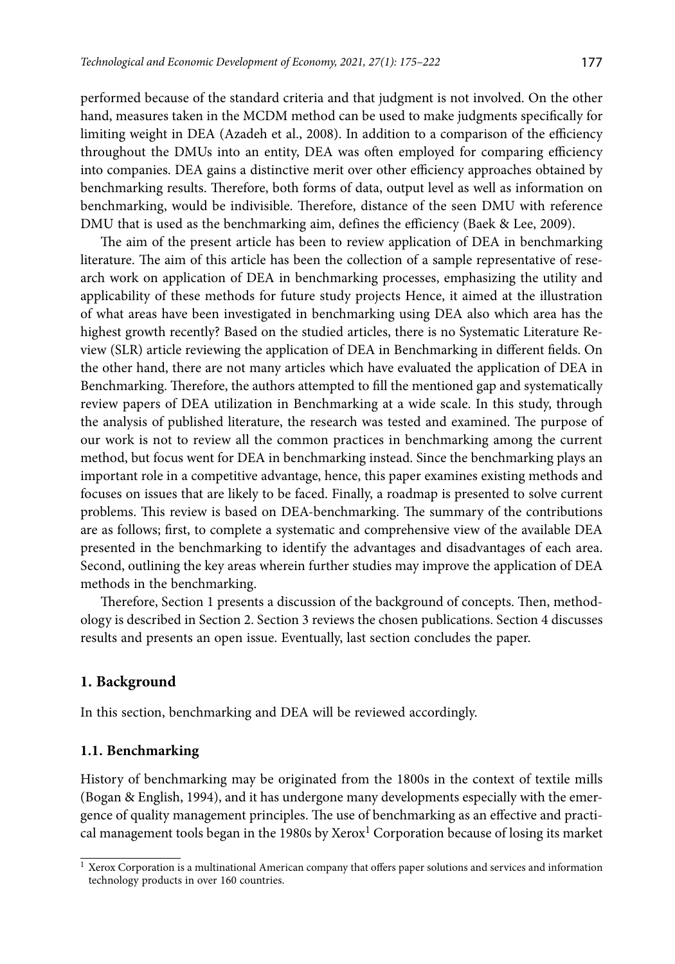performed because of the standard criteria and that judgment is not involved. On the other hand, measures taken in the MCDM method can be used to make judgments specifically for limiting weight in DEA (Azadeh et al., 2008). In addition to a comparison of the efficiency throughout the DMUs into an entity, DEA was often employed for comparing efficiency into companies. DEA gains a distinctive merit over other efficiency approaches obtained by benchmarking results. Therefore, both forms of data, output level as well as information on benchmarking, would be indivisible. Therefore, distance of the seen DMU with reference DMU that is used as the benchmarking aim, defines the efficiency (Baek & Lee, 2009).

The aim of the present article has been to review application of DEA in benchmarking literature. The aim of this article has been the collection of a sample representative of research work on application of DEA in benchmarking processes, emphasizing the utility and applicability of these methods for future study projects Hence, it aimed at the illustration of what areas have been investigated in benchmarking using DEA also which area has the highest growth recently? Based on the studied articles, there is no Systematic Literature Review (SLR) article reviewing the application of DEA in Benchmarking in different fields. On the other hand, there are not many articles which have evaluated the application of DEA in Benchmarking. Therefore, the authors attempted to fill the mentioned gap and systematically review papers of DEA utilization in Benchmarking at a wide scale. In this study, through the analysis of published literature, the research was tested and examined. The purpose of our work is not to review all the common practices in benchmarking among the current method, but focus went for DEA in benchmarking instead. Since the benchmarking plays an important role in a competitive advantage, hence, this paper examines existing methods and focuses on issues that are likely to be faced. Finally, a roadmap is presented to solve current problems. This review is based on DEA-benchmarking. The summary of the contributions are as follows; first, to complete a systematic and comprehensive view of the available DEA presented in the benchmarking to identify the advantages and disadvantages of each area. Second, outlining the key areas wherein further studies may improve the application of DEA methods in the benchmarking.

Therefore, Section 1 presents a discussion of the background of concepts. Then, methodology is described in Section 2. Section 3 reviews the chosen publications. Section 4 discusses results and presents an open issue. Eventually, last section concludes the paper.

### **1. Background**

In this section, benchmarking and DEA will be reviewed accordingly.

### **1.1. Benchmarking**

History of benchmarking may be originated from the 1800s in the context of textile mills (Bogan & English, 1994), and it has undergone many developments especially with the emergence of quality management principles. The use of benchmarking as an effective and practical management tools began in the 1980s by Xerox<sup>1</sup> Corporation because of losing its market

 $<sup>1</sup>$  Xerox Corporation is a multinational American company that offers paper solutions and services and information</sup> technology products in over 160 countries.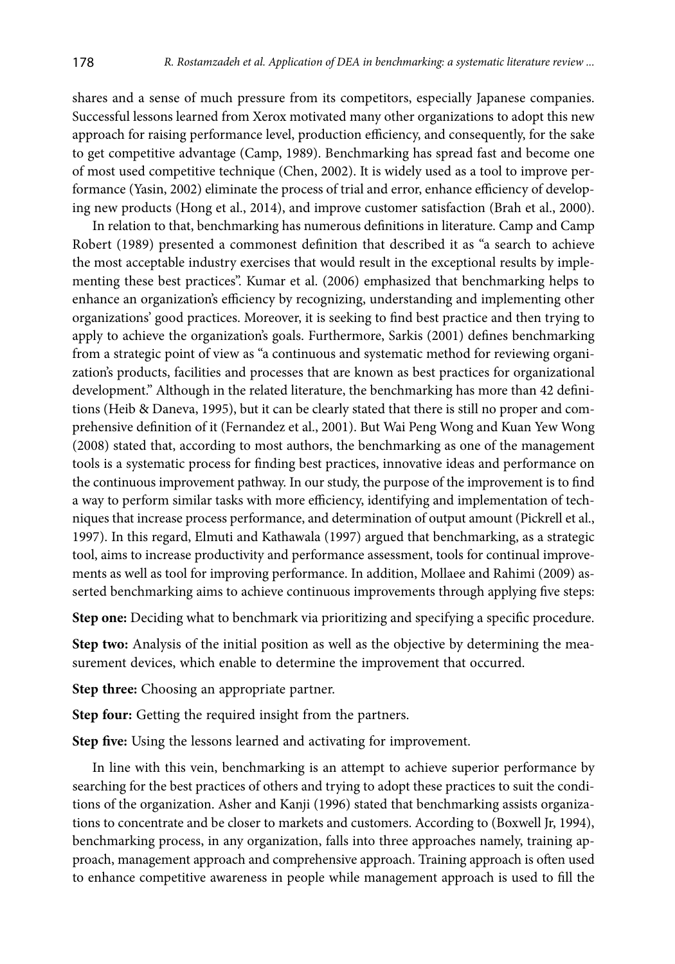shares and a sense of much pressure from its competitors, especially Japanese companies. Successful lessons learned from Xerox motivated many other organizations to adopt this new approach for raising performance level, production efficiency, and consequently, for the sake to get competitive advantage (Camp, 1989). Benchmarking has spread fast and become one of most used competitive technique (Chen, 2002). It is widely used as a tool to improve performance (Yasin, 2002) eliminate the process of trial and error, enhance efficiency of developing new products (Hong et al., 2014), and improve customer satisfaction (Brah et al., 2000).

In relation to that, benchmarking has numerous definitions in literature. Camp and Camp Robert (1989) presented a commonest definition that described it as "a search to achieve the most acceptable industry exercises that would result in the exceptional results by implementing these best practices". Kumar et al. (2006) emphasized that benchmarking helps to enhance an organization's efficiency by recognizing, understanding and implementing other organizations' good practices. Moreover, it is seeking to find best practice and then trying to apply to achieve the organization's goals. Furthermore, Sarkis (2001) defines benchmarking from a strategic point of view as "a continuous and systematic method for reviewing organization's products, facilities and processes that are known as best practices for organizational development." Although in the related literature, the benchmarking has more than 42 definitions (Heib & Daneva, 1995), but it can be clearly stated that there is still no proper and comprehensive definition of it (Fernandez et al., 2001). But Wai Peng Wong and Kuan Yew Wong (2008) stated that, according to most authors, the benchmarking as one of the management tools is a systematic process for finding best practices, innovative ideas and performance on the continuous improvement pathway. In our study, the purpose of the improvement is to find a way to perform similar tasks with more efficiency, identifying and implementation of techniques that increase process performance, and determination of output amount (Pickrell et al., 1997). In this regard, Elmuti and Kathawala (1997) argued that benchmarking, as a strategic tool, aims to increase productivity and performance assessment, tools for continual improvements as well as tool for improving performance. In addition, Mollaee and Rahimi (2009) asserted benchmarking aims to achieve continuous improvements through applying five steps:

**Step one:** Deciding what to benchmark via prioritizing and specifying a specific procedure.

**Step two:** Analysis of the initial position as well as the objective by determining the measurement devices, which enable to determine the improvement that occurred.

**Step three:** Choosing an appropriate partner.

**Step four:** Getting the required insight from the partners.

**Step five:** Using the lessons learned and activating for improvement.

In line with this vein, benchmarking is an attempt to achieve superior performance by searching for the best practices of others and trying to adopt these practices to suit the conditions of the organization. Asher and Kanji (1996) stated that benchmarking assists organizations to concentrate and be closer to markets and customers. According to (Boxwell Jr, 1994), benchmarking process, in any organization, falls into three approaches namely, training approach, management approach and comprehensive approach. Training approach is often used to enhance competitive awareness in people while management approach is used to fill the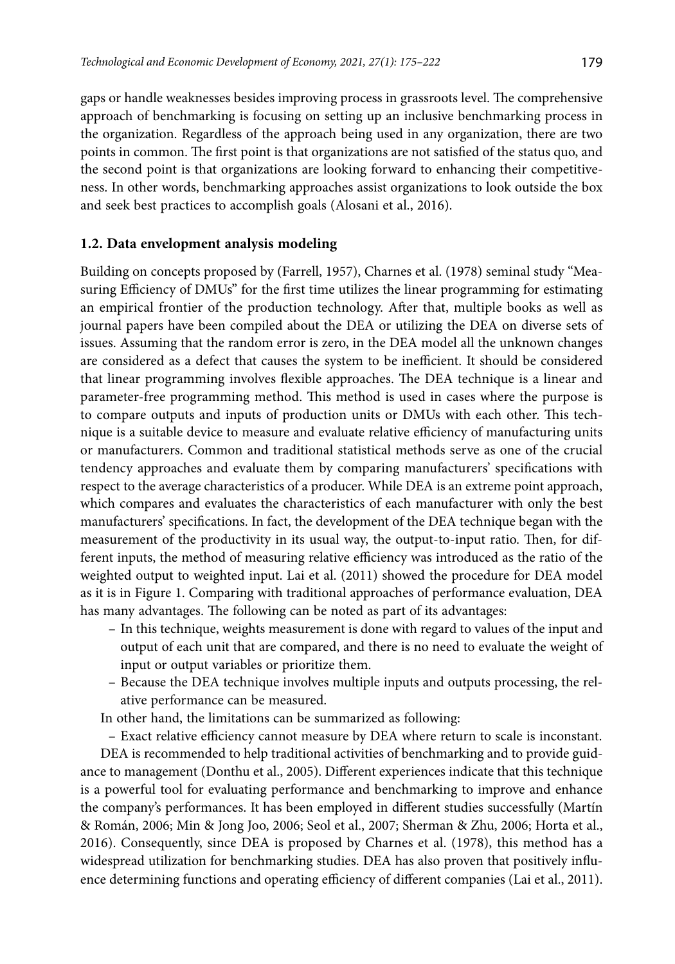gaps or handle weaknesses besides improving process in grassroots level. The comprehensive approach of benchmarking is focusing on setting up an inclusive benchmarking process in the organization. Regardless of the approach being used in any organization, there are two points in common. The first point is that organizations are not satisfied of the status quo, and the second point is that organizations are looking forward to enhancing their competitiveness. In other words, benchmarking approaches assist organizations to look outside the box and seek best practices to accomplish goals (Alosani et al., 2016).

## **1.2. Data envelopment analysis modeling**

Building on concepts proposed by (Farrell, 1957), Charnes et al. (1978) seminal study "Measuring Efficiency of DMUs" for the first time utilizes the linear programming for estimating an empirical frontier of the production technology. After that, multiple books as well as journal papers have been compiled about the DEA or utilizing the DEA on diverse sets of issues. Assuming that the random error is zero, in the DEA model all the unknown changes are considered as a defect that causes the system to be inefficient. It should be considered that linear programming involves flexible approaches. The DEA technique is a linear and parameter-free programming method. This method is used in cases where the purpose is to compare outputs and inputs of production units or DMUs with each other. This technique is a suitable device to measure and evaluate relative efficiency of manufacturing units or manufacturers. Common and traditional statistical methods serve as one of the crucial tendency approaches and evaluate them by comparing manufacturers' specifications with respect to the average characteristics of a producer. While DEA is an extreme point approach, which compares and evaluates the characteristics of each manufacturer with only the best manufacturers' specifications. In fact, the development of the DEA technique began with the measurement of the productivity in its usual way, the output-to-input ratio. Then, for different inputs, the method of measuring relative efficiency was introduced as the ratio of the weighted output to weighted input. Lai et al. (2011) showed the procedure for DEA model as it is in Figure 1. Comparing with traditional approaches of performance evaluation, DEA has many advantages. The following can be noted as part of its advantages:

- In this technique, weights measurement is done with regard to values of the input and output of each unit that are compared, and there is no need to evaluate the weight of input or output variables or prioritize them.
- Because the DEA technique involves multiple inputs and outputs processing, the relative performance can be measured.

In other hand, the limitations can be summarized as following:

– Exact relative efficiency cannot measure by DEA where return to scale is inconstant. DEA is recommended to help traditional activities of benchmarking and to provide guidance to management (Donthu et al., 2005). Different experiences indicate that this technique is a powerful tool for evaluating performance and benchmarking to improve and enhance the company's performances. It has been employed in different studies successfully (Martín & Román, 2006; Min & Jong Joo, 2006; Seol et al., 2007; Sherman & Zhu, 2006; Horta et al., 2016). Consequently, since DEA is proposed by Charnes et al. (1978), this method has a widespread utilization for benchmarking studies. DEA has also proven that positively influence determining functions and operating efficiency of different companies (Lai et al., 2011).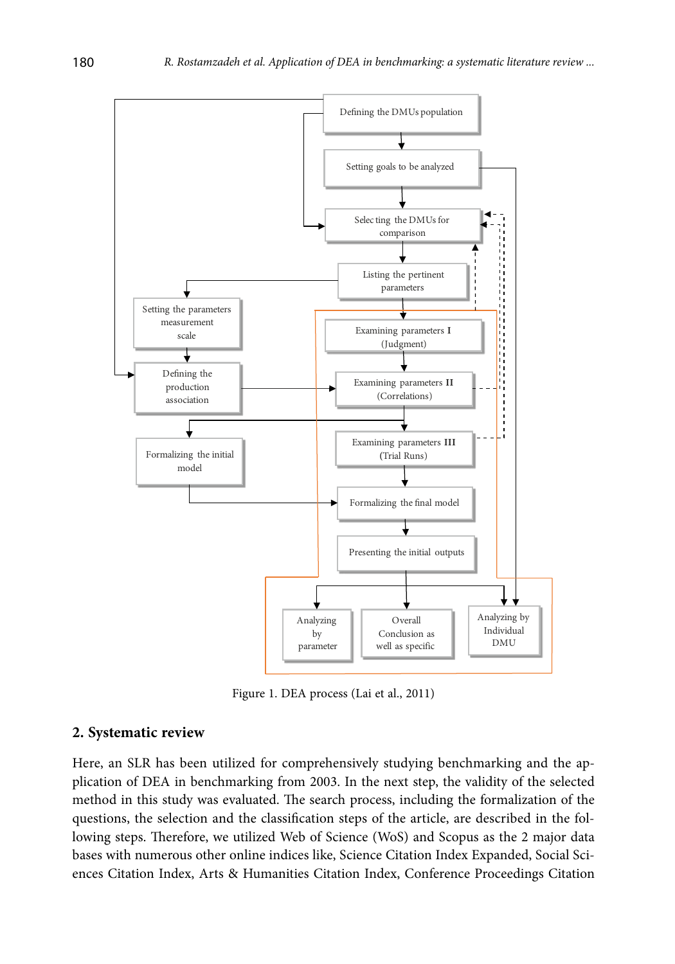

Figure 1. DEA process (Lai et al., 2011)

## **2. Systematic review**

Here, an SLR has been utilized for comprehensively studying benchmarking and the application of DEA in benchmarking from 2003. In the next step, the validity of the selected method in this study was evaluated. The search process, including the formalization of the questions, the selection and the classification steps of the article, are described in the following steps. Therefore, we utilized Web of Science (WoS) and Scopus as the 2 major data bases with numerous other online indices like, Science Citation Index Expanded, Social Sciences Citation Index, Arts & Humanities Citation Index, Conference Proceedings Citation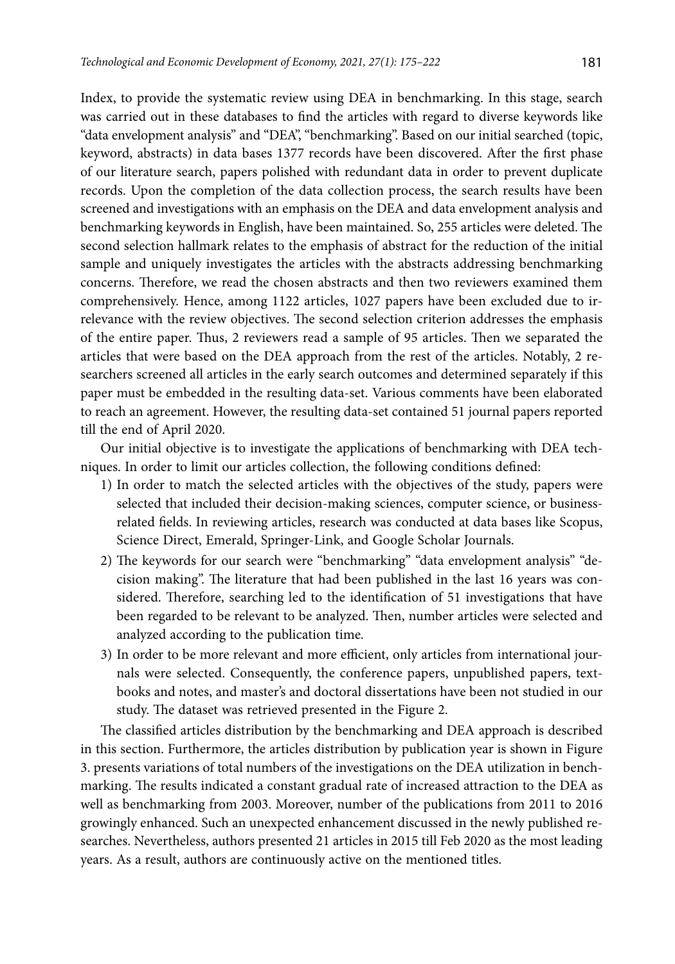Index, to provide the systematic review using DEA in benchmarking. In this stage, search was carried out in these databases to find the articles with regard to diverse keywords like "data envelopment analysis" and "DEA", "benchmarking". Based on our initial searched (topic, keyword, abstracts) in data bases 1377 records have been discovered. After the first phase of our literature search, papers polished with redundant data in order to prevent duplicate records. Upon the completion of the data collection process, the search results have been screened and investigations with an emphasis on the DEA and data envelopment analysis and benchmarking keywords in English, have been maintained. So, 255 articles were deleted. The second selection hallmark relates to the emphasis of abstract for the reduction of the initial sample and uniquely investigates the articles with the abstracts addressing benchmarking concerns. Therefore, we read the chosen abstracts and then two reviewers examined them comprehensively. Hence, among 1122 articles, 1027 papers have been excluded due to irrelevance with the review objectives. The second selection criterion addresses the emphasis of the entire paper. Thus, 2 reviewers read a sample of 95 articles. Then we separated the articles that were based on the DEA approach from the rest of the articles. Notably, 2 researchers screened all articles in the early search outcomes and determined separately if this paper must be embedded in the resulting data-set. Various comments have been elaborated to reach an agreement. However, the resulting data-set contained 51 journal papers reported till the end of April 2020.

Our initial objective is to investigate the applications of benchmarking with DEA techniques. In order to limit our articles collection, the following conditions defined:

- 1) In order to match the selected articles with the objectives of the study, papers were selected that included their decision-making sciences, computer science, or businessrelated fields. In reviewing articles, research was conducted at data bases like Scopus, Science Direct, Emerald, Springer-Link, and Google Scholar Journals.
- 2) The keywords for our search were "benchmarking" "data envelopment analysis" "decision making". The literature that had been published in the last 16 years was considered. Therefore, searching led to the identification of 51 investigations that have been regarded to be relevant to be analyzed. Then, number articles were selected and analyzed according to the publication time.
- 3) In order to be more relevant and more efficient, only articles from international journals were selected. Consequently, the conference papers, unpublished papers, textbooks and notes, and master's and doctoral dissertations have been not studied in our study. The dataset was retrieved presented in the Figure 2.

The classified articles distribution by the benchmarking and DEA approach is described in this section. Furthermore, the articles distribution by publication year is shown in Figure 3. presents variations of total numbers of the investigations on the DEA utilization in benchmarking. The results indicated a constant gradual rate of increased attraction to the DEA as well as benchmarking from 2003. Moreover, number of the publications from 2011 to 2016 growingly enhanced. Such an unexpected enhancement discussed in the newly published researches. Nevertheless, authors presented 21 articles in 2015 till Feb 2020 as the most leading years. As a result, authors are continuously active on the mentioned titles.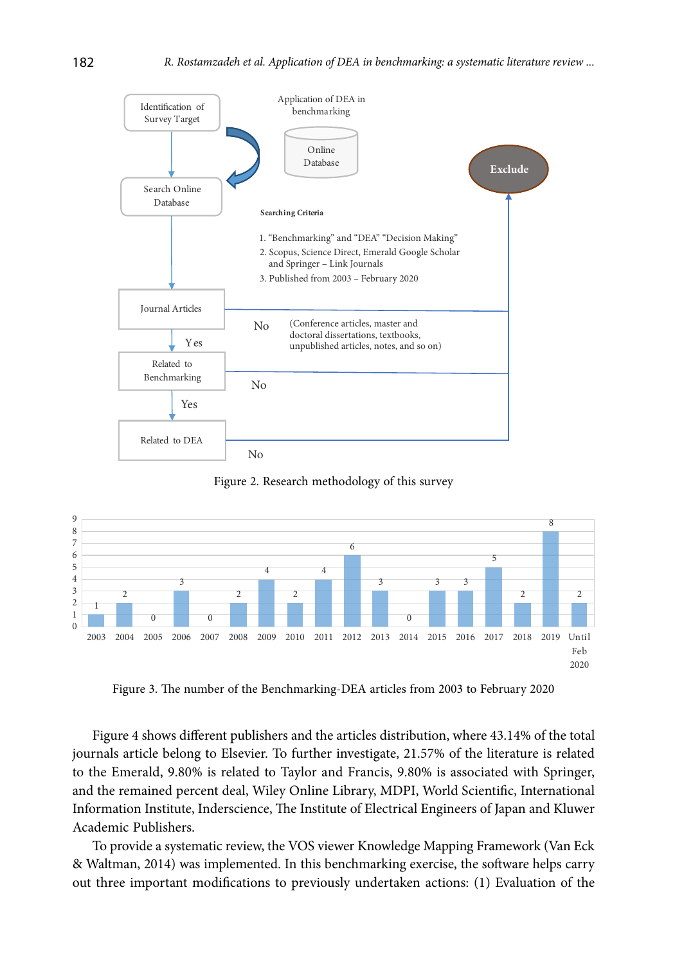

Figure 2. Research methodology of this survey



Figure 3. The number of the Benchmarking-DEA articles from 2003 to February 2020

Figure 4 shows different publishers and the articles distribution, where 43.14% of the total journals article belong to Elsevier. To further investigate, 21.57% of the literature is related to the Emerald, 9.80% is related to Taylor and Francis, 9.80% is associated with Springer, and the remained percent deal, Wiley Online Library, MDPI, World Scientific, International Information Institute, Inderscience, The Institute of Electrical Engineers of Japan and Kluwer Academic Publishers.

To provide a systematic review, the VOS viewer Knowledge Mapping Framework (Van Eck & Waltman, 2014) was implemented. In this benchmarking exercise, the software helps carry out three important modifications to previously undertaken actions: (1) Evaluation of the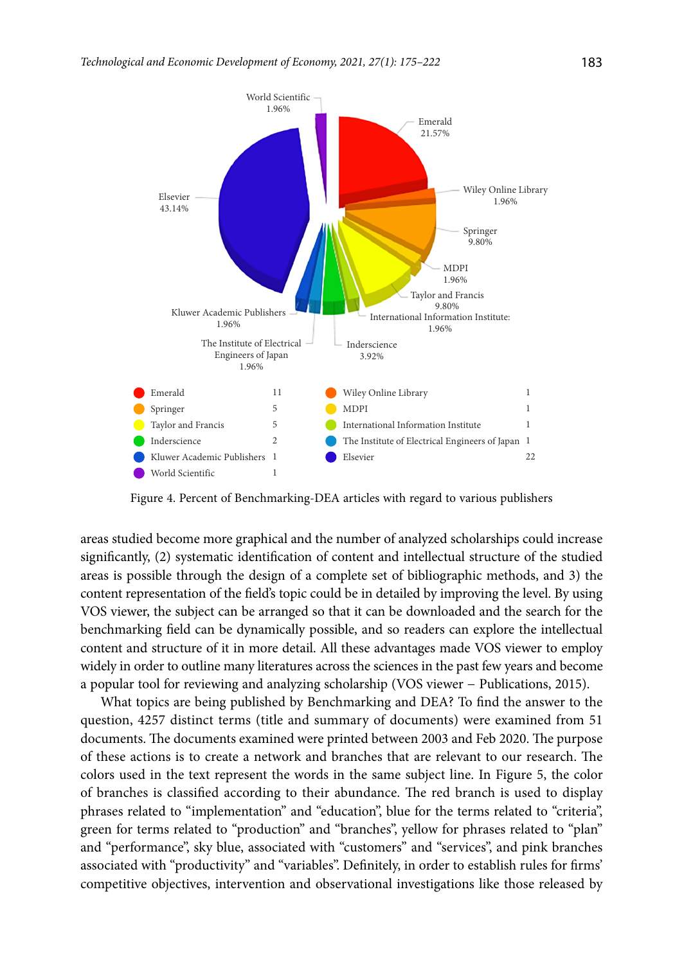

Figure 4. Percent of Benchmarking-DEA articles with regard to various publishers

areas studied become more graphical and the number of analyzed scholarships could increase significantly, (2) systematic identification of content and intellectual structure of the studied areas is possible through the design of a complete set of bibliographic methods, and 3) the content representation of the field's topic could be in detailed by improving the level. By using VOS viewer, the subject can be arranged so that it can be downloaded and the search for the benchmarking field can be dynamically possible, and so readers can explore the intellectual content and structure of it in more detail. All these advantages made VOS viewer to employ widely in order to outline many literatures across the sciences in the past few years and become a popular tool for reviewing and analyzing scholarship (VOS viewer − Publications, 2015).

What topics are being published by Benchmarking and DEA? To find the answer to the question, 4257 distinct terms (title and summary of documents) were examined from 51 documents. The documents examined were printed between 2003 and Feb 2020. The purpose of these actions is to create a network and branches that are relevant to our research. The colors used in the text represent the words in the same subject line. In Figure 5, the color of branches is classified according to their abundance. The red branch is used to display phrases related to "implementation" and "education", blue for the terms related to "criteria", green for terms related to "production" and "branches", yellow for phrases related to "plan" and "performance", sky blue, associated with "customers" and "services", and pink branches associated with "productivity" and "variables". Definitely, in order to establish rules for firms' competitive objectives, intervention and observational investigations like those released by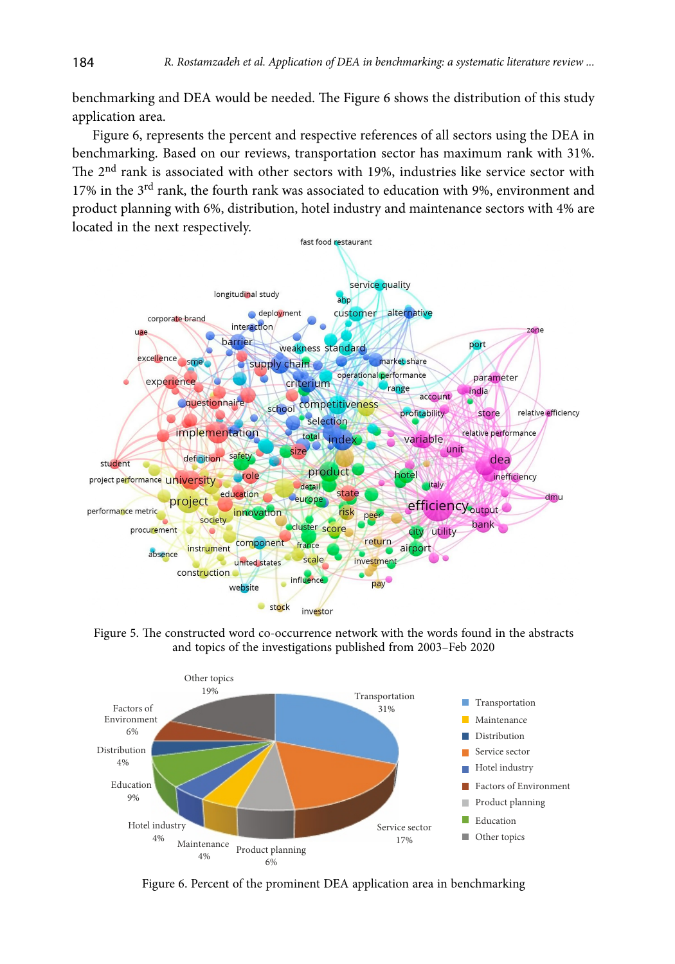benchmarking and DEA would be needed. The Figure 6 shows the distribution of this study application area.

Figure 6, represents the percent and respective references of all sectors using the DEA in benchmarking. Based on our reviews, transportation sector has maximum rank with 31%. The  $2<sup>nd</sup>$  rank is associated with other sectors with 19%, industries like service sector with 17% in the 3<sup>rd</sup> rank, the fourth rank was associated to education with 9%, environment and product planning with 6%, distribution, hotel industry and maintenance sectors with 4% are located in the next respectively.



Figure 5. The constructed word co-occurrence network with the words found in the abstracts and topics of the investigations published from 2003–Feb 2020



Figure 6. Percent of the prominent DEA application area in benchmarking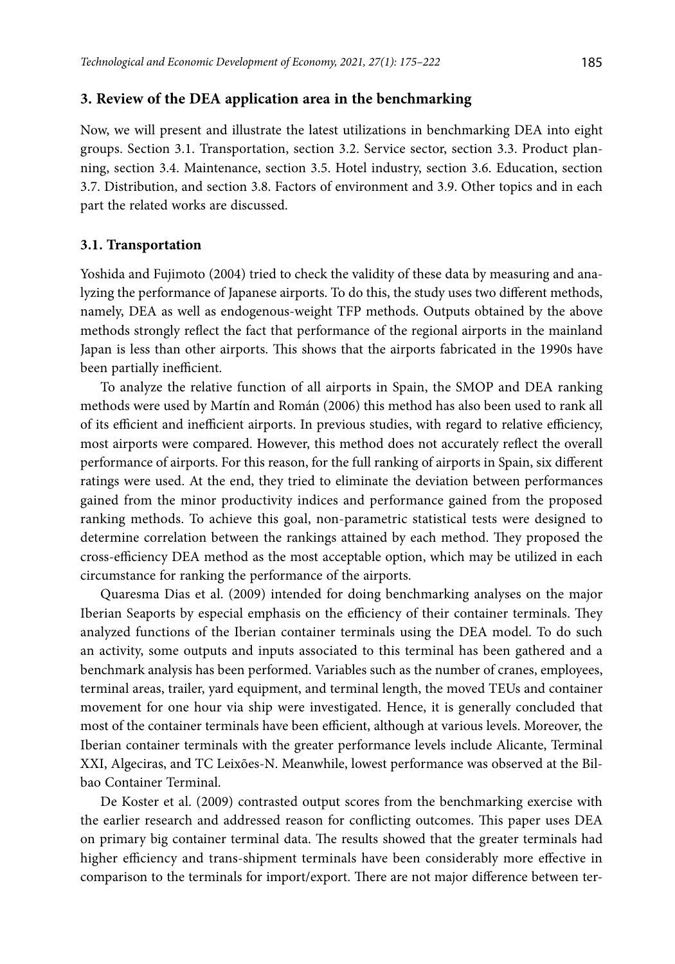### **3. Review of the DEA application area in the benchmarking**

Now, we will present and illustrate the latest utilizations in benchmarking DEA into eight groups. Section 3.1. Transportation, section 3.2. Service sector, section 3.3. Product planning, section 3.4. Maintenance, section 3.5. Hotel industry, section 3.6. Education, section 3.7. Distribution, and section 3.8. Factors of environment and 3.9. Other topics and in each part the related works are discussed.

#### **3.1. Transportation**

Yoshida and Fujimoto (2004) tried to check the validity of these data by measuring and analyzing the performance of Japanese airports. To do this, the study uses two different methods, namely, DEA as well as endogenous-weight TFP methods. Outputs obtained by the above methods strongly reflect the fact that performance of the regional airports in the mainland Japan is less than other airports. This shows that the airports fabricated in the 1990s have been partially inefficient.

To analyze the relative function of all airports in Spain, the SMOP and DEA ranking methods were used by Martín and Román (2006) this method has also been used to rank all of its efficient and inefficient airports. In previous studies, with regard to relative efficiency, most airports were compared. However, this method does not accurately reflect the overall performance of airports. For this reason, for the full ranking of airports in Spain, six different ratings were used. At the end, they tried to eliminate the deviation between performances gained from the minor productivity indices and performance gained from the proposed ranking methods. To achieve this goal, non-parametric statistical tests were designed to determine correlation between the rankings attained by each method. They proposed the cross-efficiency DEA method as the most acceptable option, which may be utilized in each circumstance for ranking the performance of the airports.

Quaresma Dias et al. (2009) intended for doing benchmarking analyses on the major Iberian Seaports by especial emphasis on the efficiency of their container terminals. They analyzed functions of the Iberian container terminals using the DEA model. To do such an activity, some outputs and inputs associated to this terminal has been gathered and a benchmark analysis has been performed. Variables such as the number of cranes, employees, terminal areas, trailer, yard equipment, and terminal length, the moved TEUs and container movement for one hour via ship were investigated. Hence, it is generally concluded that most of the container terminals have been efficient, although at various levels. Moreover, the Iberian container terminals with the greater performance levels include Alicante, Terminal XXI, Algeciras, and TC Leixões-N. Meanwhile, lowest performance was observed at the Bilbao Container Terminal.

De Koster et al. (2009) contrasted output scores from the benchmarking exercise with the earlier research and addressed reason for conflicting outcomes. This paper uses DEA on primary big container terminal data. The results showed that the greater terminals had higher efficiency and trans-shipment terminals have been considerably more effective in comparison to the terminals for import/export. There are not major difference between ter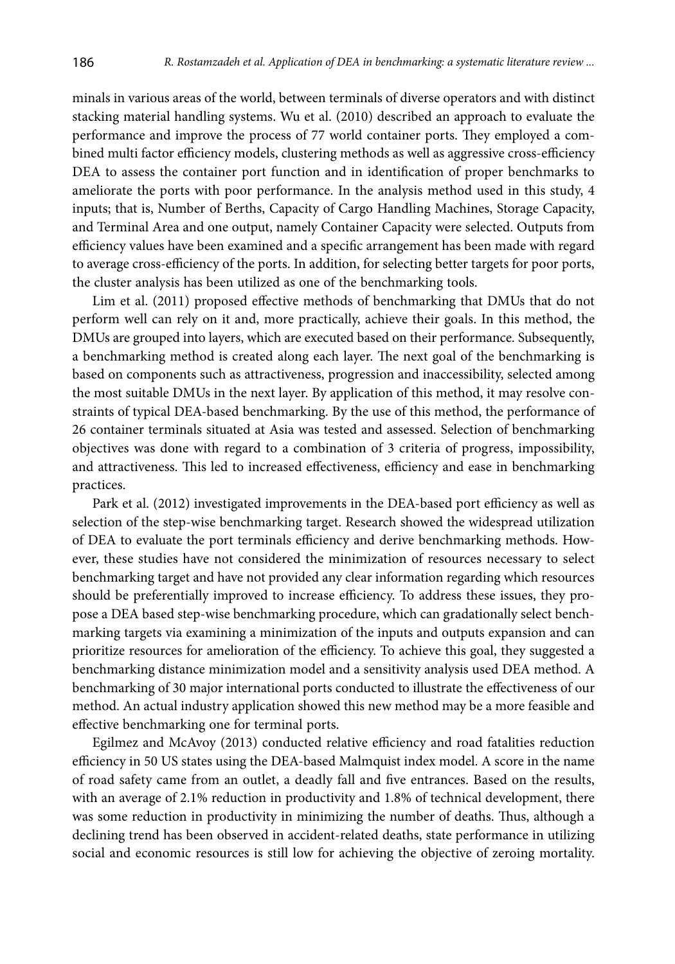minals in various areas of the world, between terminals of diverse operators and with distinct stacking material handling systems. Wu et al. (2010) described an approach to evaluate the performance and improve the process of 77 world container ports. They employed a combined multi factor efficiency models, clustering methods as well as aggressive cross-efficiency DEA to assess the container port function and in identification of proper benchmarks to ameliorate the ports with poor performance. In the analysis method used in this study, 4 inputs; that is, Number of Berths, Capacity of Cargo Handling Machines, Storage Capacity, and Terminal Area and one output, namely Container Capacity were selected. Outputs from efficiency values have been examined and a specific arrangement has been made with regard to average cross-efficiency of the ports. In addition, for selecting better targets for poor ports, the cluster analysis has been utilized as one of the benchmarking tools.

Lim et al. (2011) proposed effective methods of benchmarking that DMUs that do not perform well can rely on it and, more practically, achieve their goals. In this method, the DMUs are grouped into layers, which are executed based on their performance. Subsequently, a benchmarking method is created along each layer. The next goal of the benchmarking is based on components such as attractiveness, progression and inaccessibility, selected among the most suitable DMUs in the next layer. By application of this method, it may resolve constraints of typical DEA-based benchmarking. By the use of this method, the performance of 26 container terminals situated at Asia was tested and assessed. Selection of benchmarking objectives was done with regard to a combination of 3 criteria of progress, impossibility, and attractiveness. This led to increased effectiveness, efficiency and ease in benchmarking practices.

Park et al. (2012) investigated improvements in the DEA-based port efficiency as well as selection of the step-wise benchmarking target. Research showed the widespread utilization of DEA to evaluate the port terminals efficiency and derive benchmarking methods. However, these studies have not considered the minimization of resources necessary to select benchmarking target and have not provided any clear information regarding which resources should be preferentially improved to increase efficiency. To address these issues, they propose a DEA based step-wise benchmarking procedure, which can gradationally select benchmarking targets via examining a minimization of the inputs and outputs expansion and can prioritize resources for amelioration of the efficiency. To achieve this goal, they suggested a benchmarking distance minimization model and a sensitivity analysis used DEA method. A benchmarking of 30 major international ports conducted to illustrate the effectiveness of our method. An actual industry application showed this new method may be a more feasible and effective benchmarking one for terminal ports.

Egilmez and McAvoy (2013) conducted relative efficiency and road fatalities reduction efficiency in 50 US states using the DEA-based Malmquist index model. A score in the name of road safety came from an outlet, a deadly fall and five entrances. Based on the results, with an average of 2.1% reduction in productivity and 1.8% of technical development, there was some reduction in productivity in minimizing the number of deaths. Thus, although a declining trend has been observed in accident-related deaths, state performance in utilizing social and economic resources is still low for achieving the objective of zeroing mortality.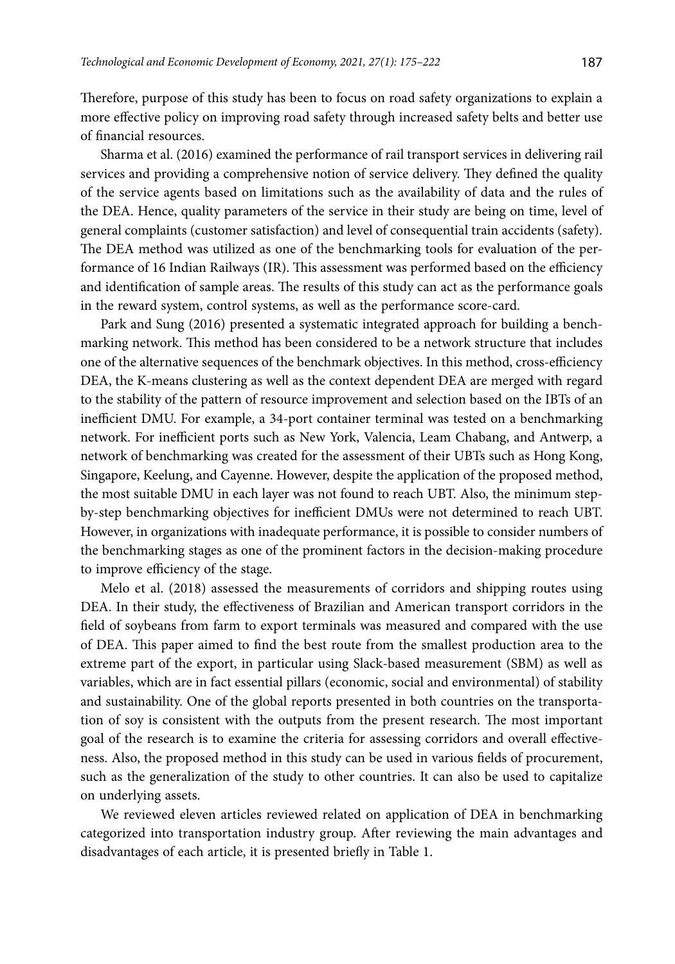Therefore, purpose of this study has been to focus on road safety organizations to explain a more effective policy on improving road safety through increased safety belts and better use of financial resources.

Sharma et al. (2016) examined the performance of rail transport services in delivering rail services and providing a comprehensive notion of service delivery. They defined the quality of the service agents based on limitations such as the availability of data and the rules of the DEA. Hence, quality parameters of the service in their study are being on time, level of general complaints (customer satisfaction) and level of consequential train accidents (safety). The DEA method was utilized as one of the benchmarking tools for evaluation of the performance of 16 Indian Railways (IR). This assessment was performed based on the efficiency and identification of sample areas. The results of this study can act as the performance goals in the reward system, control systems, as well as the performance score-card.

Park and Sung (2016) presented a systematic integrated approach for building a benchmarking network. This method has been considered to be a network structure that includes one of the alternative sequences of the benchmark objectives. In this method, cross-efficiency DEA, the K-means clustering as well as the context dependent DEA are merged with regard to the stability of the pattern of resource improvement and selection based on the IBTs of an inefficient DMU. For example, a 34-port container terminal was tested on a benchmarking network. For inefficient ports such as New York, Valencia, Leam Chabang, and Antwerp, a network of benchmarking was created for the assessment of their UBTs such as Hong Kong, Singapore, Keelung, and Cayenne. However, despite the application of the proposed method, the most suitable DMU in each layer was not found to reach UBT. Also, the minimum stepby-step benchmarking objectives for inefficient DMUs were not determined to reach UBT. However, in organizations with inadequate performance, it is possible to consider numbers of the benchmarking stages as one of the prominent factors in the decision-making procedure to improve efficiency of the stage.

Melo et al. (2018) assessed the measurements of corridors and shipping routes using DEA. In their study, the effectiveness of Brazilian and American transport corridors in the field of soybeans from farm to export terminals was measured and compared with the use of DEA. This paper aimed to find the best route from the smallest production area to the extreme part of the export, in particular using Slack-based measurement (SBM) as well as variables, which are in fact essential pillars (economic, social and environmental) of stability and sustainability. One of the global reports presented in both countries on the transportation of soy is consistent with the outputs from the present research. The most important goal of the research is to examine the criteria for assessing corridors and overall effectiveness. Also, the proposed method in this study can be used in various fields of procurement, such as the generalization of the study to other countries. It can also be used to capitalize on underlying assets.

We reviewed eleven articles reviewed related on application of DEA in benchmarking categorized into transportation industry group. After reviewing the main advantages and disadvantages of each article, it is presented briefly in Table 1.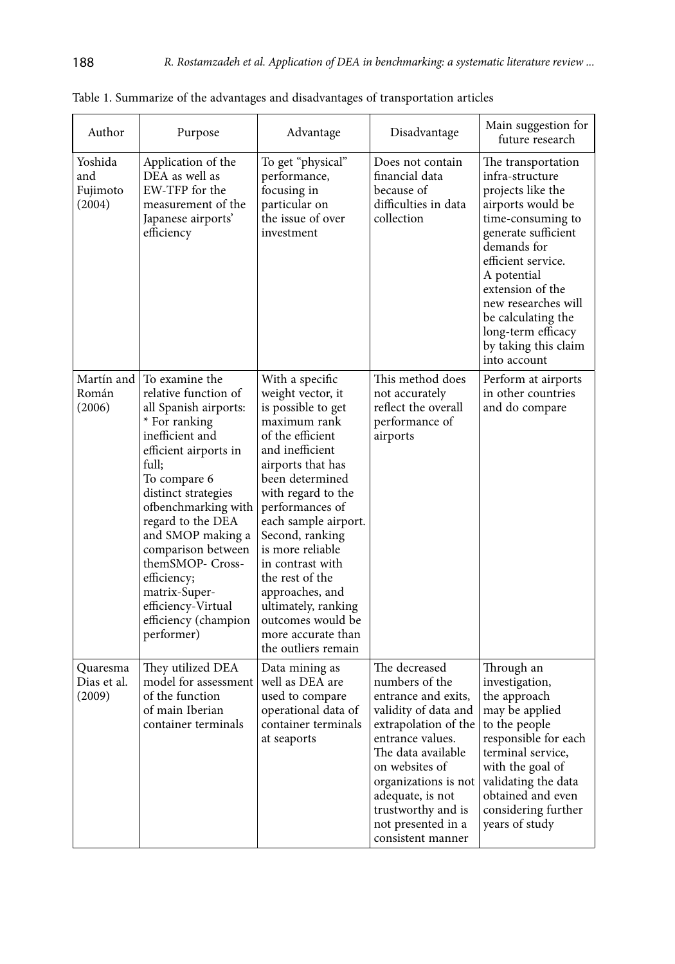| Author                               | Purpose                                                                                                                                                                                                                                                                                                                                                                             | Advantage                                                                                                                                                                                                                                                                                                                                                                                                            | Disadvantage                                                                                                                                                                                                                                                                    | Main suggestion for<br>future research                                                                                                                                                                                                                                                                         |
|--------------------------------------|-------------------------------------------------------------------------------------------------------------------------------------------------------------------------------------------------------------------------------------------------------------------------------------------------------------------------------------------------------------------------------------|----------------------------------------------------------------------------------------------------------------------------------------------------------------------------------------------------------------------------------------------------------------------------------------------------------------------------------------------------------------------------------------------------------------------|---------------------------------------------------------------------------------------------------------------------------------------------------------------------------------------------------------------------------------------------------------------------------------|----------------------------------------------------------------------------------------------------------------------------------------------------------------------------------------------------------------------------------------------------------------------------------------------------------------|
| Yoshida<br>and<br>Fujimoto<br>(2004) | Application of the<br>DEA as well as<br>EW-TFP for the<br>measurement of the<br>Japanese airports'<br>efficiency                                                                                                                                                                                                                                                                    | To get "physical"<br>performance,<br>focusing in<br>particular on<br>the issue of over<br>investment                                                                                                                                                                                                                                                                                                                 | Does not contain<br>financial data<br>because of<br>difficulties in data<br>collection                                                                                                                                                                                          | The transportation<br>infra-structure<br>projects like the<br>airports would be<br>time-consuming to<br>generate sufficient<br>demands for<br>efficient service.<br>A potential<br>extension of the<br>new researches will<br>be calculating the<br>long-term efficacy<br>by taking this claim<br>into account |
| Martín and<br>Román<br>(2006)        | To examine the<br>relative function of<br>all Spanish airports:<br>* For ranking<br>inefficient and<br>efficient airports in<br>full;<br>To compare 6<br>distinct strategies<br>ofbenchmarking with<br>regard to the DEA<br>and SMOP making a<br>comparison between<br>themSMOP- Cross-<br>efficiency;<br>matrix-Super-<br>efficiency-Virtual<br>efficiency (champion<br>performer) | With a specific<br>weight vector, it<br>is possible to get<br>maximum rank<br>of the efficient<br>and inefficient<br>airports that has<br>been determined<br>with regard to the<br>performances of<br>each sample airport.<br>Second, ranking<br>is more reliable<br>in contrast with<br>the rest of the<br>approaches, and<br>ultimately, ranking<br>outcomes would be<br>more accurate than<br>the outliers remain | This method does<br>not accurately<br>reflect the overall<br>performance of<br>airports                                                                                                                                                                                         | Perform at airports<br>in other countries<br>and do compare                                                                                                                                                                                                                                                    |
| Quaresma<br>Dias et al.<br>(2009)    | They utilized DEA<br>model for assessment<br>of the function<br>of main Iberian<br>container terminals                                                                                                                                                                                                                                                                              | Data mining as<br>well as DEA are<br>used to compare<br>operational data of<br>container terminals<br>at seaports                                                                                                                                                                                                                                                                                                    | The decreased<br>numbers of the<br>entrance and exits,<br>validity of data and<br>extrapolation of the<br>entrance values.<br>The data available<br>on websites of<br>organizations is not<br>adequate, is not<br>trustworthy and is<br>not presented in a<br>consistent manner | Through an<br>investigation,<br>the approach<br>may be applied<br>to the people<br>responsible for each<br>terminal service,<br>with the goal of<br>validating the data<br>obtained and even<br>considering further<br>years of study                                                                          |

Table 1. Summarize of the advantages and disadvantages of transportation articles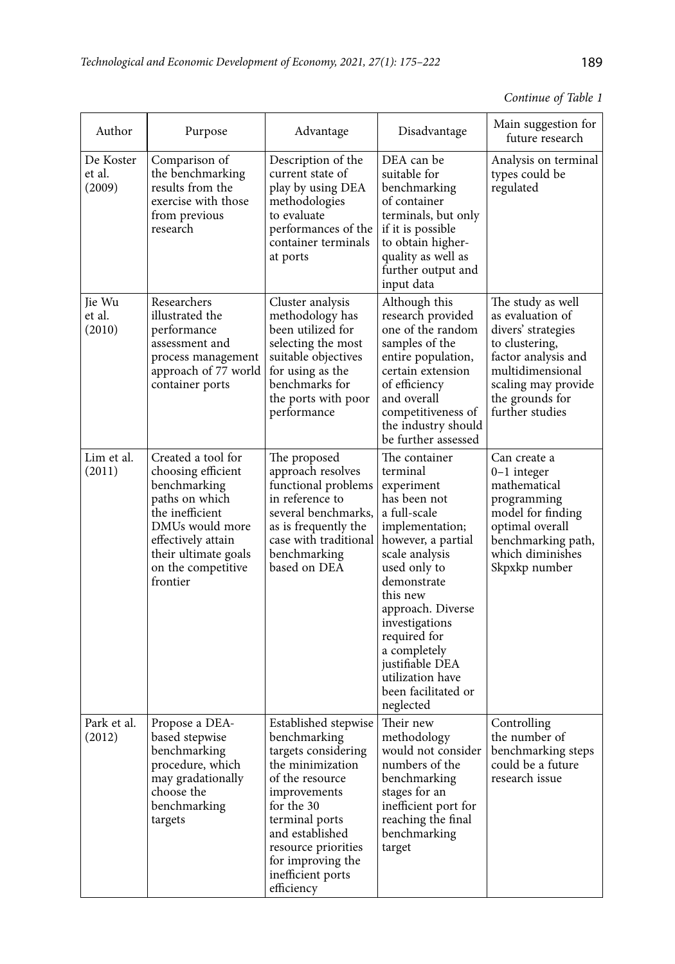# *Continue of Table 1*

| Author                        | Purpose                                                                                                                                                                                          | Advantage                                                                                                                                                                                                                                            | Disadvantage                                                                                                                                                                                                                                                                                                                    | Main suggestion for<br>future research                                                                                                                                                |
|-------------------------------|--------------------------------------------------------------------------------------------------------------------------------------------------------------------------------------------------|------------------------------------------------------------------------------------------------------------------------------------------------------------------------------------------------------------------------------------------------------|---------------------------------------------------------------------------------------------------------------------------------------------------------------------------------------------------------------------------------------------------------------------------------------------------------------------------------|---------------------------------------------------------------------------------------------------------------------------------------------------------------------------------------|
| De Koster<br>et al.<br>(2009) | Comparison of<br>the benchmarking<br>results from the<br>exercise with those<br>from previous<br>research                                                                                        | Description of the<br>current state of<br>play by using DEA<br>methodologies<br>to evaluate<br>performances of the<br>container terminals<br>at ports                                                                                                | DEA can be<br>suitable for<br>benchmarking<br>of container<br>terminals, but only<br>if it is possible<br>to obtain higher-<br>quality as well as<br>further output and<br>input data                                                                                                                                           | Analysis on terminal<br>types could be<br>regulated                                                                                                                                   |
| Jie Wu<br>et al.<br>(2010)    | Researchers<br>illustrated the<br>performance<br>assessment and<br>process management<br>approach of 77 world<br>container ports                                                                 | Cluster analysis<br>methodology has<br>been utilized for<br>selecting the most<br>suitable objectives<br>for using as the<br>benchmarks for<br>the ports with poor<br>performance                                                                    | Although this<br>research provided<br>one of the random<br>samples of the<br>entire population,<br>certain extension<br>of efficiency<br>and overall<br>competitiveness of<br>the industry should<br>be further assessed                                                                                                        | The study as well<br>as evaluation of<br>divers' strategies<br>to clustering,<br>factor analysis and<br>multidimensional<br>scaling may provide<br>the grounds for<br>further studies |
| Lim et al.<br>(2011)          | Created a tool for<br>choosing efficient<br>benchmarking<br>paths on which<br>the inefficient<br>DMUs would more<br>effectively attain<br>their ultimate goals<br>on the competitive<br>frontier | The proposed<br>approach resolves<br>functional problems<br>in reference to<br>several benchmarks,<br>as is frequently the<br>case with traditional<br>benchmarking<br>based on DEA                                                                  | The container<br>terminal<br>experiment<br>has been not<br>a full-scale<br>implementation;<br>however, a partial<br>scale analysis<br>used only to<br>demonstrate<br>this new<br>approach. Diverse<br>investigations<br>required for<br>a completely<br>justifiable DEA<br>utilization have<br>been facilitated or<br>neglected | Can create a<br>$0-1$ integer<br>mathematical<br>programming<br>model for finding<br>optimal overall<br>benchmarking path,<br>which diminishes<br>Skpxkp number                       |
| Park et al.<br>(2012)         | Propose a DEA-<br>based stepwise<br>benchmarking<br>procedure, which<br>may gradationally<br>choose the<br>benchmarking<br>targets                                                               | Established stepwise<br>benchmarking<br>targets considering<br>the minimization<br>of the resource<br>improvements<br>for the 30<br>terminal ports<br>and established<br>resource priorities<br>for improving the<br>inefficient ports<br>efficiency | Their new<br>methodology<br>would not consider<br>numbers of the<br>benchmarking<br>stages for an<br>inefficient port for<br>reaching the final<br>benchmarking<br>target                                                                                                                                                       | Controlling<br>the number of<br>benchmarking steps<br>could be a future<br>research issue                                                                                             |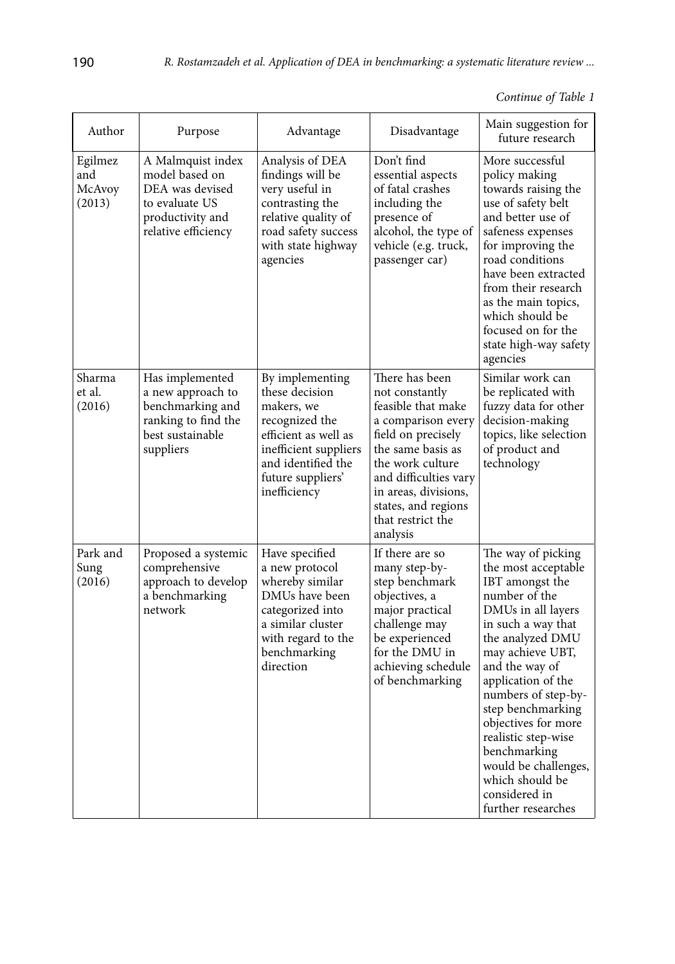| Continue of Table 1 |  |  |  |
|---------------------|--|--|--|
|---------------------|--|--|--|

| Author                             | Purpose                                                                                                             | Advantage                                                                                                                                                                     | Disadvantage                                                                                                                                                                                                                                         | Main suggestion for<br>future research                                                                                                                                                                                                                                                                                                                                                                |
|------------------------------------|---------------------------------------------------------------------------------------------------------------------|-------------------------------------------------------------------------------------------------------------------------------------------------------------------------------|------------------------------------------------------------------------------------------------------------------------------------------------------------------------------------------------------------------------------------------------------|-------------------------------------------------------------------------------------------------------------------------------------------------------------------------------------------------------------------------------------------------------------------------------------------------------------------------------------------------------------------------------------------------------|
| Egilmez<br>and<br>McAvoy<br>(2013) | A Malmquist index<br>model based on<br>DEA was devised<br>to evaluate US<br>productivity and<br>relative efficiency | Analysis of DEA<br>findings will be<br>very useful in<br>contrasting the<br>relative quality of<br>road safety success<br>with state highway<br>agencies                      | Don't find<br>essential aspects<br>of fatal crashes<br>including the<br>presence of<br>alcohol, the type of<br>vehicle (e.g. truck,<br>passenger car)                                                                                                | More successful<br>policy making<br>towards raising the<br>use of safety belt<br>and better use of<br>safeness expenses<br>for improving the<br>road conditions<br>have been extracted<br>from their research<br>as the main topics,<br>which should be<br>focused on for the<br>state high-way safety<br>agencies                                                                                    |
| Sharma<br>et al.<br>(2016)         | Has implemented<br>a new approach to<br>benchmarking and<br>ranking to find the<br>best sustainable<br>suppliers    | By implementing<br>these decision<br>makers, we<br>recognized the<br>efficient as well as<br>inefficient suppliers<br>and identified the<br>future suppliers'<br>inefficiency | There has been<br>not constantly<br>feasible that make<br>a comparison every<br>field on precisely<br>the same basis as<br>the work culture<br>and difficulties vary<br>in areas, divisions,<br>states, and regions<br>that restrict the<br>analysis | Similar work can<br>be replicated with<br>fuzzy data for other<br>decision-making<br>topics, like selection<br>of product and<br>technology                                                                                                                                                                                                                                                           |
| Park and<br>Sung<br>(2016)         | Proposed a systemic<br>comprehensive<br>approach to develop<br>a benchmarking<br>network                            | Have specified<br>a new protocol<br>whereby similar<br>DMUs have been<br>categorized into<br>a similar cluster<br>with regard to the<br>benchmarking<br>direction             | If there are so<br>many step-by-<br>step benchmark<br>objectives, a<br>major practical<br>challenge may<br>be experienced<br>for the DMU in<br>achieving schedule<br>of benchmarking                                                                 | The way of picking<br>the most acceptable<br>IBT amongst the<br>number of the<br>DMUs in all layers<br>in such a way that<br>the analyzed DMU<br>may achieve UBT,<br>and the way of<br>application of the<br>numbers of step-by-<br>step benchmarking<br>objectives for more<br>realistic step-wise<br>benchmarking<br>would be challenges,<br>which should be<br>considered in<br>further researches |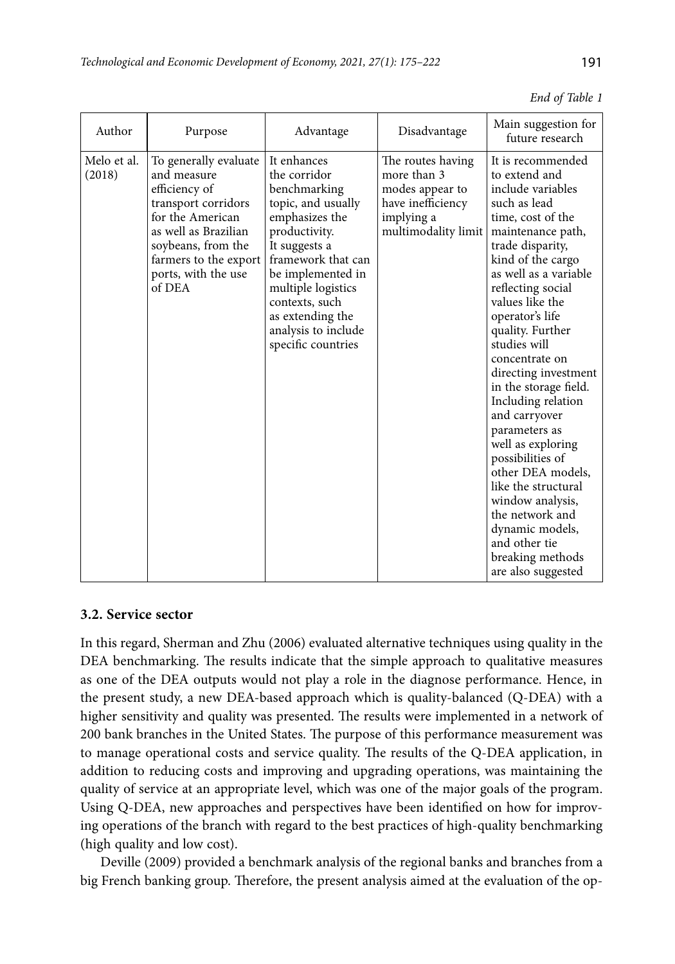|  |  | 191 |
|--|--|-----|
|  |  |     |

| Author                | Purpose                                                                                                                                                                                                  | Advantage                                                                                                                                                                                                                                                                 | Disadvantage                                                                                                  | Main suggestion for<br>future research                                                                                                                                                                                                                                                                                                                                                                                                                                                                                                                                                                                  |
|-----------------------|----------------------------------------------------------------------------------------------------------------------------------------------------------------------------------------------------------|---------------------------------------------------------------------------------------------------------------------------------------------------------------------------------------------------------------------------------------------------------------------------|---------------------------------------------------------------------------------------------------------------|-------------------------------------------------------------------------------------------------------------------------------------------------------------------------------------------------------------------------------------------------------------------------------------------------------------------------------------------------------------------------------------------------------------------------------------------------------------------------------------------------------------------------------------------------------------------------------------------------------------------------|
| Melo et al.<br>(2018) | To generally evaluate<br>and measure<br>efficiency of<br>transport corridors<br>for the American<br>as well as Brazilian<br>soybeans, from the<br>farmers to the export<br>ports, with the use<br>of DEA | It enhances<br>the corridor<br>benchmarking<br>topic, and usually<br>emphasizes the<br>productivity.<br>It suggests a<br>framework that can<br>be implemented in<br>multiple logistics<br>contexts, such<br>as extending the<br>analysis to include<br>specific countries | The routes having<br>more than 3<br>modes appear to<br>have inefficiency<br>implying a<br>multimodality limit | It is recommended<br>to extend and<br>include variables<br>such as lead<br>time, cost of the<br>maintenance path,<br>trade disparity,<br>kind of the cargo<br>as well as a variable<br>reflecting social<br>values like the<br>operator's life<br>quality. Further<br>studies will<br>concentrate on<br>directing investment<br>in the storage field.<br>Including relation<br>and carryover<br>parameters as<br>well as exploring<br>possibilities of<br>other DEA models.<br>like the structural<br>window analysis,<br>the network and<br>dynamic models,<br>and other tie<br>breaking methods<br>are also suggested |

#### *End of Table 1*

# **3.2. Service sector**

In this regard, Sherman and Zhu (2006) evaluated alternative techniques using quality in the DEA benchmarking. The results indicate that the simple approach to qualitative measures as one of the DEA outputs would not play a role in the diagnose performance. Hence, in the present study, a new DEA-based approach which is quality-balanced (Q-DEA) with a higher sensitivity and quality was presented. The results were implemented in a network of 200 bank branches in the United States. The purpose of this performance measurement was to manage operational costs and service quality. The results of the Q-DEA application, in addition to reducing costs and improving and upgrading operations, was maintaining the quality of service at an appropriate level, which was one of the major goals of the program. Using Q-DEA, new approaches and perspectives have been identified on how for improving operations of the branch with regard to the best practices of high-quality benchmarking (high quality and low cost).

Deville (2009) provided a benchmark analysis of the regional banks and branches from a big French banking group. Therefore, the present analysis aimed at the evaluation of the op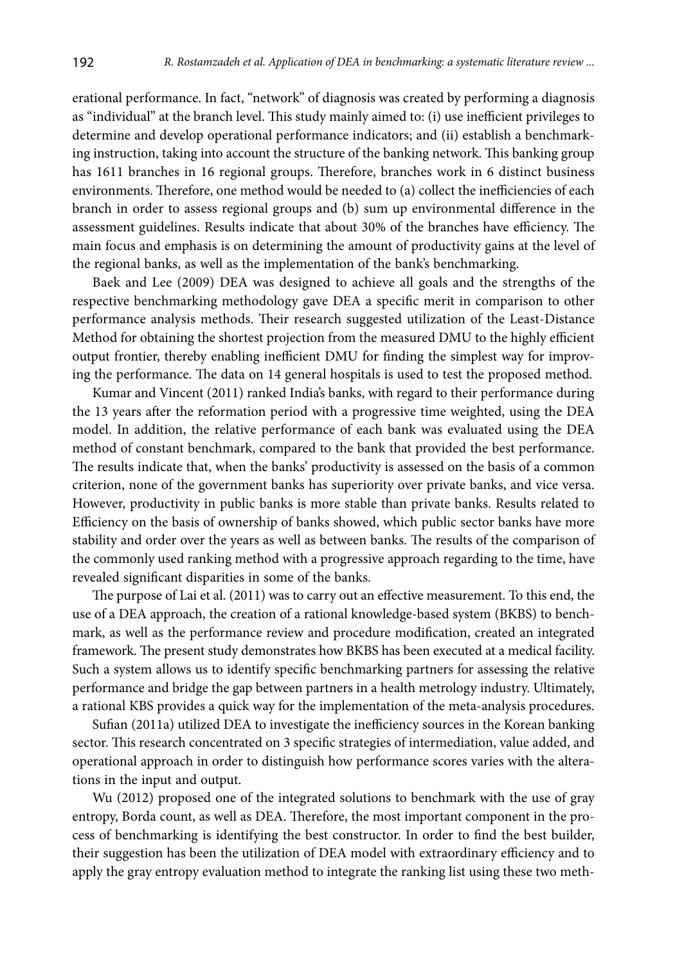erational performance. In fact, "network" of diagnosis was created by performing a diagnosis as "individual" at the branch level. This study mainly aimed to: (i) use inefficient privileges to determine and develop operational performance indicators; and (ii) establish a benchmarking instruction, taking into account the structure of the banking network. This banking group has 1611 branches in 16 regional groups. Therefore, branches work in 6 distinct business environments. Therefore, one method would be needed to (a) collect the inefficiencies of each branch in order to assess regional groups and (b) sum up environmental difference in the assessment guidelines. Results indicate that about 30% of the branches have efficiency. The main focus and emphasis is on determining the amount of productivity gains at the level of the regional banks, as well as the implementation of the bank's benchmarking.

Baek and Lee (2009) DEA was designed to achieve all goals and the strengths of the respective benchmarking methodology gave DEA a specific merit in comparison to other performance analysis methods. Their research suggested utilization of the Least-Distance Method for obtaining the shortest projection from the measured DMU to the highly efficient output frontier, thereby enabling inefficient DMU for finding the simplest way for improving the performance. The data on 14 general hospitals is used to test the proposed method.

Kumar and Vincent (2011) ranked India's banks, with regard to their performance during the 13 years after the reformation period with a progressive time weighted, using the DEA model. In addition, the relative performance of each bank was evaluated using the DEA method of constant benchmark, compared to the bank that provided the best performance. The results indicate that, when the banks' productivity is assessed on the basis of a common criterion, none of the government banks has superiority over private banks, and vice versa. However, productivity in public banks is more stable than private banks. Results related to Efficiency on the basis of ownership of banks showed, which public sector banks have more stability and order over the years as well as between banks. The results of the comparison of the commonly used ranking method with a progressive approach regarding to the time, have revealed significant disparities in some of the banks.

The purpose of Lai et al. (2011) was to carry out an effective measurement. To this end, the use of a DEA approach, the creation of a rational knowledge-based system (BKBS) to benchmark, as well as the performance review and procedure modification, created an integrated framework. The present study demonstrates how BKBS has been executed at a medical facility. Such a system allows us to identify specific benchmarking partners for assessing the relative performance and bridge the gap between partners in a health metrology industry. Ultimately, a rational KBS provides a quick way for the implementation of the meta-analysis procedures.

Sufian (2011a) utilized DEA to investigate the inefficiency sources in the Korean banking sector. This research concentrated on 3 specific strategies of intermediation, value added, and operational approach in order to distinguish how performance scores varies with the alterations in the input and output.

Wu (2012) proposed one of the integrated solutions to benchmark with the use of gray entropy, Borda count, as well as DEA. Therefore, the most important component in the process of benchmarking is identifying the best constructor. In order to find the best builder, their suggestion has been the utilization of DEA model with extraordinary efficiency and to apply the gray entropy evaluation method to integrate the ranking list using these two meth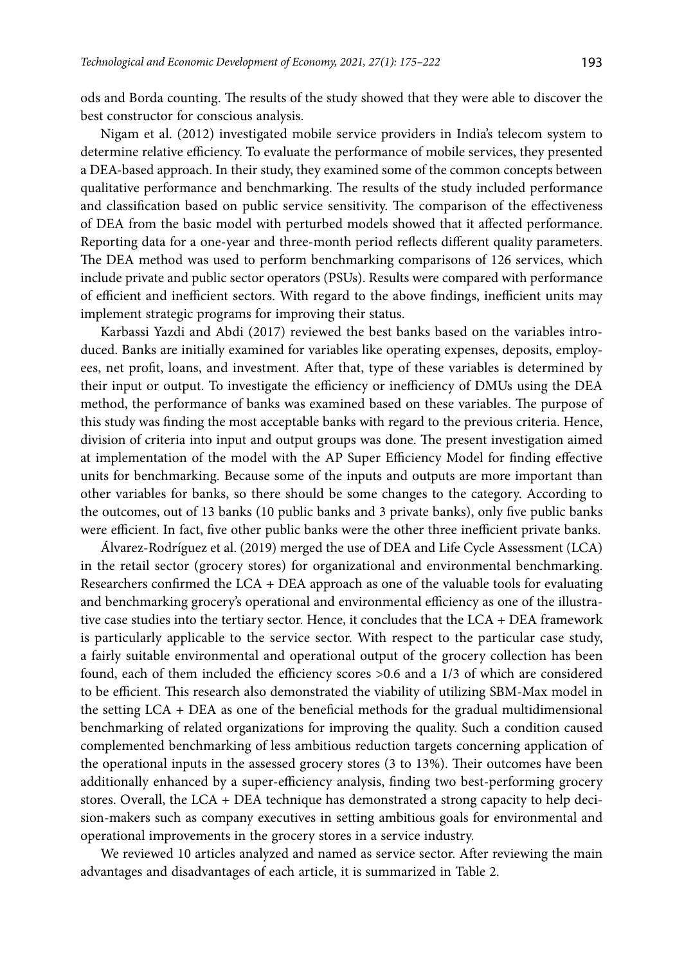ods and Borda counting. The results of the study showed that they were able to discover the best constructor for conscious analysis.

Nigam et al. (2012) investigated mobile service providers in India's telecom system to determine relative efficiency. To evaluate the performance of mobile services, they presented a DEA-based approach. In their study, they examined some of the common concepts between qualitative performance and benchmarking. The results of the study included performance and classification based on public service sensitivity. The comparison of the effectiveness of DEA from the basic model with perturbed models showed that it affected performance. Reporting data for a one-year and three-month period reflects different quality parameters. The DEA method was used to perform benchmarking comparisons of 126 services, which include private and public sector operators (PSUs). Results were compared with performance of efficient and inefficient sectors. With regard to the above findings, inefficient units may implement strategic programs for improving their status.

Karbassi Yazdi and Abdi (2017) reviewed the best banks based on the variables introduced. Banks are initially examined for variables like operating expenses, deposits, employees, net profit, loans, and investment. After that, type of these variables is determined by their input or output. To investigate the efficiency or inefficiency of DMUs using the DEA method, the performance of banks was examined based on these variables. The purpose of this study was finding the most acceptable banks with regard to the previous criteria. Hence, division of criteria into input and output groups was done. The present investigation aimed at implementation of the model with the AP Super Efficiency Model for finding effective units for benchmarking. Because some of the inputs and outputs are more important than other variables for banks, so there should be some changes to the category. According to the outcomes, out of 13 banks (10 public banks and 3 private banks), only five public banks were efficient. In fact, five other public banks were the other three inefficient private banks.

Álvarez-Rodríguez et al. (2019) merged the use of DEA and Life Cycle Assessment (LCA) in the retail sector (grocery stores) for organizational and environmental benchmarking. Researchers confirmed the  $LCA + DEA$  approach as one of the valuable tools for evaluating and benchmarking grocery's operational and environmental efficiency as one of the illustrative case studies into the tertiary sector. Hence, it concludes that the  $LCA + DEA$  framework is particularly applicable to the service sector. With respect to the particular case study, a fairly suitable environmental and operational output of the grocery collection has been found, each of them included the efficiency scores >0.6 and a 1/3 of which are considered to be efficient. This research also demonstrated the viability of utilizing SBM-Max model in the setting LCA + DEA as one of the beneficial methods for the gradual multidimensional benchmarking of related organizations for improving the quality. Such a condition caused complemented benchmarking of less ambitious reduction targets concerning application of the operational inputs in the assessed grocery stores (3 to 13%). Their outcomes have been additionally enhanced by a super-efficiency analysis, finding two best-performing grocery stores. Overall, the LCA + DEA technique has demonstrated a strong capacity to help decision-makers such as company executives in setting ambitious goals for environmental and operational improvements in the grocery stores in a service industry.

We reviewed 10 articles analyzed and named as service sector. After reviewing the main advantages and disadvantages of each article, it is summarized in Table 2.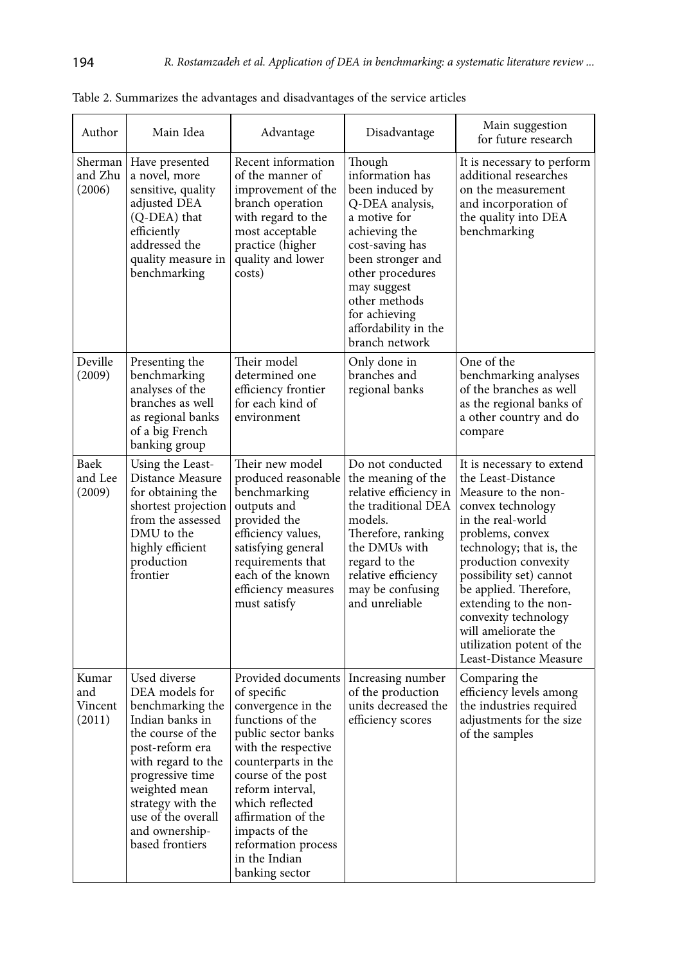| Author                            | Main Idea                                                                                                                                                                                                                                                | Advantage                                                                                                                                                                                                                                                                                                       | Disadvantage                                                                                                                                                                                                                                            | Main suggestion<br>for future research                                                                                                                                                                                                                                                                                                                                       |
|-----------------------------------|----------------------------------------------------------------------------------------------------------------------------------------------------------------------------------------------------------------------------------------------------------|-----------------------------------------------------------------------------------------------------------------------------------------------------------------------------------------------------------------------------------------------------------------------------------------------------------------|---------------------------------------------------------------------------------------------------------------------------------------------------------------------------------------------------------------------------------------------------------|------------------------------------------------------------------------------------------------------------------------------------------------------------------------------------------------------------------------------------------------------------------------------------------------------------------------------------------------------------------------------|
| Sherman<br>and Zhu<br>(2006)      | Have presented<br>a novel, more<br>sensitive, quality<br>adjusted DEA<br>(Q-DEA) that<br>efficiently<br>addressed the<br>quality measure in<br>benchmarking                                                                                              | Recent information<br>of the manner of<br>improvement of the<br>branch operation<br>with regard to the<br>most acceptable<br>practice (higher<br>quality and lower<br>costs)                                                                                                                                    | Though<br>information has<br>been induced by<br>Q-DEA analysis,<br>a motive for<br>achieving the<br>cost-saving has<br>been stronger and<br>other procedures<br>may suggest<br>other methods<br>for achieving<br>affordability in the<br>branch network | It is necessary to perform<br>additional researches<br>on the measurement<br>and incorporation of<br>the quality into DEA<br>benchmarking                                                                                                                                                                                                                                    |
| Deville<br>(2009)                 | Presenting the<br>benchmarking<br>analyses of the<br>branches as well<br>as regional banks<br>of a big French<br>banking group                                                                                                                           | Their model<br>determined one<br>efficiency frontier<br>for each kind of<br>environment                                                                                                                                                                                                                         | Only done in<br>branches and<br>regional banks                                                                                                                                                                                                          | One of the<br>benchmarking analyses<br>of the branches as well<br>as the regional banks of<br>a other country and do<br>compare                                                                                                                                                                                                                                              |
| Baek<br>and Lee<br>(2009)         | Using the Least-<br>Distance Measure<br>for obtaining the<br>shortest projection<br>from the assessed<br>DMU to the<br>highly efficient<br>production<br>frontier                                                                                        | Their new model<br>produced reasonable<br>benchmarking<br>outputs and<br>provided the<br>efficiency values,<br>satisfying general<br>requirements that<br>each of the known<br>efficiency measures<br>must satisfy                                                                                              | Do not conducted<br>the meaning of the<br>relative efficiency in<br>the traditional DEA<br>models.<br>Therefore, ranking<br>the DMUs with<br>regard to the<br>relative efficiency<br>may be confusing<br>and unreliable                                 | It is necessary to extend<br>the Least-Distance<br>Measure to the non-<br>convex technology<br>in the real-world<br>problems, convex<br>technology; that is, the<br>production convexity<br>possibility set) cannot<br>be applied. Therefore,<br>extending to the non-<br>convexity technology<br>will ameliorate the<br>utilization potent of the<br>Least-Distance Measure |
| Kumar<br>and<br>Vincent<br>(2011) | Used diverse<br>DEA models for<br>benchmarking the<br>Indian banks in<br>the course of the<br>post-reform era<br>with regard to the<br>progressive time<br>weighted mean<br>strategy with the<br>use of the overall<br>and ownership-<br>based frontiers | Provided documents<br>of specific<br>convergence in the<br>functions of the<br>public sector banks<br>with the respective<br>counterparts in the<br>course of the post<br>reform interval,<br>which reflected<br>affirmation of the<br>impacts of the<br>reformation process<br>in the Indian<br>banking sector | Increasing number<br>of the production<br>units decreased the<br>efficiency scores                                                                                                                                                                      | Comparing the<br>efficiency levels among<br>the industries required<br>adjustments for the size<br>of the samples                                                                                                                                                                                                                                                            |

Table 2. Summarizes the advantages and disadvantages of the service articles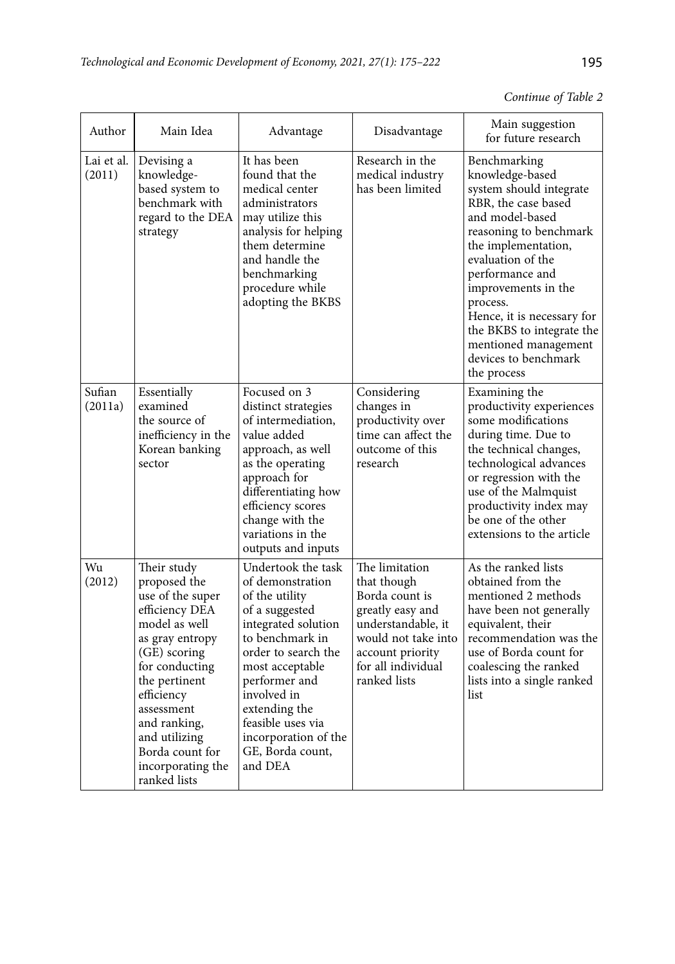| Continue of Table 2 |  |  |  |
|---------------------|--|--|--|
|---------------------|--|--|--|

| Author               | Main Idea                                                                                                                                                                                                                                                                     | Advantage                                                                                                                                                                                                                                                                                   | Disadvantage                                                                                                                                                               | Main suggestion<br>for future research                                                                                                                                                                                                                                                                                                                     |
|----------------------|-------------------------------------------------------------------------------------------------------------------------------------------------------------------------------------------------------------------------------------------------------------------------------|---------------------------------------------------------------------------------------------------------------------------------------------------------------------------------------------------------------------------------------------------------------------------------------------|----------------------------------------------------------------------------------------------------------------------------------------------------------------------------|------------------------------------------------------------------------------------------------------------------------------------------------------------------------------------------------------------------------------------------------------------------------------------------------------------------------------------------------------------|
| Lai et al.<br>(2011) | Devising a<br>knowledge-<br>based system to<br>benchmark with<br>regard to the DEA<br>strategy                                                                                                                                                                                | It has been<br>found that the<br>medical center<br>administrators<br>may utilize this<br>analysis for helping<br>them determine<br>and handle the<br>benchmarking<br>procedure while<br>adopting the BKBS                                                                                   | Research in the<br>medical industry<br>has been limited                                                                                                                    | Benchmarking<br>knowledge-based<br>system should integrate<br>RBR, the case based<br>and model-based<br>reasoning to benchmark<br>the implementation,<br>evaluation of the<br>performance and<br>improvements in the<br>process.<br>Hence, it is necessary for<br>the BKBS to integrate the<br>mentioned management<br>devices to benchmark<br>the process |
| Sufian<br>(2011a)    | Essentially<br>examined<br>the source of<br>inefficiency in the<br>Korean banking<br>sector                                                                                                                                                                                   | Focused on 3<br>distinct strategies<br>of intermediation.<br>value added<br>approach, as well<br>as the operating<br>approach for<br>differentiating how<br>efficiency scores<br>change with the<br>variations in the<br>outputs and inputs                                                 | Considering<br>changes in<br>productivity over<br>time can affect the<br>outcome of this<br>research                                                                       | Examining the<br>productivity experiences<br>some modifications<br>during time. Due to<br>the technical changes,<br>technological advances<br>or regression with the<br>use of the Malmquist<br>productivity index may<br>be one of the other<br>extensions to the article                                                                                 |
| Wu<br>(2012)         | Their study<br>proposed the<br>use of the super<br>efficiency DEA<br>model as well<br>as gray entropy<br>(GE) scoring<br>for conducting<br>the pertinent<br>efficiency<br>assessment<br>and ranking,<br>and utilizing<br>Borda count for<br>incorporating the<br>ranked lists | Undertook the task<br>of demonstration<br>of the utility<br>of a suggested<br>integrated solution<br>to benchmark in<br>order to search the<br>most acceptable<br>performer and<br>involved in<br>extending the<br>feasible uses via<br>incorporation of the<br>GE, Borda count,<br>and DEA | The limitation<br>that though<br>Borda count is<br>greatly easy and<br>understandable, it<br>would not take into<br>account priority<br>for all individual<br>ranked lists | As the ranked lists<br>obtained from the<br>mentioned 2 methods<br>have been not generally<br>equivalent, their<br>recommendation was the<br>use of Borda count for<br>coalescing the ranked<br>lists into a single ranked<br>list                                                                                                                         |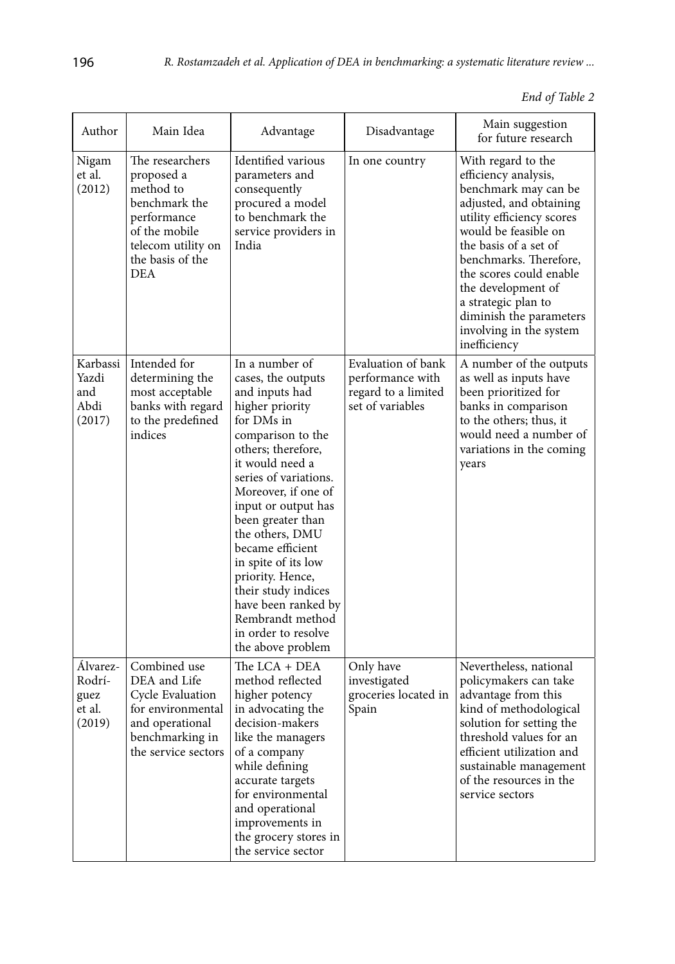| 1 | ۰.<br>×<br>I<br>۰. | ٠<br>۰.<br>×<br>v |
|---|--------------------|-------------------|
|---|--------------------|-------------------|

| End of Table 2 |  |  |  |
|----------------|--|--|--|
|----------------|--|--|--|

| Author                                         | Main Idea                                                                                                                                           | Advantage                                                                                                                                                                                                                                                                                                                                                                                                                                         | Disadvantage                                                                      | Main suggestion<br>for future research                                                                                                                                                                                                                                                                                                              |
|------------------------------------------------|-----------------------------------------------------------------------------------------------------------------------------------------------------|---------------------------------------------------------------------------------------------------------------------------------------------------------------------------------------------------------------------------------------------------------------------------------------------------------------------------------------------------------------------------------------------------------------------------------------------------|-----------------------------------------------------------------------------------|-----------------------------------------------------------------------------------------------------------------------------------------------------------------------------------------------------------------------------------------------------------------------------------------------------------------------------------------------------|
| Nigam<br>et al.<br>(2012)                      | The researchers<br>proposed a<br>method to<br>benchmark the<br>performance<br>of the mobile<br>telecom utility on<br>the basis of the<br><b>DEA</b> | Identified various<br>parameters and<br>consequently<br>procured a model<br>to benchmark the<br>service providers in<br>India                                                                                                                                                                                                                                                                                                                     | In one country                                                                    | With regard to the<br>efficiency analysis,<br>benchmark may can be<br>adjusted, and obtaining<br>utility efficiency scores<br>would be feasible on<br>the basis of a set of<br>benchmarks. Therefore,<br>the scores could enable<br>the development of<br>a strategic plan to<br>diminish the parameters<br>involving in the system<br>inefficiency |
| Karbassi<br>Yazdi<br>and<br>Abdi<br>(2017)     | Intended for<br>determining the<br>most acceptable<br>banks with regard<br>to the predefined<br>indices                                             | In a number of<br>cases, the outputs<br>and inputs had<br>higher priority<br>for DMs in<br>comparison to the<br>others; therefore,<br>it would need a<br>series of variations.<br>Moreover, if one of<br>input or output has<br>been greater than<br>the others, DMU<br>became efficient<br>in spite of its low<br>priority. Hence,<br>their study indices<br>have been ranked by<br>Rembrandt method<br>in order to resolve<br>the above problem | Evaluation of bank<br>performance with<br>regard to a limited<br>set of variables | A number of the outputs<br>as well as inputs have<br>been prioritized for<br>banks in comparison<br>to the others; thus, it<br>would need a number of<br>variations in the coming<br>years                                                                                                                                                          |
| Álvarez-<br>Rodrí-<br>guez<br>et al.<br>(2019) | Combined use<br>DEA and Life<br>Cycle Evaluation<br>for environmental<br>and operational<br>benchmarking in<br>the service sectors                  | The LCA + DEA<br>method reflected<br>higher potency<br>in advocating the<br>decision-makers<br>like the managers<br>of a company<br>while defining<br>accurate targets<br>for environmental<br>and operational<br>improvements in<br>the grocery stores in<br>the service sector                                                                                                                                                                  | Only have<br>investigated<br>groceries located in<br>Spain                        | Nevertheless, national<br>policymakers can take<br>advantage from this<br>kind of methodological<br>solution for setting the<br>threshold values for an<br>efficient utilization and<br>sustainable management<br>of the resources in the<br>service sectors                                                                                        |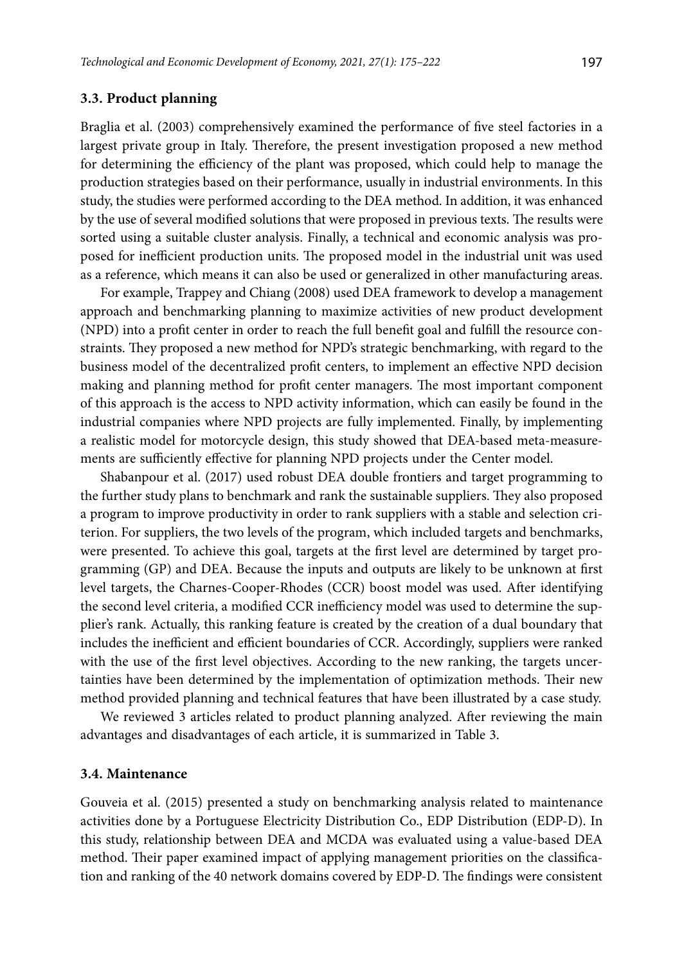### **3.3. Product planning**

Braglia et al. (2003) comprehensively examined the performance of five steel factories in a largest private group in Italy. Therefore, the present investigation proposed a new method for determining the efficiency of the plant was proposed, which could help to manage the production strategies based on their performance, usually in industrial environments. In this study, the studies were performed according to the DEA method. In addition, it was enhanced by the use of several modified solutions that were proposed in previous texts. The results were sorted using a suitable cluster analysis. Finally, a technical and economic analysis was proposed for inefficient production units. The proposed model in the industrial unit was used as a reference, which means it can also be used or generalized in other manufacturing areas.

For example, Trappey and Chiang (2008) used DEA framework to develop a management approach and benchmarking planning to maximize activities of new product development (NPD) into a profit center in order to reach the full benefit goal and fulfill the resource constraints. They proposed a new method for NPD's strategic benchmarking, with regard to the business model of the decentralized profit centers, to implement an effective NPD decision making and planning method for profit center managers. The most important component of this approach is the access to NPD activity information, which can easily be found in the industrial companies where NPD projects are fully implemented. Finally, by implementing a realistic model for motorcycle design, this study showed that DEA-based meta-measurements are sufficiently effective for planning NPD projects under the Center model.

Shabanpour et al. (2017) used robust DEA double frontiers and target programming to the further study plans to benchmark and rank the sustainable suppliers. They also proposed a program to improve productivity in order to rank suppliers with a stable and selection criterion. For suppliers, the two levels of the program, which included targets and benchmarks, were presented. To achieve this goal, targets at the first level are determined by target programming (GP) and DEA. Because the inputs and outputs are likely to be unknown at first level targets, the Charnes-Cooper-Rhodes (CCR) boost model was used. After identifying the second level criteria, a modified CCR inefficiency model was used to determine the supplier's rank. Actually, this ranking feature is created by the creation of a dual boundary that includes the inefficient and efficient boundaries of CCR. Accordingly, suppliers were ranked with the use of the first level objectives. According to the new ranking, the targets uncertainties have been determined by the implementation of optimization methods. Their new method provided planning and technical features that have been illustrated by a case study.

We reviewed 3 articles related to product planning analyzed. After reviewing the main advantages and disadvantages of each article, it is summarized in Table 3.

#### **3.4. Maintenance**

Gouveia et al. (2015) presented a study on benchmarking analysis related to maintenance activities done by a Portuguese Electricity Distribution Co., EDP Distribution (EDP-D). In this study, relationship between DEA and MCDA was evaluated using a value-based DEA method. Their paper examined impact of applying management priorities on the classification and ranking of the 40 network domains covered by EDP-D. The findings were consistent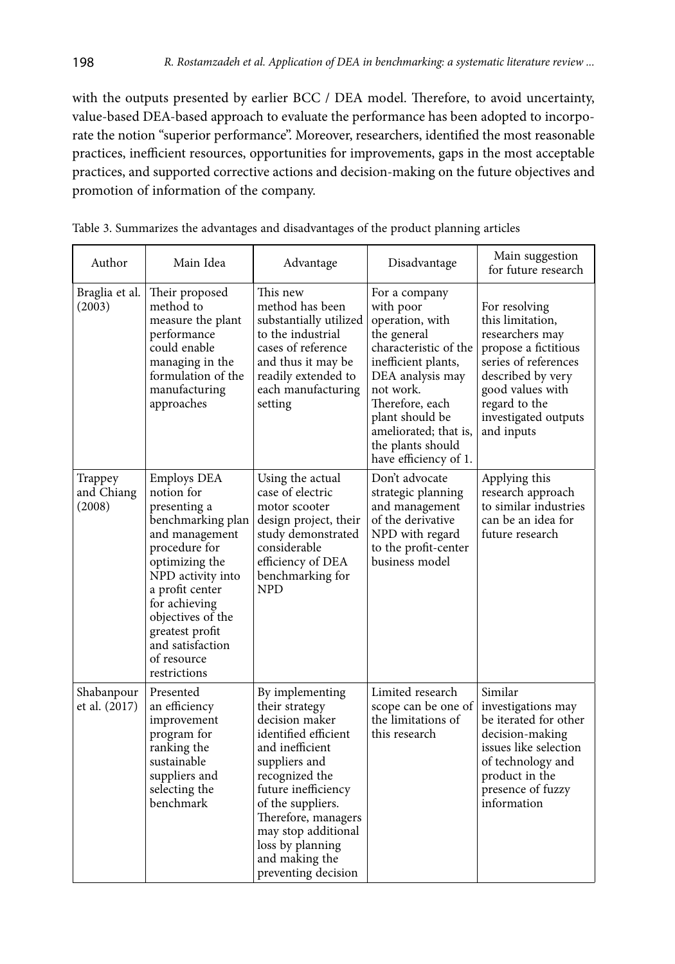with the outputs presented by earlier BCC / DEA model. Therefore, to avoid uncertainty, value-based DEA-based approach to evaluate the performance has been adopted to incorporate the notion "superior performance". Moreover, researchers, identified the most reasonable practices, inefficient resources, opportunities for improvements, gaps in the most acceptable practices, and supported corrective actions and decision-making on the future objectives and promotion of information of the company.

| Author                          | Main Idea                                                                                                                                                                                                                                                                      | Advantage                                                                                                                                                                                                                                                                                | Disadvantage                                                                                                                                                                                                                                               | Main suggestion<br>for future research                                                                                                                                                               |
|---------------------------------|--------------------------------------------------------------------------------------------------------------------------------------------------------------------------------------------------------------------------------------------------------------------------------|------------------------------------------------------------------------------------------------------------------------------------------------------------------------------------------------------------------------------------------------------------------------------------------|------------------------------------------------------------------------------------------------------------------------------------------------------------------------------------------------------------------------------------------------------------|------------------------------------------------------------------------------------------------------------------------------------------------------------------------------------------------------|
| Braglia et al.<br>(2003)        | Their proposed<br>method to<br>measure the plant<br>performance<br>could enable<br>managing in the<br>formulation of the<br>manufacturing<br>approaches                                                                                                                        | This new<br>method has been<br>substantially utilized<br>to the industrial<br>cases of reference<br>and thus it may be<br>readily extended to<br>each manufacturing<br>setting                                                                                                           | For a company<br>with poor<br>operation, with<br>the general<br>characteristic of the<br>inefficient plants,<br>DEA analysis may<br>not work.<br>Therefore, each<br>plant should be<br>ameliorated; that is,<br>the plants should<br>have efficiency of 1. | For resolving<br>this limitation,<br>researchers may<br>propose a fictitious<br>series of references<br>described by very<br>good values with<br>regard to the<br>investigated outputs<br>and inputs |
| Trappey<br>and Chiang<br>(2008) | <b>Employs DEA</b><br>notion for<br>presenting a<br>benchmarking plan<br>and management<br>procedure for<br>optimizing the<br>NPD activity into<br>a profit center<br>for achieving<br>objectives of the<br>greatest profit<br>and satisfaction<br>of resource<br>restrictions | Using the actual<br>case of electric<br>motor scooter<br>design project, their<br>study demonstrated<br>considerable<br>efficiency of DEA<br>benchmarking for<br><b>NPD</b>                                                                                                              | Don't advocate<br>strategic planning<br>and management<br>of the derivative<br>NPD with regard<br>to the profit-center<br>business model                                                                                                                   | Applying this<br>research approach<br>to similar industries<br>can be an idea for<br>future research                                                                                                 |
| Shabanpour<br>et al. (2017)     | Presented<br>an efficiency<br>improvement<br>program for<br>ranking the<br>sustainable<br>suppliers and<br>selecting the<br>benchmark                                                                                                                                          | By implementing<br>their strategy<br>decision maker<br>identified efficient<br>and inefficient<br>suppliers and<br>recognized the<br>future inefficiency<br>of the suppliers.<br>Therefore, managers<br>may stop additional<br>loss by planning<br>and making the<br>preventing decision | Limited research<br>scope can be one of<br>the limitations of<br>this research                                                                                                                                                                             | Similar<br>investigations may<br>be iterated for other<br>decision-making<br>issues like selection<br>of technology and<br>product in the<br>presence of fuzzy<br>information                        |

| Table 3. Summarizes the advantages and disadvantages of the product planning articles |
|---------------------------------------------------------------------------------------|
|---------------------------------------------------------------------------------------|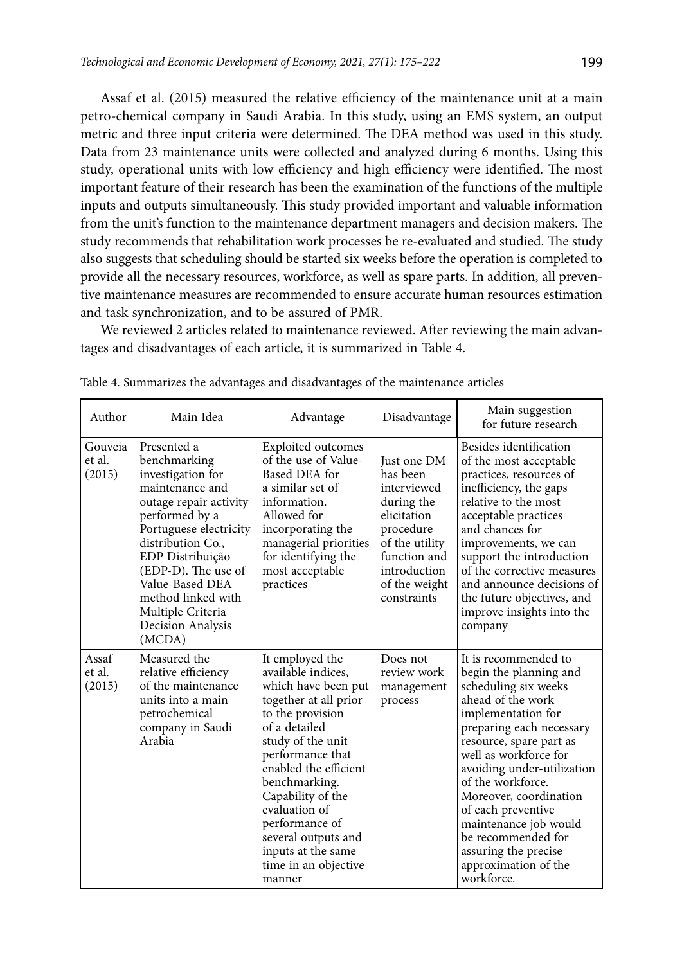Assaf et al. (2015) measured the relative efficiency of the maintenance unit at a main petro-chemical company in Saudi Arabia. In this study, using an EMS system, an output metric and three input criteria were determined. The DEA method was used in this study. Data from 23 maintenance units were collected and analyzed during 6 months. Using this study, operational units with low efficiency and high efficiency were identified. The most important feature of their research has been the examination of the functions of the multiple inputs and outputs simultaneously. This study provided important and valuable information from the unit's function to the maintenance department managers and decision makers. The study recommends that rehabilitation work processes be re-evaluated and studied. The study also suggests that scheduling should be started six weeks before the operation is completed to provide all the necessary resources, workforce, as well as spare parts. In addition, all preventive maintenance measures are recommended to ensure accurate human resources estimation and task synchronization, and to be assured of PMR.

We reviewed 2 articles related to maintenance reviewed. After reviewing the main advantages and disadvantages of each article, it is summarized in Table 4.

| Author                      | Main Idea                                                                                                                                                                                                                                                                                              | Advantage                                                                                                                                                                                                                                                                                                                                            | Disadvantage                                                                                                                                                       | Main suggestion<br>for future research                                                                                                                                                                                                                                                                                                                                                                            |
|-----------------------------|--------------------------------------------------------------------------------------------------------------------------------------------------------------------------------------------------------------------------------------------------------------------------------------------------------|------------------------------------------------------------------------------------------------------------------------------------------------------------------------------------------------------------------------------------------------------------------------------------------------------------------------------------------------------|--------------------------------------------------------------------------------------------------------------------------------------------------------------------|-------------------------------------------------------------------------------------------------------------------------------------------------------------------------------------------------------------------------------------------------------------------------------------------------------------------------------------------------------------------------------------------------------------------|
| Gouveia<br>et al.<br>(2015) | Presented a<br>benchmarking<br>investigation for<br>maintenance and<br>outage repair activity<br>performed by a<br>Portuguese electricity<br>distribution Co.,<br>EDP Distribuição<br>(EDP-D). The use of<br>Value-Based DEA<br>method linked with<br>Multiple Criteria<br>Decision Analysis<br>(MCDA) | Exploited outcomes<br>of the use of Value-<br>Based DEA for<br>a similar set of<br>information.<br>Allowed for<br>incorporating the<br>managerial priorities<br>for identifying the<br>most acceptable<br>practices                                                                                                                                  | Just one DM<br>has been<br>interviewed<br>during the<br>elicitation<br>procedure<br>of the utility<br>function and<br>introduction<br>of the weight<br>constraints | Besides identification<br>of the most acceptable<br>practices, resources of<br>inefficiency, the gaps<br>relative to the most<br>acceptable practices<br>and chances for<br>improvements, we can<br>support the introduction<br>of the corrective measures<br>and announce decisions of<br>the future objectives, and<br>improve insights into the<br>company                                                     |
| Assaf<br>et al.<br>(2015)   | Measured the<br>relative efficiency<br>of the maintenance<br>units into a main<br>petrochemical<br>company in Saudi<br>Arabia                                                                                                                                                                          | It employed the<br>available indices,<br>which have been put<br>together at all prior<br>to the provision<br>of a detailed<br>study of the unit<br>performance that<br>enabled the efficient<br>benchmarking.<br>Capability of the<br>evaluation of<br>performance of<br>several outputs and<br>inputs at the same<br>time in an objective<br>manner | Does not<br>review work<br>management<br>process                                                                                                                   | It is recommended to<br>begin the planning and<br>scheduling six weeks<br>ahead of the work<br>implementation for<br>preparing each necessary<br>resource, spare part as<br>well as workforce for<br>avoiding under-utilization<br>of the workforce.<br>Moreover, coordination<br>of each preventive<br>maintenance job would<br>be recommended for<br>assuring the precise<br>approximation of the<br>workforce. |

Table 4. Summarizes the advantages and disadvantages of the maintenance articles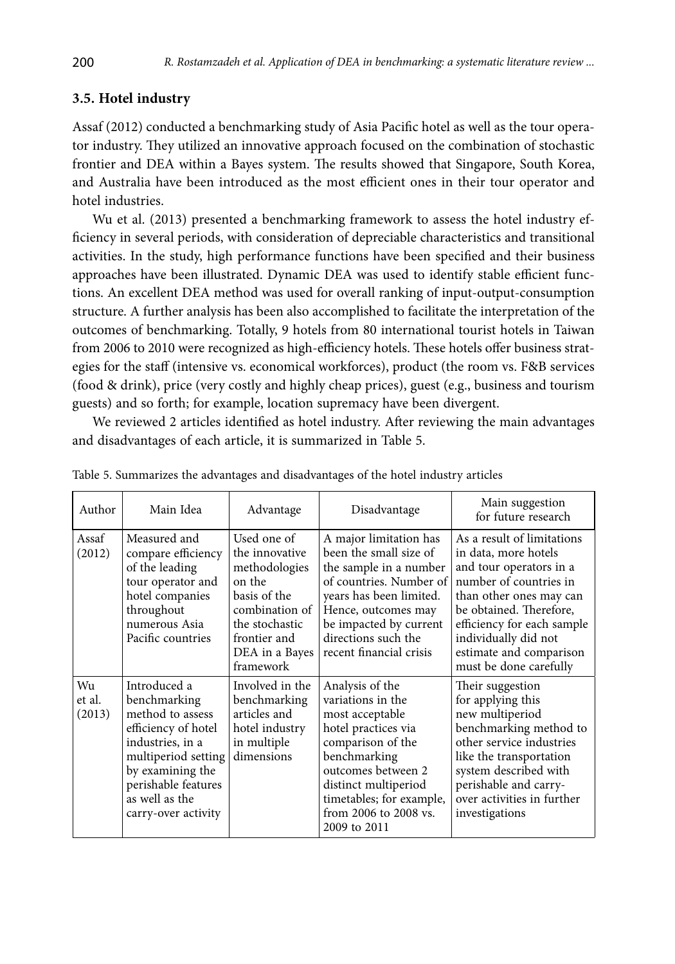### **3.5. Hotel industry**

Assaf (2012) conducted a benchmarking study of Asia Pacific hotel as well as the tour operator industry. They utilized an innovative approach focused on the combination of stochastic frontier and DEA within a Bayes system. The results showed that Singapore, South Korea, and Australia have been introduced as the most efficient ones in their tour operator and hotel industries.

Wu et al. (2013) presented a benchmarking framework to assess the hotel industry efficiency in several periods, with consideration of depreciable characteristics and transitional activities. In the study, high performance functions have been specified and their business approaches have been illustrated. Dynamic DEA was used to identify stable efficient functions. An excellent DEA method was used for overall ranking of input-output-consumption structure. A further analysis has been also accomplished to facilitate the interpretation of the outcomes of benchmarking. Totally, 9 hotels from 80 international tourist hotels in Taiwan from 2006 to 2010 were recognized as high-efficiency hotels. These hotels offer business strategies for the staff (intensive vs. economical workforces), product (the room vs. F&B services (food & drink), price (very costly and highly cheap prices), guest (e.g., business and tourism guests) and so forth; for example, location supremacy have been divergent.

We reviewed 2 articles identified as hotel industry. After reviewing the main advantages and disadvantages of each article, it is summarized in Table 5.

| Author                 | Main Idea                                                                                                                                                                                              | Advantage                                                                                                                                                   | Disadvantage                                                                                                                                                                                                                           | Main suggestion<br>for future research                                                                                                                                                                                                                                   |
|------------------------|--------------------------------------------------------------------------------------------------------------------------------------------------------------------------------------------------------|-------------------------------------------------------------------------------------------------------------------------------------------------------------|----------------------------------------------------------------------------------------------------------------------------------------------------------------------------------------------------------------------------------------|--------------------------------------------------------------------------------------------------------------------------------------------------------------------------------------------------------------------------------------------------------------------------|
| Assaf<br>(2012)        | Measured and<br>compare efficiency<br>of the leading<br>tour operator and<br>hotel companies<br>throughout<br>numerous Asia<br>Pacific countries                                                       | Used one of<br>the innovative<br>methodologies<br>on the<br>basis of the<br>combination of<br>the stochastic<br>frontier and<br>DEA in a Bayes<br>framework | A major limitation has<br>been the small size of<br>the sample in a number<br>of countries. Number of<br>years has been limited.<br>Hence, outcomes may<br>be impacted by current<br>directions such the<br>recent financial crisis    | As a result of limitations<br>in data, more hotels<br>and tour operators in a<br>number of countries in<br>than other ones may can<br>be obtained. Therefore,<br>efficiency for each sample<br>individually did not<br>estimate and comparison<br>must be done carefully |
| Wu<br>et al.<br>(2013) | Introduced a<br>benchmarking<br>method to assess<br>efficiency of hotel<br>industries, in a<br>multiperiod setting<br>by examining the<br>perishable features<br>as well as the<br>carry-over activity | Involved in the<br>benchmarking<br>articles and<br>hotel industry<br>in multiple<br>dimensions                                                              | Analysis of the<br>variations in the<br>most acceptable<br>hotel practices via<br>comparison of the<br>benchmarking<br>outcomes between 2<br>distinct multiperiod<br>timetables; for example,<br>from 2006 to 2008 vs.<br>2009 to 2011 | Their suggestion<br>for applying this<br>new multiperiod<br>benchmarking method to<br>other service industries<br>like the transportation<br>system described with<br>perishable and carry-<br>over activities in further<br>investigations                              |

Table 5. Summarizes the advantages and disadvantages of the hotel industry articles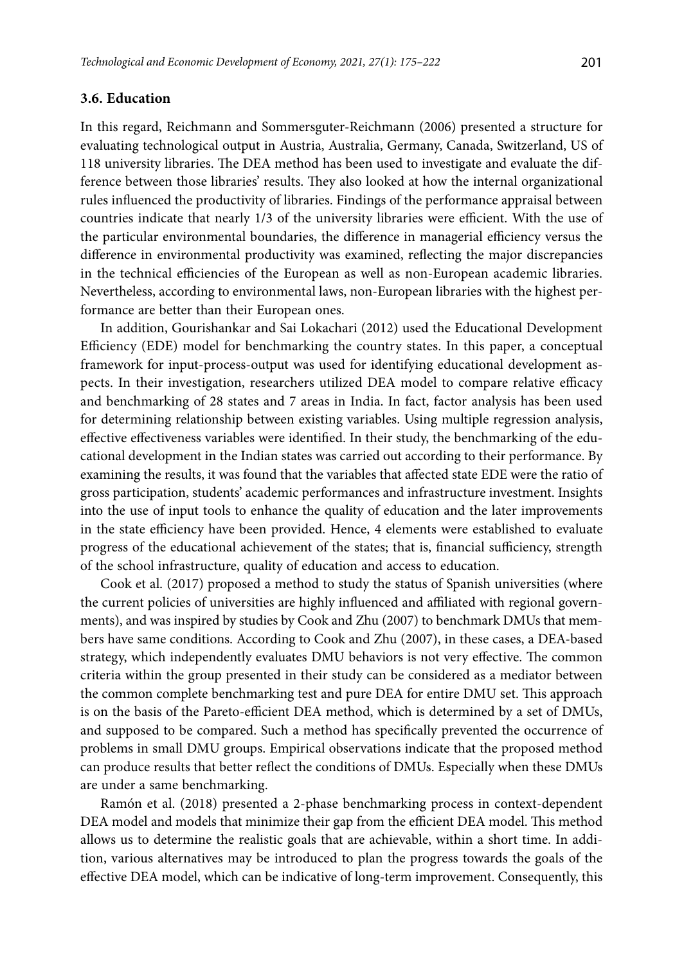#### **3.6. Education**

In this regard, Reichmann and Sommersguter-Reichmann (2006) presented a structure for evaluating technological output in Austria, Australia, Germany, Canada, Switzerland, US of 118 university libraries. The DEA method has been used to investigate and evaluate the difference between those libraries' results. They also looked at how the internal organizational rules influenced the productivity of libraries. Findings of the performance appraisal between countries indicate that nearly 1/3 of the university libraries were efficient. With the use of the particular environmental boundaries, the difference in managerial efficiency versus the difference in environmental productivity was examined, reflecting the major discrepancies in the technical efficiencies of the European as well as non-European academic libraries. Nevertheless, according to environmental laws, non-European libraries with the highest performance are better than their European ones.

In addition, Gourishankar and Sai Lokachari (2012) used the Educational Development Efficiency (EDE) model for benchmarking the country states. In this paper, a conceptual framework for input-process-output was used for identifying educational development aspects. In their investigation, researchers utilized DEA model to compare relative efficacy and benchmarking of 28 states and 7 areas in India. In fact, factor analysis has been used for determining relationship between existing variables. Using multiple regression analysis, effective effectiveness variables were identified. In their study, the benchmarking of the educational development in the Indian states was carried out according to their performance. By examining the results, it was found that the variables that affected state EDE were the ratio of gross participation, students' academic performances and infrastructure investment. Insights into the use of input tools to enhance the quality of education and the later improvements in the state efficiency have been provided. Hence, 4 elements were established to evaluate progress of the educational achievement of the states; that is, financial sufficiency, strength of the school infrastructure, quality of education and access to education.

Cook et al. (2017) proposed a method to study the status of Spanish universities (where the current policies of universities are highly influenced and affiliated with regional governments), and was inspired by studies by Cook and Zhu (2007) to benchmark DMUs that members have same conditions. According to Cook and Zhu (2007), in these cases, a DEA-based strategy, which independently evaluates DMU behaviors is not very effective. The common criteria within the group presented in their study can be considered as a mediator between the common complete benchmarking test and pure DEA for entire DMU set. This approach is on the basis of the Pareto-efficient DEA method, which is determined by a set of DMUs, and supposed to be compared. Such a method has specifically prevented the occurrence of problems in small DMU groups. Empirical observations indicate that the proposed method can produce results that better reflect the conditions of DMUs. Especially when these DMUs are under a same benchmarking.

Ramón et al. (2018) presented a 2-phase benchmarking process in context-dependent DEA model and models that minimize their gap from the efficient DEA model. This method allows us to determine the realistic goals that are achievable, within a short time. In addition, various alternatives may be introduced to plan the progress towards the goals of the effective DEA model, which can be indicative of long-term improvement. Consequently, this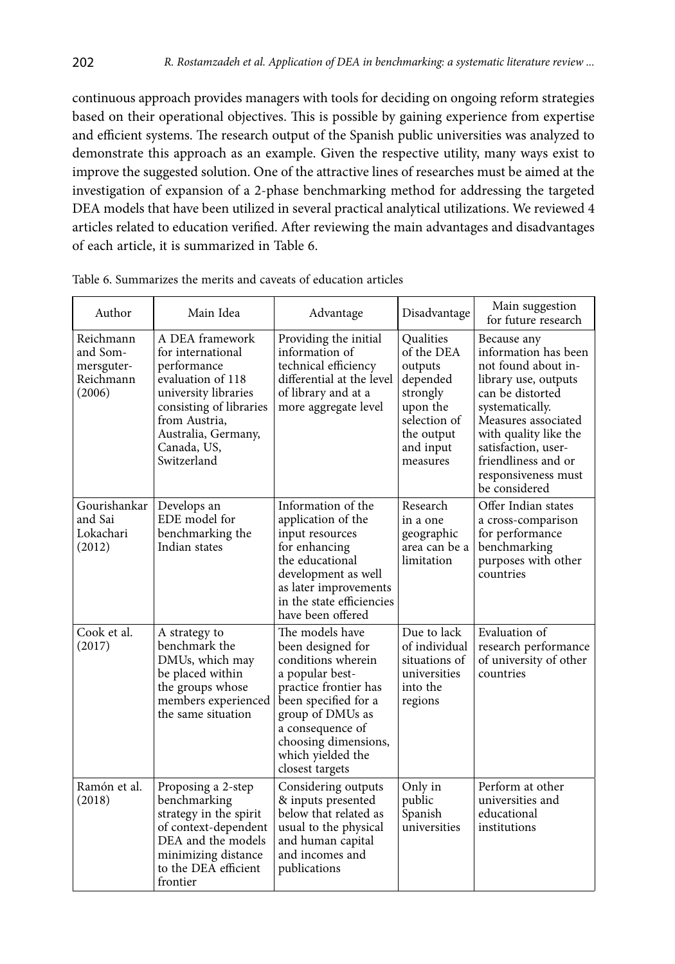continuous approach provides managers with tools for deciding on ongoing reform strategies based on their operational objectives. This is possible by gaining experience from expertise and efficient systems. The research output of the Spanish public universities was analyzed to demonstrate this approach as an example. Given the respective utility, many ways exist to improve the suggested solution. One of the attractive lines of researches must be aimed at the investigation of expansion of a 2-phase benchmarking method for addressing the targeted DEA models that have been utilized in several practical analytical utilizations. We reviewed 4 articles related to education verified. After reviewing the main advantages and disadvantages of each article, it is summarized in Table 6.

| Author                                                     | Main Idea                                                                                                                                                                                         | Advantage                                                                                                                                                                                                                              | Disadvantage                                                                                                                  | Main suggestion<br>for future research                                                                                                                                                                                                                          |
|------------------------------------------------------------|---------------------------------------------------------------------------------------------------------------------------------------------------------------------------------------------------|----------------------------------------------------------------------------------------------------------------------------------------------------------------------------------------------------------------------------------------|-------------------------------------------------------------------------------------------------------------------------------|-----------------------------------------------------------------------------------------------------------------------------------------------------------------------------------------------------------------------------------------------------------------|
| Reichmann<br>and Som-<br>mersguter-<br>Reichmann<br>(2006) | A DEA framework<br>for international<br>performance<br>evaluation of 118<br>university libraries<br>consisting of libraries<br>from Austria,<br>Australia, Germany,<br>Canada, US,<br>Switzerland | Providing the initial<br>information of<br>technical efficiency<br>differential at the level<br>of library and at a<br>more aggregate level                                                                                            | Oualities<br>of the DEA<br>outputs<br>depended<br>strongly<br>upon the<br>selection of<br>the output<br>and input<br>measures | Because any<br>information has been<br>not found about in-<br>library use, outputs<br>can be distorted<br>systematically.<br>Measures associated<br>with quality like the<br>satisfaction, user-<br>friendliness and or<br>responsiveness must<br>be considered |
| Gourishankar<br>and Sai<br>Lokachari<br>(2012)             | Develops an<br>EDE model for<br>benchmarking the<br>Indian states                                                                                                                                 | Information of the<br>application of the<br>input resources<br>for enhancing<br>the educational<br>development as well<br>as later improvements<br>in the state efficiencies<br>have been offered                                      | Research<br>in a one<br>geographic<br>area can be a<br>limitation                                                             | Offer Indian states<br>a cross-comparison<br>for performance<br>benchmarking<br>purposes with other<br>countries                                                                                                                                                |
| Cook et al.<br>(2017)                                      | A strategy to<br>benchmark the<br>DMUs, which may<br>be placed within<br>the groups whose<br>members experienced<br>the same situation                                                            | The models have<br>been designed for<br>conditions wherein<br>a popular best-<br>practice frontier has<br>been specified for a<br>group of DMUs as<br>a consequence of<br>choosing dimensions,<br>which yielded the<br>closest targets | Due to lack<br>of individual<br>situations of<br>universities<br>into the<br>regions                                          | Evaluation of<br>research performance<br>of university of other<br>countries                                                                                                                                                                                    |
| Ramón et al.<br>(2018)                                     | Proposing a 2-step<br>benchmarking<br>strategy in the spirit<br>of context-dependent<br>DEA and the models<br>minimizing distance<br>to the DEA efficient<br>frontier                             | Considering outputs<br>& inputs presented<br>below that related as<br>usual to the physical<br>and human capital<br>and incomes and<br>publications                                                                                    | Only in<br>public<br>Spanish<br>universities                                                                                  | Perform at other<br>universities and<br>educational<br>institutions                                                                                                                                                                                             |

Table 6. Summarizes the merits and caveats of education articles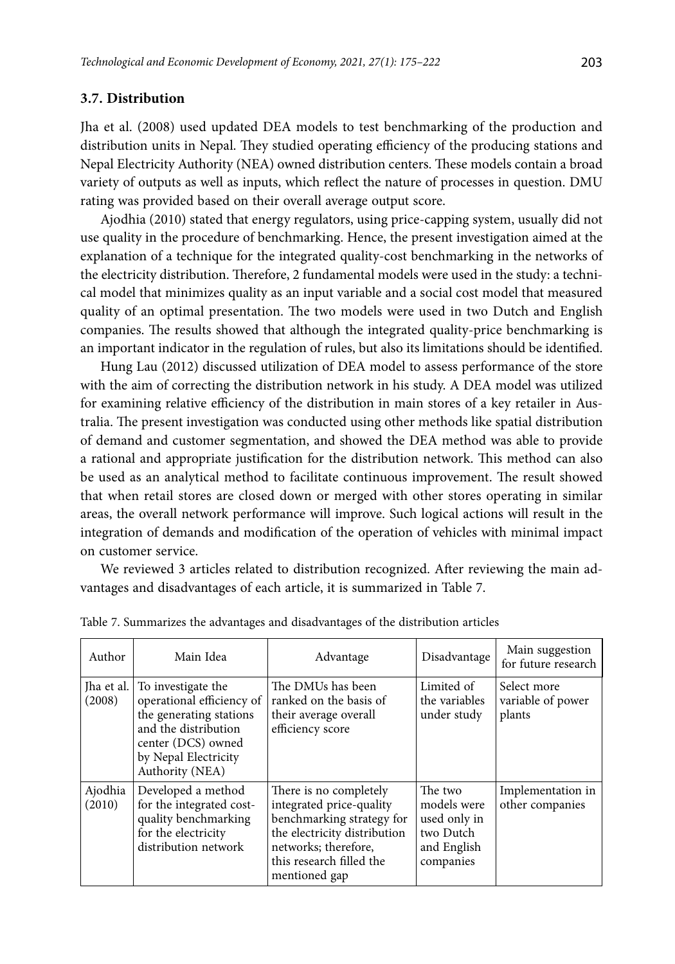#### **3.7. Distribution**

Jha et al. (2008) used updated DEA models to test benchmarking of the production and distribution units in Nepal. They studied operating efficiency of the producing stations and Nepal Electricity Authority (NEA) owned distribution centers. These models contain a broad variety of outputs as well as inputs, which reflect the nature of processes in question. DMU rating was provided based on their overall average output score.

Ajodhia (2010) stated that energy regulators, using price-capping system, usually did not use quality in the procedure of benchmarking. Hence, the present investigation aimed at the explanation of a technique for the integrated quality-cost benchmarking in the networks of the electricity distribution. Therefore, 2 fundamental models were used in the study: a technical model that minimizes quality as an input variable and a social cost model that measured quality of an optimal presentation. The two models were used in two Dutch and English companies. The results showed that although the integrated quality-price benchmarking is an important indicator in the regulation of rules, but also its limitations should be identified.

Hung Lau (2012) discussed utilization of DEA model to assess performance of the store with the aim of correcting the distribution network in his study. A DEA model was utilized for examining relative efficiency of the distribution in main stores of a key retailer in Australia. The present investigation was conducted using other methods like spatial distribution of demand and customer segmentation, and showed the DEA method was able to provide a rational and appropriate justification for the distribution network. This method can also be used as an analytical method to facilitate continuous improvement. The result showed that when retail stores are closed down or merged with other stores operating in similar areas, the overall network performance will improve. Such logical actions will result in the integration of demands and modification of the operation of vehicles with minimal impact on customer service.

We reviewed 3 articles related to distribution recognized. After reviewing the main advantages and disadvantages of each article, it is summarized in Table 7.

| Author               | Main Idea                                                                                                                                                           | Advantage                                                                                                                                                                            | Disadvantage                                                                    | Main suggestion<br>for future research     |
|----------------------|---------------------------------------------------------------------------------------------------------------------------------------------------------------------|--------------------------------------------------------------------------------------------------------------------------------------------------------------------------------------|---------------------------------------------------------------------------------|--------------------------------------------|
| Iha et al.<br>(2008) | To investigate the<br>operational efficiency of<br>the generating stations<br>and the distribution<br>center (DCS) owned<br>by Nepal Electricity<br>Authority (NEA) | The DMUs has been<br>ranked on the basis of<br>their average overall<br>efficiency score                                                                                             | Limited of<br>the variables<br>under study                                      | Select more<br>variable of power<br>plants |
| Ajodhia<br>(2010)    | Developed a method<br>for the integrated cost-<br>quality benchmarking<br>for the electricity<br>distribution network                                               | There is no completely<br>integrated price-quality<br>benchmarking strategy for<br>the electricity distribution<br>networks: therefore,<br>this research filled the<br>mentioned gap | The two<br>models were<br>used only in<br>two Dutch<br>and English<br>companies | Implementation in<br>other companies       |

Table 7. Summarizes the advantages and disadvantages of the distribution articles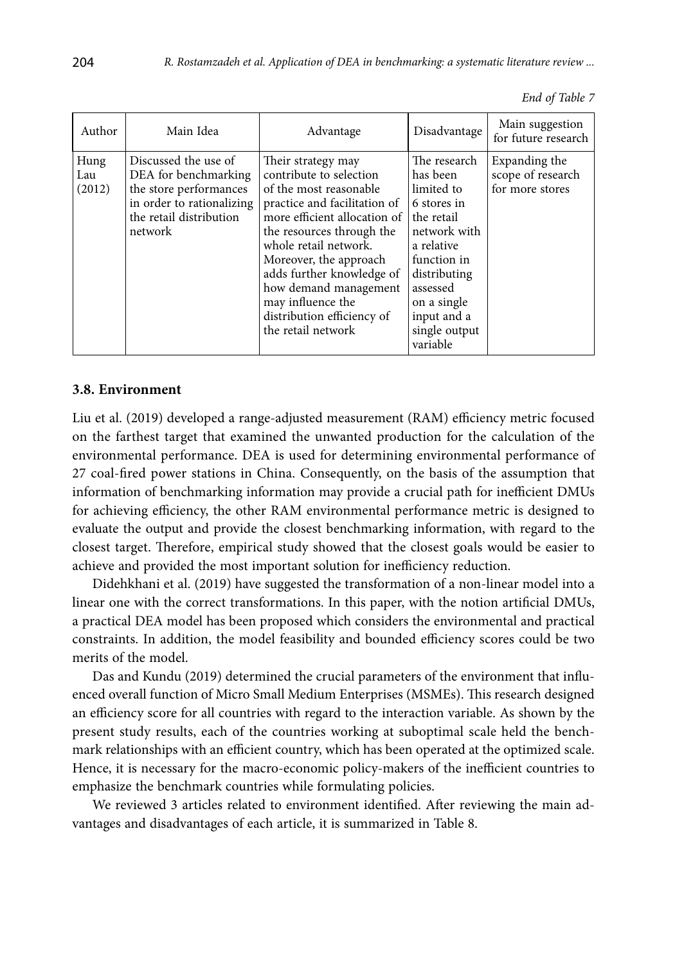|  |  | End of Table 7 |  |
|--|--|----------------|--|
|--|--|----------------|--|

| Author                | Main Idea                                                                                                                                 | Advantage                                                                                                                                                                                                                                                                                                                                              | Disadvantage                                                                                                                                                                                            | Main suggestion<br>for future research                |
|-----------------------|-------------------------------------------------------------------------------------------------------------------------------------------|--------------------------------------------------------------------------------------------------------------------------------------------------------------------------------------------------------------------------------------------------------------------------------------------------------------------------------------------------------|---------------------------------------------------------------------------------------------------------------------------------------------------------------------------------------------------------|-------------------------------------------------------|
| Hung<br>Lau<br>(2012) | Discussed the use of<br>DEA for benchmarking<br>the store performances<br>in order to rationalizing<br>the retail distribution<br>network | Their strategy may<br>contribute to selection<br>of the most reasonable<br>practice and facilitation of<br>more efficient allocation of<br>the resources through the<br>whole retail network.<br>Moreover, the approach<br>adds further knowledge of<br>how demand management<br>may influence the<br>distribution efficiency of<br>the retail network | The research<br>has been<br>limited to<br>6 stores in<br>the retail<br>network with<br>a relative<br>function in<br>distributing<br>assessed<br>on a single<br>input and a<br>single output<br>variable | Expanding the<br>scope of research<br>for more stores |

### **3.8. Environment**

Liu et al. (2019) developed a range-adjusted measurement (RAM) efficiency metric focused on the farthest target that examined the unwanted production for the calculation of the environmental performance. DEA is used for determining environmental performance of 27 coal-fired power stations in China. Consequently, on the basis of the assumption that information of benchmarking information may provide a crucial path for inefficient DMUs for achieving efficiency, the other RAM environmental performance metric is designed to evaluate the output and provide the closest benchmarking information, with regard to the closest target. Therefore, empirical study showed that the closest goals would be easier to achieve and provided the most important solution for inefficiency reduction.

Didehkhani et al. (2019) have suggested the transformation of a non-linear model into a linear one with the correct transformations. In this paper, with the notion artificial DMUs, a practical DEA model has been proposed which considers the environmental and practical constraints. In addition, the model feasibility and bounded efficiency scores could be two merits of the model.

Das and Kundu (2019) determined the crucial parameters of the environment that influenced overall function of Micro Small Medium Enterprises (MSMEs). This research designed an efficiency score for all countries with regard to the interaction variable. As shown by the present study results, each of the countries working at suboptimal scale held the benchmark relationships with an efficient country, which has been operated at the optimized scale. Hence, it is necessary for the macro-economic policy-makers of the inefficient countries to emphasize the benchmark countries while formulating policies.

We reviewed 3 articles related to environment identified. After reviewing the main advantages and disadvantages of each article, it is summarized in Table 8.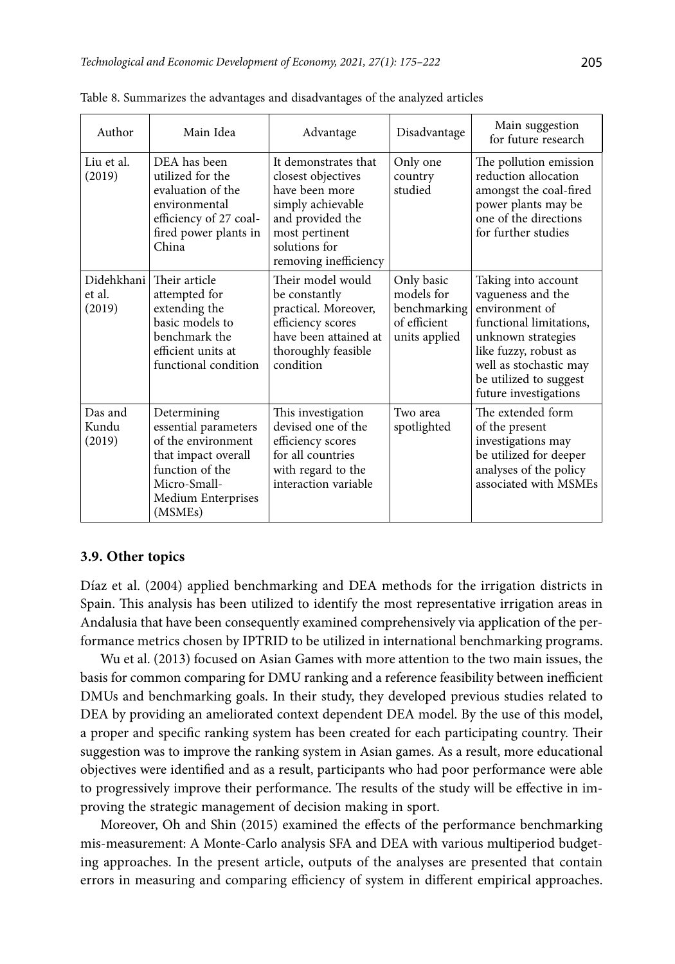| Author                         | Main Idea                                                                                                                                                         | Advantage                                                                                                                                                         | Disadvantage                                                              | Main suggestion<br>for future research                                                                                                                                                                            |
|--------------------------------|-------------------------------------------------------------------------------------------------------------------------------------------------------------------|-------------------------------------------------------------------------------------------------------------------------------------------------------------------|---------------------------------------------------------------------------|-------------------------------------------------------------------------------------------------------------------------------------------------------------------------------------------------------------------|
| Liu et al.<br>(2019)           | DEA has been<br>utilized for the<br>evaluation of the<br>environmental<br>efficiency of 27 coal-<br>fired power plants in<br>China                                | It demonstrates that<br>closest objectives<br>have been more<br>simply achievable<br>and provided the<br>most pertinent<br>solutions for<br>removing inefficiency | Only one<br>country<br>studied                                            | The pollution emission<br>reduction allocation<br>amongst the coal-fired<br>power plants may be<br>one of the directions<br>for further studies                                                                   |
| Didehkhani<br>et al.<br>(2019) | Their article<br>attempted for<br>extending the<br>basic models to<br>benchmark the<br>efficient units at<br>functional condition                                 | Their model would<br>be constantly<br>practical. Moreover,<br>efficiency scores<br>have been attained at<br>thoroughly feasible<br>condition                      | Only basic<br>models for<br>benchmarking<br>of efficient<br>units applied | Taking into account<br>vagueness and the<br>environment of<br>functional limitations.<br>unknown strategies<br>like fuzzy, robust as<br>well as stochastic may<br>be utilized to suggest<br>future investigations |
| Das and<br>Kundu<br>(2019)     | Determining<br>essential parameters<br>of the environment<br>that impact overall<br>function of the<br>Micro-Small-<br>Medium Enterprises<br>(MSME <sub>s</sub> ) | This investigation<br>devised one of the<br>efficiency scores<br>for all countries<br>with regard to the<br>interaction variable                                  | Two area<br>spotlighted                                                   | The extended form<br>of the present<br>investigations may<br>be utilized for deeper<br>analyses of the policy<br>associated with MSMEs                                                                            |

Table 8. Summarizes the advantages and disadvantages of the analyzed articles

#### **3.9. Other topics**

Díaz et al. (2004) applied benchmarking and DEA methods for the irrigation districts in Spain. This analysis has been utilized to identify the most representative irrigation areas in Andalusia that have been consequently examined comprehensively via application of the performance metrics chosen by IPTRID to be utilized in international benchmarking programs.

Wu et al. (2013) focused on Asian Games with more attention to the two main issues, the basis for common comparing for DMU ranking and a reference feasibility between inefficient DMUs and benchmarking goals. In their study, they developed previous studies related to DEA by providing an ameliorated context dependent DEA model. By the use of this model, a proper and specific ranking system has been created for each participating country. Their suggestion was to improve the ranking system in Asian games. As a result, more educational objectives were identified and as a result, participants who had poor performance were able to progressively improve their performance. The results of the study will be effective in improving the strategic management of decision making in sport.

Moreover, Oh and Shin (2015) examined the effects of the performance benchmarking mis-measurement: A Monte-Carlo analysis SFA and DEA with various multiperiod budgeting approaches. In the present article, outputs of the analyses are presented that contain errors in measuring and comparing efficiency of system in different empirical approaches.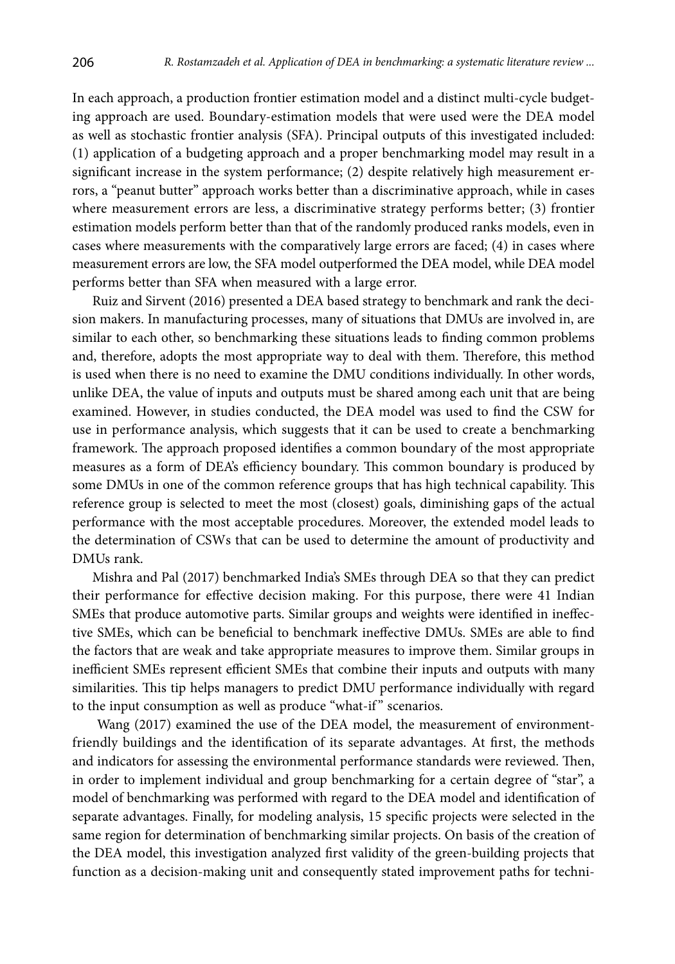In each approach, a production frontier estimation model and a distinct multi-cycle budgeting approach are used. Boundary-estimation models that were used were the DEA model as well as stochastic frontier analysis (SFA). Principal outputs of this investigated included: (1) application of a budgeting approach and a proper benchmarking model may result in a significant increase in the system performance; (2) despite relatively high measurement errors, a "peanut butter" approach works better than a discriminative approach, while in cases where measurement errors are less, a discriminative strategy performs better; (3) frontier estimation models perform better than that of the randomly produced ranks models, even in cases where measurements with the comparatively large errors are faced; (4) in cases where measurement errors are low, the SFA model outperformed the DEA model, while DEA model performs better than SFA when measured with a large error.

Ruiz and Sirvent (2016) presented a DEA based strategy to benchmark and rank the decision makers. In manufacturing processes, many of situations that DMUs are involved in, are similar to each other, so benchmarking these situations leads to finding common problems and, therefore, adopts the most appropriate way to deal with them. Therefore, this method is used when there is no need to examine the DMU conditions individually. In other words, unlike DEA, the value of inputs and outputs must be shared among each unit that are being examined. However, in studies conducted, the DEA model was used to find the CSW for use in performance analysis, which suggests that it can be used to create a benchmarking framework. The approach proposed identifies a common boundary of the most appropriate measures as a form of DEA's efficiency boundary. This common boundary is produced by some DMUs in one of the common reference groups that has high technical capability. This reference group is selected to meet the most (closest) goals, diminishing gaps of the actual performance with the most acceptable procedures. Moreover, the extended model leads to the determination of CSWs that can be used to determine the amount of productivity and DMUs rank.

Mishra and Pal (2017) benchmarked India's SMEs through DEA so that they can predict their performance for effective decision making. For this purpose, there were 41 Indian SMEs that produce automotive parts. Similar groups and weights were identified in ineffective SMEs, which can be beneficial to benchmark ineffective DMUs. SMEs are able to find the factors that are weak and take appropriate measures to improve them. Similar groups in inefficient SMEs represent efficient SMEs that combine their inputs and outputs with many similarities. This tip helps managers to predict DMU performance individually with regard to the input consumption as well as produce "what-if" scenarios.

 Wang (2017) examined the use of the DEA model, the measurement of environmentfriendly buildings and the identification of its separate advantages. At first, the methods and indicators for assessing the environmental performance standards were reviewed. Then, in order to implement individual and group benchmarking for a certain degree of "star", a model of benchmarking was performed with regard to the DEA model and identification of separate advantages. Finally, for modeling analysis, 15 specific projects were selected in the same region for determination of benchmarking similar projects. On basis of the creation of the DEA model, this investigation analyzed first validity of the green-building projects that function as a decision-making unit and consequently stated improvement paths for techni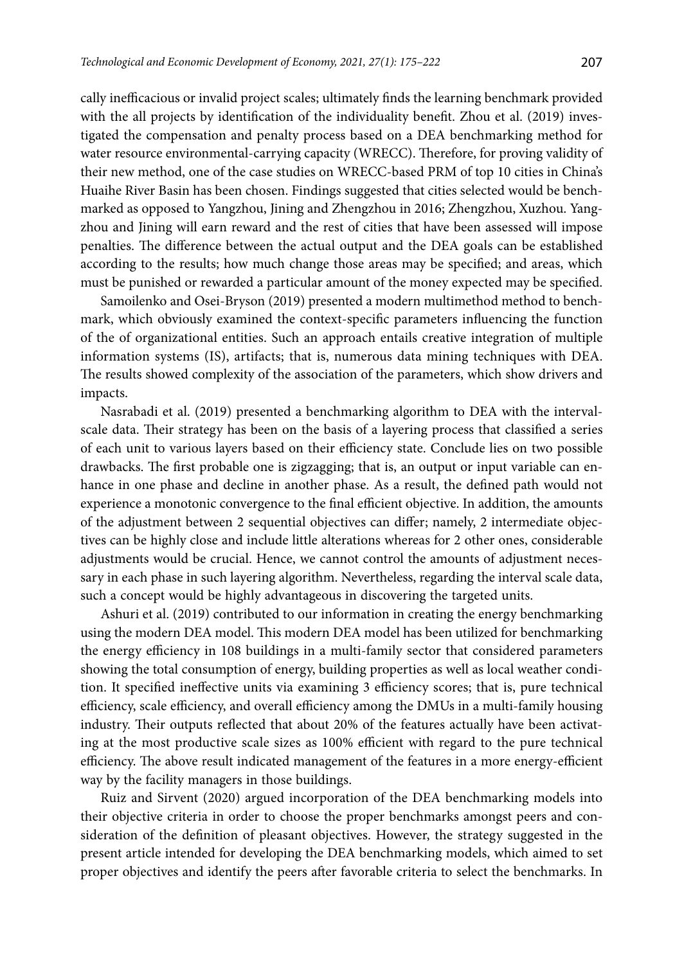cally inefficacious or invalid project scales; ultimately finds the learning benchmark provided with the all projects by identification of the individuality benefit. Zhou et al. (2019) investigated the compensation and penalty process based on a DEA benchmarking method for water resource environmental-carrying capacity (WRECC). Therefore, for proving validity of their new method, one of the case studies on WRECC-based PRM of top 10 cities in China's Huaihe River Basin has been chosen. Findings suggested that cities selected would be benchmarked as opposed to Yangzhou, Jining and Zhengzhou in 2016; Zhengzhou, Xuzhou. Yangzhou and Jining will earn reward and the rest of cities that have been assessed will impose penalties. The difference between the actual output and the DEA goals can be established according to the results; how much change those areas may be specified; and areas, which must be punished or rewarded a particular amount of the money expected may be specified.

Samoilenko and Osei-Bryson (2019) presented a modern multimethod method to benchmark, which obviously examined the context-specific parameters influencing the function of the of organizational entities. Such an approach entails creative integration of multiple information systems (IS), artifacts; that is, numerous data mining techniques with DEA. The results showed complexity of the association of the parameters, which show drivers and impacts.

Nasrabadi et al. (2019) presented a benchmarking algorithm to DEA with the intervalscale data. Their strategy has been on the basis of a layering process that classified a series of each unit to various layers based on their efficiency state. Conclude lies on two possible drawbacks. The first probable one is zigzagging; that is, an output or input variable can enhance in one phase and decline in another phase. As a result, the defined path would not experience a monotonic convergence to the final efficient objective. In addition, the amounts of the adjustment between 2 sequential objectives can differ; namely, 2 intermediate objectives can be highly close and include little alterations whereas for 2 other ones, considerable adjustments would be crucial. Hence, we cannot control the amounts of adjustment necessary in each phase in such layering algorithm. Nevertheless, regarding the interval scale data, such a concept would be highly advantageous in discovering the targeted units.

Ashuri et al. (2019) contributed to our information in creating the energy benchmarking using the modern DEA model. This modern DEA model has been utilized for benchmarking the energy efficiency in 108 buildings in a multi-family sector that considered parameters showing the total consumption of energy, building properties as well as local weather condition. It specified ineffective units via examining 3 efficiency scores; that is, pure technical efficiency, scale efficiency, and overall efficiency among the DMUs in a multi-family housing industry. Their outputs reflected that about 20% of the features actually have been activating at the most productive scale sizes as 100% efficient with regard to the pure technical efficiency. The above result indicated management of the features in a more energy-efficient way by the facility managers in those buildings.

Ruiz and Sirvent (2020) argued incorporation of the DEA benchmarking models into their objective criteria in order to choose the proper benchmarks amongst peers and consideration of the definition of pleasant objectives. However, the strategy suggested in the present article intended for developing the DEA benchmarking models, which aimed to set proper objectives and identify the peers after favorable criteria to select the benchmarks. In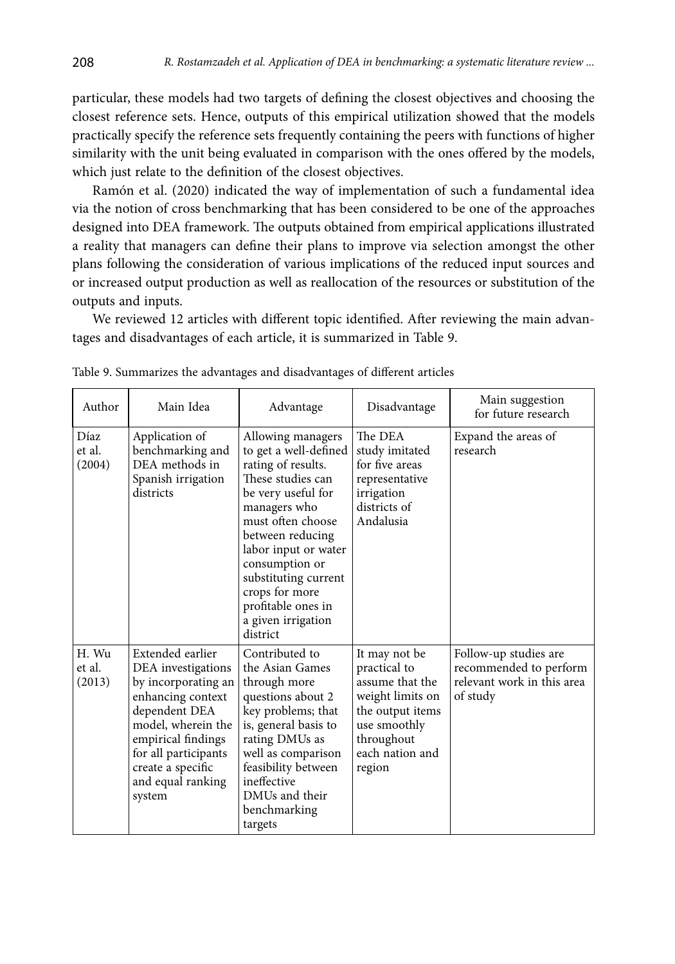particular, these models had two targets of defining the closest objectives and choosing the closest reference sets. Hence, outputs of this empirical utilization showed that the models practically specify the reference sets frequently containing the peers with functions of higher similarity with the unit being evaluated in comparison with the ones offered by the models, which just relate to the definition of the closest objectives.

Ramón et al. (2020) indicated the way of implementation of such a fundamental idea via the notion of cross benchmarking that has been considered to be one of the approaches designed into DEA framework. The outputs obtained from empirical applications illustrated a reality that managers can define their plans to improve via selection amongst the other plans following the consideration of various implications of the reduced input sources and or increased output production as well as reallocation of the resources or substitution of the outputs and inputs.

We reviewed 12 articles with different topic identified. After reviewing the main advantages and disadvantages of each article, it is summarized in Table 9.

| Author                    | Main Idea                                                                                                                                                                                                                   | Advantage                                                                                                                                                                                                                                                                                                        | Disadvantage                                                                                                                                        | Main suggestion<br>for future research                                                    |
|---------------------------|-----------------------------------------------------------------------------------------------------------------------------------------------------------------------------------------------------------------------------|------------------------------------------------------------------------------------------------------------------------------------------------------------------------------------------------------------------------------------------------------------------------------------------------------------------|-----------------------------------------------------------------------------------------------------------------------------------------------------|-------------------------------------------------------------------------------------------|
| Díaz<br>et al.<br>(2004)  | Application of<br>benchmarking and<br>DEA methods in<br>Spanish irrigation<br>districts                                                                                                                                     | Allowing managers<br>to get a well-defined<br>rating of results.<br>These studies can<br>be very useful for<br>managers who<br>must often choose<br>between reducing<br>labor input or water<br>consumption or<br>substituting current<br>crops for more<br>profitable ones in<br>a given irrigation<br>district | The DEA<br>study imitated<br>for five areas<br>representative<br>irrigation<br>districts of<br>Andalusia                                            | Expand the areas of<br>research                                                           |
| H. Wu<br>et al.<br>(2013) | Extended earlier<br>DEA investigations<br>by incorporating an<br>enhancing context<br>dependent DEA<br>model, wherein the<br>empirical findings<br>for all participants<br>create a specific<br>and equal ranking<br>system | Contributed to<br>the Asian Games<br>through more<br>questions about 2<br>key problems; that<br>is, general basis to<br>rating DMUs as<br>well as comparison<br>feasibility between<br>ineffective<br>DMUs and their<br>benchmarking<br>targets                                                                  | It may not be<br>practical to<br>assume that the<br>weight limits on<br>the output items<br>use smoothly<br>throughout<br>each nation and<br>region | Follow-up studies are<br>recommended to perform<br>relevant work in this area<br>of study |

Table 9. Summarizes the advantages and disadvantages of different articles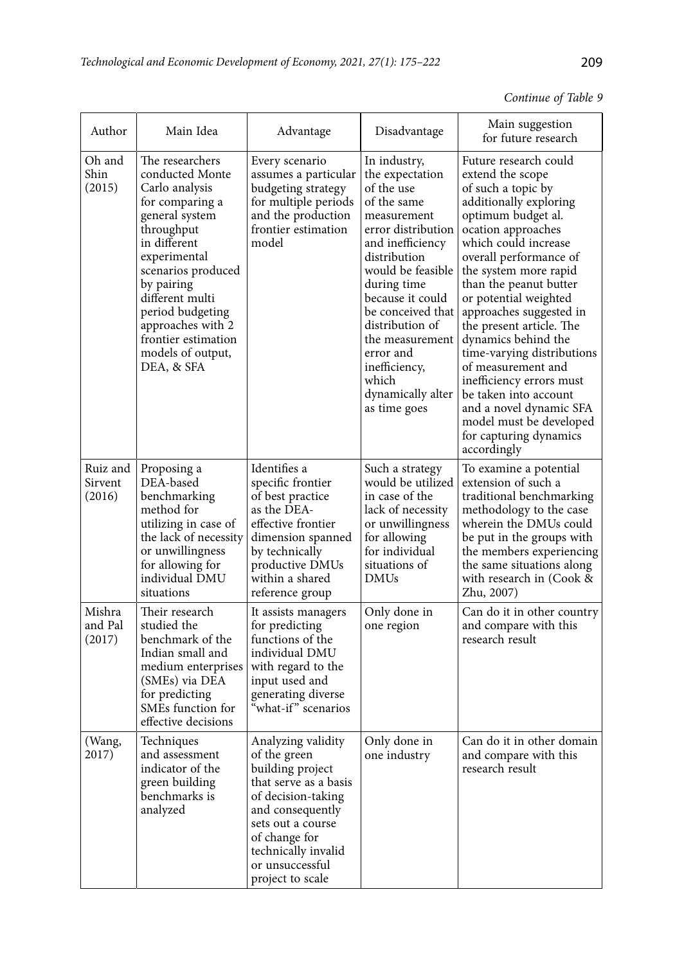| Continue of Table 9 |  |  |
|---------------------|--|--|

| Author                        | Main Idea                                                                                                                                                                                                                                                                                         | Advantage                                                                                                                                                                                                                     | Disadvantage                                                                                                                                                                                                                                                                                                                         | Main suggestion<br>for future research                                                                                                                                                                                                                                                                                                                                                                                                                                                                                                                    |
|-------------------------------|---------------------------------------------------------------------------------------------------------------------------------------------------------------------------------------------------------------------------------------------------------------------------------------------------|-------------------------------------------------------------------------------------------------------------------------------------------------------------------------------------------------------------------------------|--------------------------------------------------------------------------------------------------------------------------------------------------------------------------------------------------------------------------------------------------------------------------------------------------------------------------------------|-----------------------------------------------------------------------------------------------------------------------------------------------------------------------------------------------------------------------------------------------------------------------------------------------------------------------------------------------------------------------------------------------------------------------------------------------------------------------------------------------------------------------------------------------------------|
| Oh and<br>Shin<br>(2015)      | The researchers<br>conducted Monte<br>Carlo analysis<br>for comparing a<br>general system<br>throughput<br>in different<br>experimental<br>scenarios produced<br>by pairing<br>different multi<br>period budgeting<br>approaches with 2<br>frontier estimation<br>models of output,<br>DEA, & SFA | Every scenario<br>assumes a particular<br>budgeting strategy<br>for multiple periods<br>and the production<br>frontier estimation<br>model                                                                                    | In industry,<br>the expectation<br>of the use<br>of the same<br>measurement<br>error distribution<br>and inefficiency<br>distribution<br>would be feasible<br>during time<br>because it could<br>be conceived that<br>distribution of<br>the measurement<br>error and<br>inefficiency,<br>which<br>dynamically alter<br>as time goes | Future research could<br>extend the scope<br>of such a topic by<br>additionally exploring<br>optimum budget al.<br>ocation approaches<br>which could increase<br>overall performance of<br>the system more rapid<br>than the peanut butter<br>or potential weighted<br>approaches suggested in<br>the present article. The<br>dynamics behind the<br>time-varying distributions<br>of measurement and<br>inefficiency errors must<br>be taken into account<br>and a novel dynamic SFA<br>model must be developed<br>for capturing dynamics<br>accordingly |
| Ruiz and<br>Sirvent<br>(2016) | Proposing a<br>DEA-based<br>benchmarking<br>method for<br>utilizing in case of<br>the lack of necessity<br>or unwillingness<br>for allowing for<br>individual DMU<br>situations                                                                                                                   | Identifies a<br>specific frontier<br>of best practice<br>as the DEA-<br>effective frontier<br>dimension spanned<br>by technically<br>productive DMUs<br>within a shared<br>reference group                                    | Such a strategy<br>would be utilized<br>in case of the<br>lack of necessity<br>or unwillingness<br>for allowing<br>for individual<br>situations of<br><b>DMUs</b>                                                                                                                                                                    | To examine a potential<br>extension of such a<br>traditional benchmarking<br>methodology to the case<br>wherein the DMUs could<br>be put in the groups with<br>the members experiencing<br>the same situations along<br>with research in (Cook &<br>Zhu, 2007)                                                                                                                                                                                                                                                                                            |
| Mishra<br>and Pal<br>(2017)   | Their research<br>studied the<br>benchmark of the<br>Indian small and<br>medium enterprises<br>(SMEs) via DEA<br>for predicting<br>SMEs function for<br>effective decisions                                                                                                                       | It assists managers<br>for predicting<br>functions of the<br>individual DMU<br>with regard to the<br>input used and<br>generating diverse<br>what-if" scenarios                                                               | Only done in<br>one region                                                                                                                                                                                                                                                                                                           | Can do it in other country<br>and compare with this<br>research result                                                                                                                                                                                                                                                                                                                                                                                                                                                                                    |
| (Wang,<br>2017)               | Techniques<br>and assessment<br>indicator of the<br>green building<br>benchmarks is<br>analyzed                                                                                                                                                                                                   | Analyzing validity<br>of the green<br>building project<br>that serve as a basis<br>of decision-taking<br>and consequently<br>sets out a course<br>of change for<br>technically invalid<br>or unsuccessful<br>project to scale | Only done in<br>one industry                                                                                                                                                                                                                                                                                                         | Can do it in other domain<br>and compare with this<br>research result                                                                                                                                                                                                                                                                                                                                                                                                                                                                                     |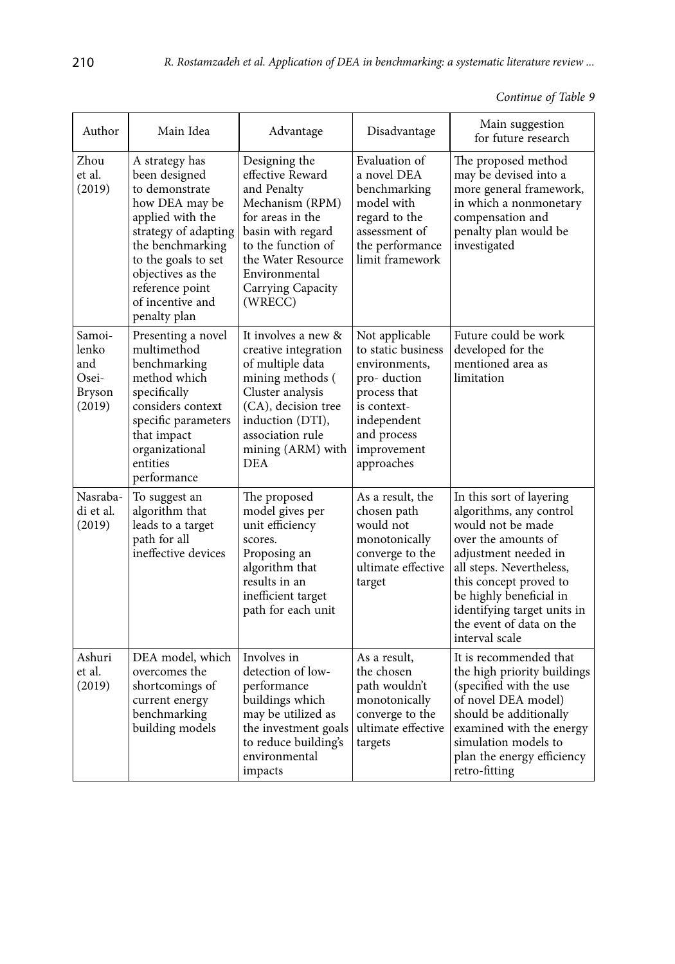| Author                                              | Main Idea                                                                                                                                                                                                                              | Advantage                                                                                                                                                                                                 | Disadvantage                                                                                                                                                   | Main suggestion<br>for future research                                                                                                                                                                                                                                                |  |
|-----------------------------------------------------|----------------------------------------------------------------------------------------------------------------------------------------------------------------------------------------------------------------------------------------|-----------------------------------------------------------------------------------------------------------------------------------------------------------------------------------------------------------|----------------------------------------------------------------------------------------------------------------------------------------------------------------|---------------------------------------------------------------------------------------------------------------------------------------------------------------------------------------------------------------------------------------------------------------------------------------|--|
| Zhou<br>et al.<br>(2019)                            | A strategy has<br>been designed<br>to demonstrate<br>how DEA may be<br>applied with the<br>strategy of adapting<br>the benchmarking<br>to the goals to set<br>objectives as the<br>reference point<br>of incentive and<br>penalty plan | Designing the<br>effective Reward<br>and Penalty<br>Mechanism (RPM)<br>for areas in the<br>basin with regard<br>to the function of<br>the Water Resource<br>Environmental<br>Carrying Capacity<br>(WRECC) | Evaluation of<br>a novel DEA<br>benchmarking<br>model with<br>regard to the<br>assessment of<br>the performance<br>limit framework                             | The proposed method<br>may be devised into a<br>more general framework,<br>in which a nonmonetary<br>compensation and<br>penalty plan would be<br>investigated                                                                                                                        |  |
| Samoi-<br>lenko<br>and<br>Osei-<br>Bryson<br>(2019) | Presenting a novel<br>multimethod<br>benchmarking<br>method which<br>specifically<br>considers context<br>specific parameters<br>that impact<br>organizational<br>entities<br>performance                                              | It involves a new &<br>creative integration<br>of multiple data<br>mining methods (<br>Cluster analysis<br>(CA), decision tree<br>induction (DTI),<br>association rule<br>mining (ARM) with<br><b>DEA</b> | Not applicable<br>to static business<br>environments.<br>pro-duction<br>process that<br>is context-<br>independent<br>and process<br>improvement<br>approaches | Future could be work<br>developed for the<br>mentioned area as<br>limitation                                                                                                                                                                                                          |  |
| Nasraba-<br>di et al.<br>(2019)                     | To suggest an<br>algorithm that<br>leads to a target<br>path for all<br>ineffective devices                                                                                                                                            | The proposed<br>model gives per<br>unit efficiency<br>scores.<br>Proposing an<br>algorithm that<br>results in an<br>inefficient target<br>path for each unit                                              | As a result, the<br>chosen path<br>would not<br>monotonically<br>converge to the<br>ultimate effective<br>target                                               | In this sort of layering<br>algorithms, any control<br>would not be made<br>over the amounts of<br>adjustment needed in<br>all steps. Nevertheless,<br>this concept proved to<br>be highly beneficial in<br>identifying target units in<br>the event of data on the<br>interval scale |  |
| Ashuri<br>et al.<br>(2019)                          | DEA model, which<br>overcomes the<br>shortcomings of<br>current energy<br>benchmarking<br>building models                                                                                                                              | Involves in<br>detection of low-<br>performance<br>buildings which<br>may be utilized as<br>the investment goals<br>to reduce building's<br>environmental<br>impacts                                      | As a result.<br>the chosen<br>path wouldn't<br>monotonically<br>converge to the<br>ultimate effective<br>targets                                               | It is recommended that<br>the high priority buildings<br>(specified with the use<br>of novel DEA model)<br>should be additionally<br>examined with the energy<br>simulation models to<br>plan the energy efficiency<br>retro-fitting                                                  |  |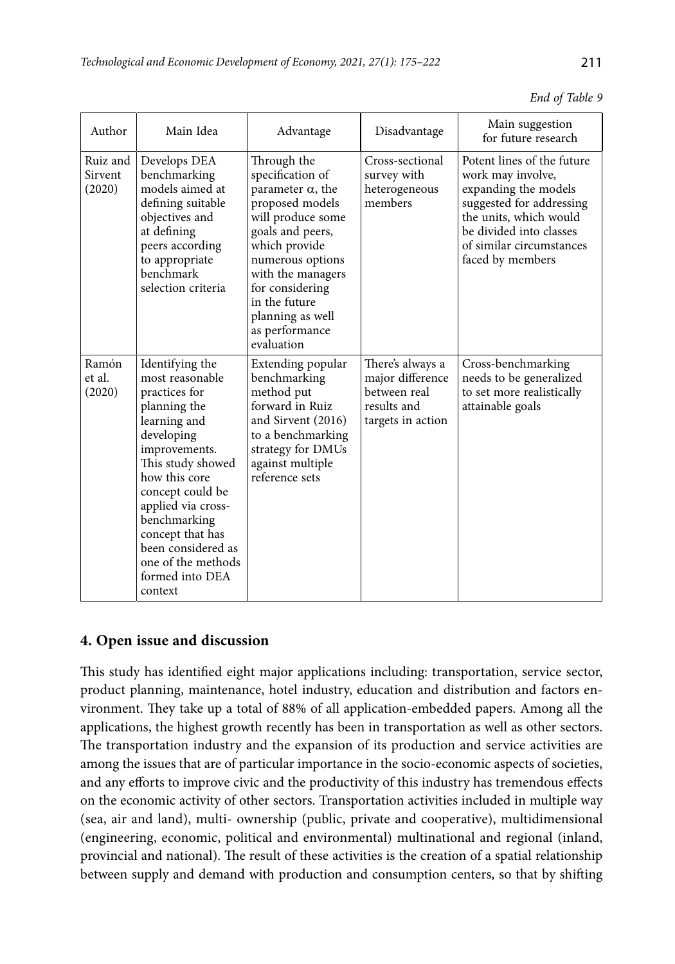| Author                        | Main Idea                                                                                                                                                                                                                                                                                                        | Advantage                                                                                                                                                                                                                                                                 | Disadvantage                                                                             | Main suggestion<br>for future research                                                                                                                                                                   |  |
|-------------------------------|------------------------------------------------------------------------------------------------------------------------------------------------------------------------------------------------------------------------------------------------------------------------------------------------------------------|---------------------------------------------------------------------------------------------------------------------------------------------------------------------------------------------------------------------------------------------------------------------------|------------------------------------------------------------------------------------------|----------------------------------------------------------------------------------------------------------------------------------------------------------------------------------------------------------|--|
| Ruiz and<br>Sirvent<br>(2020) | Develops DEA<br>benchmarking<br>models aimed at<br>defining suitable<br>objectives and<br>at defining<br>peers according<br>to appropriate<br>benchmark<br>selection criteria                                                                                                                                    | Through the<br>specification of<br>parameter $\alpha$ , the<br>proposed models<br>will produce some<br>goals and peers,<br>which provide<br>numerous options<br>with the managers<br>for considering<br>in the future<br>planning as well<br>as performance<br>evaluation | Cross-sectional<br>survey with<br>heterogeneous<br>members                               | Potent lines of the future<br>work may involve,<br>expanding the models<br>suggested for addressing<br>the units, which would<br>be divided into classes<br>of similar circumstances<br>faced by members |  |
| Ramón<br>et al.<br>(2020)     | Identifying the<br>most reasonable<br>practices for<br>planning the<br>learning and<br>developing<br>improvements.<br>This study showed<br>how this core<br>concept could be<br>applied via cross-<br>benchmarking<br>concept that has<br>been considered as<br>one of the methods<br>formed into DEA<br>context | Extending popular<br>benchmarking<br>method put<br>forward in Ruiz<br>and Sirvent (2016)<br>to a benchmarking<br>strategy for DMUs<br>against multiple<br>reference sets                                                                                                  | There's always a<br>major difference<br>between real<br>results and<br>targets in action | Cross-benchmarking<br>needs to be generalized<br>to set more realistically<br>attainable goals                                                                                                           |  |

|  |  | End of Table 9 |  |
|--|--|----------------|--|
|--|--|----------------|--|

# **4. Open issue and discussion**

This study has identified eight major applications including: transportation, service sector, product planning, maintenance, hotel industry, education and distribution and factors environment. They take up a total of 88% of all application-embedded papers. Among all the applications, the highest growth recently has been in transportation as well as other sectors. The transportation industry and the expansion of its production and service activities are among the issues that are of particular importance in the socio-economic aspects of societies, and any efforts to improve civic and the productivity of this industry has tremendous effects on the economic activity of other sectors. Transportation activities included in multiple way (sea, air and land), multi- ownership (public, private and cooperative), multidimensional (engineering, economic, political and environmental) multinational and regional (inland, provincial and national). The result of these activities is the creation of a spatial relationship between supply and demand with production and consumption centers, so that by shifting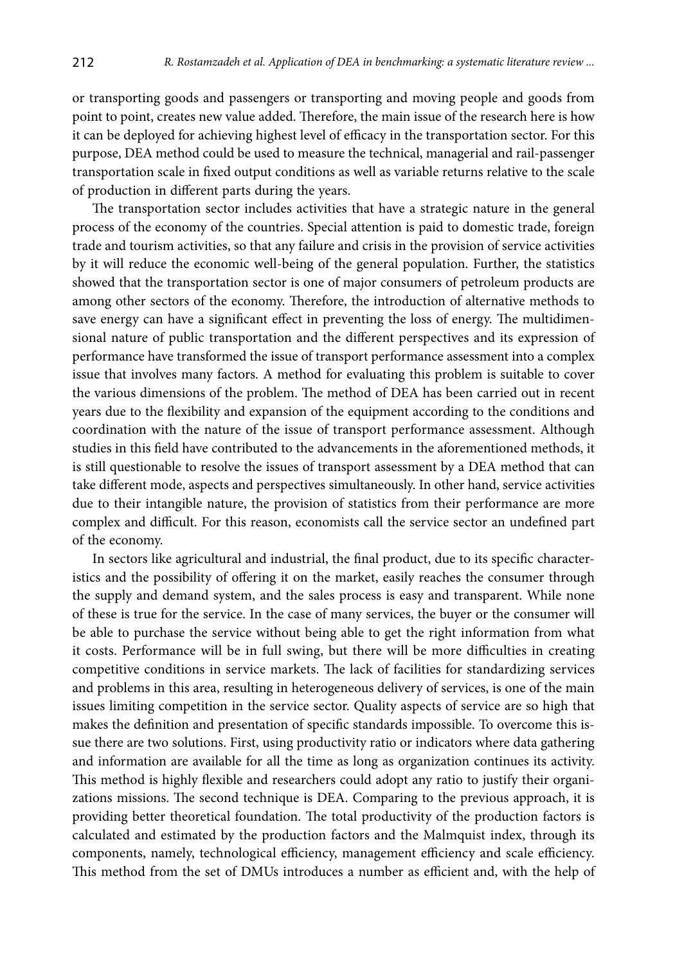or transporting goods and passengers or transporting and moving people and goods from point to point, creates new value added. Therefore, the main issue of the research here is how it can be deployed for achieving highest level of efficacy in the transportation sector. For this purpose, DEA method could be used to measure the technical, managerial and rail-passenger transportation scale in fixed output conditions as well as variable returns relative to the scale of production in different parts during the years.

The transportation sector includes activities that have a strategic nature in the general process of the economy of the countries. Special attention is paid to domestic trade, foreign trade and tourism activities, so that any failure and crisis in the provision of service activities by it will reduce the economic well-being of the general population. Further, the statistics showed that the transportation sector is one of major consumers of petroleum products are among other sectors of the economy. Therefore, the introduction of alternative methods to save energy can have a significant effect in preventing the loss of energy. The multidimensional nature of public transportation and the different perspectives and its expression of performance have transformed the issue of transport performance assessment into a complex issue that involves many factors. A method for evaluating this problem is suitable to cover the various dimensions of the problem. The method of DEA has been carried out in recent years due to the flexibility and expansion of the equipment according to the conditions and coordination with the nature of the issue of transport performance assessment. Although studies in this field have contributed to the advancements in the aforementioned methods, it is still questionable to resolve the issues of transport assessment by a DEA method that can take different mode, aspects and perspectives simultaneously. In other hand, service activities due to their intangible nature, the provision of statistics from their performance are more complex and difficult. For this reason, economists call the service sector an undefined part of the economy.

In sectors like agricultural and industrial, the final product, due to its specific characteristics and the possibility of offering it on the market, easily reaches the consumer through the supply and demand system, and the sales process is easy and transparent. While none of these is true for the service. In the case of many services, the buyer or the consumer will be able to purchase the service without being able to get the right information from what it costs. Performance will be in full swing, but there will be more difficulties in creating competitive conditions in service markets. The lack of facilities for standardizing services and problems in this area, resulting in heterogeneous delivery of services, is one of the main issues limiting competition in the service sector. Quality aspects of service are so high that makes the definition and presentation of specific standards impossible. To overcome this issue there are two solutions. First, using productivity ratio or indicators where data gathering and information are available for all the time as long as organization continues its activity. This method is highly flexible and researchers could adopt any ratio to justify their organizations missions. The second technique is DEA. Comparing to the previous approach, it is providing better theoretical foundation. The total productivity of the production factors is calculated and estimated by the production factors and the Malmquist index, through its components, namely, technological efficiency, management efficiency and scale efficiency. This method from the set of DMUs introduces a number as efficient and, with the help of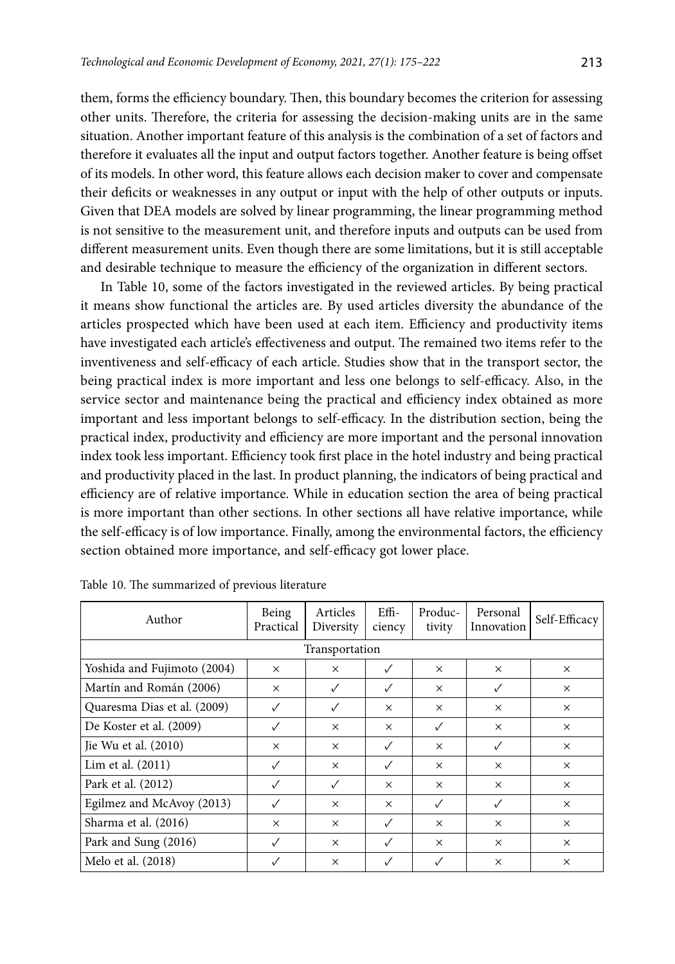them, forms the efficiency boundary. Then, this boundary becomes the criterion for assessing other units. Therefore, the criteria for assessing the decision-making units are in the same situation. Another important feature of this analysis is the combination of a set of factors and therefore it evaluates all the input and output factors together. Another feature is being offset of its models. In other word, this feature allows each decision maker to cover and compensate their deficits or weaknesses in any output or input with the help of other outputs or inputs. Given that DEA models are solved by linear programming, the linear programming method is not sensitive to the measurement unit, and therefore inputs and outputs can be used from different measurement units. Even though there are some limitations, but it is still acceptable and desirable technique to measure the efficiency of the organization in different sectors.

In Table 10, some of the factors investigated in the reviewed articles. By being practical it means show functional the articles are. By used articles diversity the abundance of the articles prospected which have been used at each item. Efficiency and productivity items have investigated each article's effectiveness and output. The remained two items refer to the inventiveness and self-efficacy of each article. Studies show that in the transport sector, the being practical index is more important and less one belongs to self-efficacy. Also, in the service sector and maintenance being the practical and efficiency index obtained as more important and less important belongs to self-efficacy. In the distribution section, being the practical index, productivity and efficiency are more important and the personal innovation index took less important. Efficiency took first place in the hotel industry and being practical and productivity placed in the last. In product planning, the indicators of being practical and efficiency are of relative importance. While in education section the area of being practical is more important than other sections. In other sections all have relative importance, while the self-efficacy is of low importance. Finally, among the environmental factors, the efficiency section obtained more importance, and self-efficacy got lower place.

| Author                      | Being<br>Practical | Articles<br>Diversity | $Effi-$<br>ciency | Produc-<br>tivity | Personal<br>Innovation | Self-Efficacy |  |
|-----------------------------|--------------------|-----------------------|-------------------|-------------------|------------------------|---------------|--|
| Transportation              |                    |                       |                   |                   |                        |               |  |
| Yoshida and Fujimoto (2004) | $\times$           | $\times$              | ✓                 | $\times$          | $\times$               | $\times$      |  |
| Martín and Román (2006)     | $\times$           | ✓                     | $\checkmark$      | $\times$          | ✓                      | $\times$      |  |
| Quaresma Dias et al. (2009) | $\checkmark$       | ✓                     | $\times$          | $\times$          | $\times$               | $\times$      |  |
| De Koster et al. (2009)     |                    | $\times$              | $\times$          |                   | $\times$               | $\times$      |  |
| Jie Wu et al. (2010)        | $\times$           | $\times$              | $\checkmark$      | $\times$          | ✓                      | $\times$      |  |
| Lim et al. (2011)           | $\checkmark$       | $\times$              | $\checkmark$      | $\times$          | $\times$               | $\times$      |  |
| Park et al. (2012)          |                    | ✓                     | X                 | $\times$          | $\times$               | $\times$      |  |
| Egilmez and McAvoy (2013)   | $\checkmark$       | $\times$              | $\times$          | $\checkmark$      | ✓                      | $\times$      |  |
| Sharma et al. (2016)        | $\times$           | $\times$              | $\checkmark$      | $\times$          | $\times$               | $\times$      |  |
| Park and Sung (2016)        |                    | $\times$              | ✓                 | $\times$          | $\times$               | $\times$      |  |
| Melo et al. (2018)          |                    | $\times$              |                   |                   | $\times$               | $\times$      |  |

Table 10. The summarized of previous literature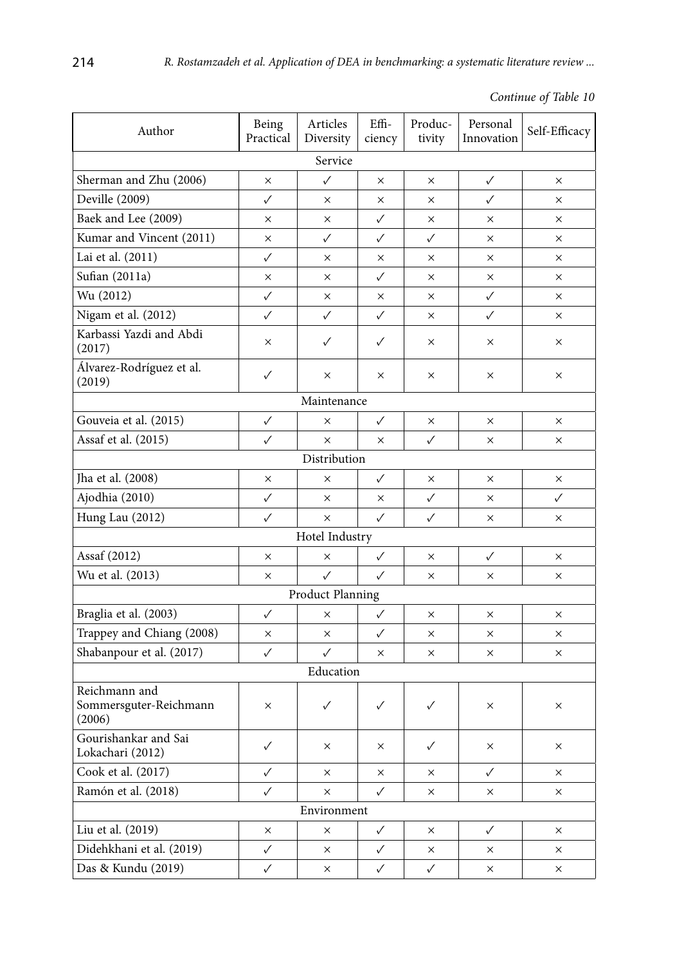| Continue of Table 10 |  |  |  |
|----------------------|--|--|--|
|----------------------|--|--|--|

| Author                                            | Being<br>Practical | Articles<br>Diversity | Effi-<br>ciency | Produc-<br>tivity | Personal<br>Innovation | Self-Efficacy |  |  |
|---------------------------------------------------|--------------------|-----------------------|-----------------|-------------------|------------------------|---------------|--|--|
|                                                   |                    | Service               |                 |                   |                        |               |  |  |
| Sherman and Zhu (2006)                            | X                  | ✓                     | $\times$        | $\times$          | ✓                      | X             |  |  |
| Deville (2009)                                    | ✓                  | $\times$              | ×               | X                 | ✓                      | X.            |  |  |
| Baek and Lee (2009)                               | X                  | ×                     | ✓               | X                 | ×                      | X.            |  |  |
| Kumar and Vincent (2011)                          | $\times$           | $\checkmark$          | ✓               | ✓                 | X                      | X.            |  |  |
| Lai et al. (2011)                                 | ✓                  | ×                     | X               | ×                 | X                      | ×             |  |  |
| Sufian (2011a)                                    | ×                  | $\times$              | ✓               | $\times$          | $\times$               | X             |  |  |
| Wu (2012)                                         | ✓                  | X                     | $\times$        | X.                | ✓                      | ×             |  |  |
| Nigam et al. (2012)                               | $\checkmark$       | $\checkmark$          | ✓               | $\times$          | $\checkmark$           | ×             |  |  |
| Karbassi Yazdi and Abdi<br>(2017)                 | $\times$           | ✓                     | ✓               | X                 | $\times$               | X             |  |  |
| Álvarez-Rodríguez et al.<br>(2019)                | ✓                  | $\times$              | $\times$        | $\times$          | $\times$               | X             |  |  |
|                                                   |                    | Maintenance           |                 |                   |                        |               |  |  |
| Gouveia et al. (2015)                             | ✓                  | $\times$              | ✓               | ×                 | $\times$               | X             |  |  |
| Assaf et al. (2015)                               | ✓                  | $\times$              | X               | ✓                 | X                      | X             |  |  |
|                                                   |                    | Distribution          |                 |                   |                        |               |  |  |
| Jha et al. (2008)                                 | ×                  | $\times$              | ✓               | ×                 | X                      | ×             |  |  |
| Ajodhia (2010)                                    | ✓                  | $\times$              | $\times$        | $\checkmark$      | X                      | ✓             |  |  |
| Hung Lau (2012)                                   | $\checkmark$       | $\times$              | ✓               | ✓                 | X                      | ×             |  |  |
|                                                   |                    | Hotel Industry        |                 |                   |                        |               |  |  |
| Assaf (2012)                                      | X                  | ×                     | ✓               | X                 | ✓                      | $\times$      |  |  |
| Wu et al. (2013)                                  | X                  | $\checkmark$          | ✓               | ×                 | X                      | ×             |  |  |
|                                                   |                    | Product Planning      |                 |                   |                        |               |  |  |
| Braglia et al. (2003)                             | ✓                  | X                     | ✓               | $\times$          | $\times$               | X.            |  |  |
| Trappey and Chiang (2008)                         | ×                  | $\times$              | ✓               | X                 | ×                      | ×             |  |  |
| Shabanpour et al. (2017)                          | $\checkmark$       | $\checkmark$          | $\times$        | ×                 | X                      | X             |  |  |
|                                                   |                    | Education             |                 |                   |                        |               |  |  |
| Reichmann and<br>Sommersguter-Reichmann<br>(2006) | $\times$           | $\checkmark$          | $\checkmark$    | ✓                 | $\times$               | ×             |  |  |
| Gourishankar and Sai<br>Lokachari (2012)          | $\checkmark$       | ×                     | ×               | $\checkmark$      | ×                      | ×             |  |  |
| Cook et al. (2017)                                | ✓                  | ×                     | ×               | ×                 | $\checkmark$           | ×             |  |  |
| Ramón et al. (2018)                               | ✓                  | ×                     | ✓               | ×                 | ×                      | ×             |  |  |
| Environment                                       |                    |                       |                 |                   |                        |               |  |  |
| Liu et al. (2019)                                 | ×                  | ×                     | ✓               | ×                 | ✓                      | ×             |  |  |
| Didehkhani et al. (2019)                          | ✓                  | X                     | ✓               | ×                 | ×                      | ×             |  |  |
| Das & Kundu (2019)                                | ✓                  | ×                     | ✓               | $\checkmark$      | ×                      | ×             |  |  |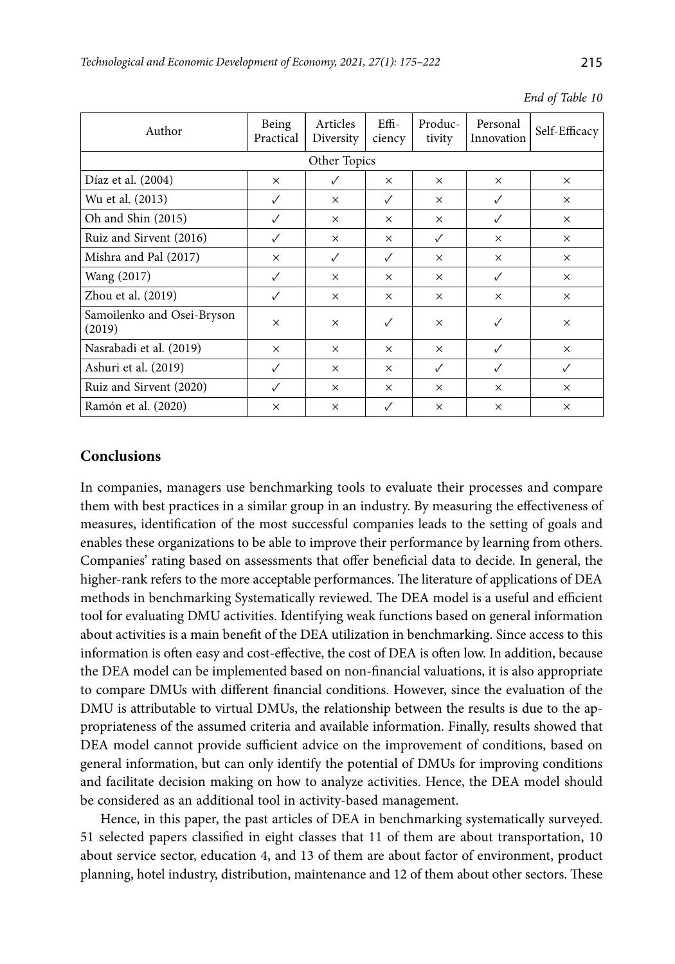| Author                               | Being<br>Practical | Articles<br>Diversity | $Effi-$<br>ciency | Produc-<br>tivity | Personal<br>Innovation | Self-Efficacy |  |  |  |
|--------------------------------------|--------------------|-----------------------|-------------------|-------------------|------------------------|---------------|--|--|--|
|                                      | Other Topics       |                       |                   |                   |                        |               |  |  |  |
| Díaz et al. (2004)                   | $\times$           | √                     | $\times$          | $\times$          | $\times$               | $\times$      |  |  |  |
| Wu et al. (2013)                     | ✓                  | $\times$              | ✓                 | $\times$          | ✓                      | $\times$      |  |  |  |
| Oh and Shin (2015)                   | ✓                  | $\times$              | $\times$          | $\times$          | $\checkmark$           | $\times$      |  |  |  |
| Ruiz and Sirvent (2016)              | ✓                  | X                     | $\times$          | ✓                 | $\times$               | $\times$      |  |  |  |
| Mishra and Pal (2017)                | $\times$           | $\checkmark$          | ✓                 | $\times$          | $\times$               | $\times$      |  |  |  |
| Wang (2017)                          | ✓                  | $\times$              | $\times$          | $\times$          | $\checkmark$           | $\times$      |  |  |  |
| Zhou et al. (2019)                   | ✓                  | $\times$              | $\times$          | $\times$          | $\times$               | $\times$      |  |  |  |
| Samoilenko and Osei-Bryson<br>(2019) | $\times$           | $\times$              | $\checkmark$      | $\times$          | ✓                      | $\times$      |  |  |  |
| Nasrabadi et al. (2019)              | $\times$           | $\times$              | $\times$          | $\times$          | $\checkmark$           | $\times$      |  |  |  |
| Ashuri et al. (2019)                 | ✓                  | $\times$              | $\times$          | ✓                 | √                      | ✓             |  |  |  |
| Ruiz and Sirvent (2020)              | ✓                  | $\times$              | $\times$          | $\times$          | $\times$               | $\times$      |  |  |  |
| Ramón et al. (2020)                  | $\times$           | $\times$              | $\checkmark$      | $\times$          | $\times$               | $\times$      |  |  |  |

*End of Table 10*

# **Conclusions**

In companies, managers use benchmarking tools to evaluate their processes and compare them with best practices in a similar group in an industry. By measuring the effectiveness of measures, identification of the most successful companies leads to the setting of goals and enables these organizations to be able to improve their performance by learning from others. Companies' rating based on assessments that offer beneficial data to decide. In general, the higher-rank refers to the more acceptable performances. The literature of applications of DEA methods in benchmarking Systematically reviewed. The DEA model is a useful and efficient tool for evaluating DMU activities. Identifying weak functions based on general information about activities is a main benefit of the DEA utilization in benchmarking. Since access to this information is often easy and cost-effective, the cost of DEA is often low. In addition, because the DEA model can be implemented based on non-financial valuations, it is also appropriate to compare DMUs with different financial conditions. However, since the evaluation of the DMU is attributable to virtual DMUs, the relationship between the results is due to the appropriateness of the assumed criteria and available information. Finally, results showed that DEA model cannot provide sufficient advice on the improvement of conditions, based on general information, but can only identify the potential of DMUs for improving conditions and facilitate decision making on how to analyze activities. Hence, the DEA model should be considered as an additional tool in activity-based management.

Hence, in this paper, the past articles of DEA in benchmarking systematically surveyed. 51 selected papers classified in eight classes that 11 of them are about transportation, 10 about service sector, education 4, and 13 of them are about factor of environment, product planning, hotel industry, distribution, maintenance and 12 of them about other sectors. These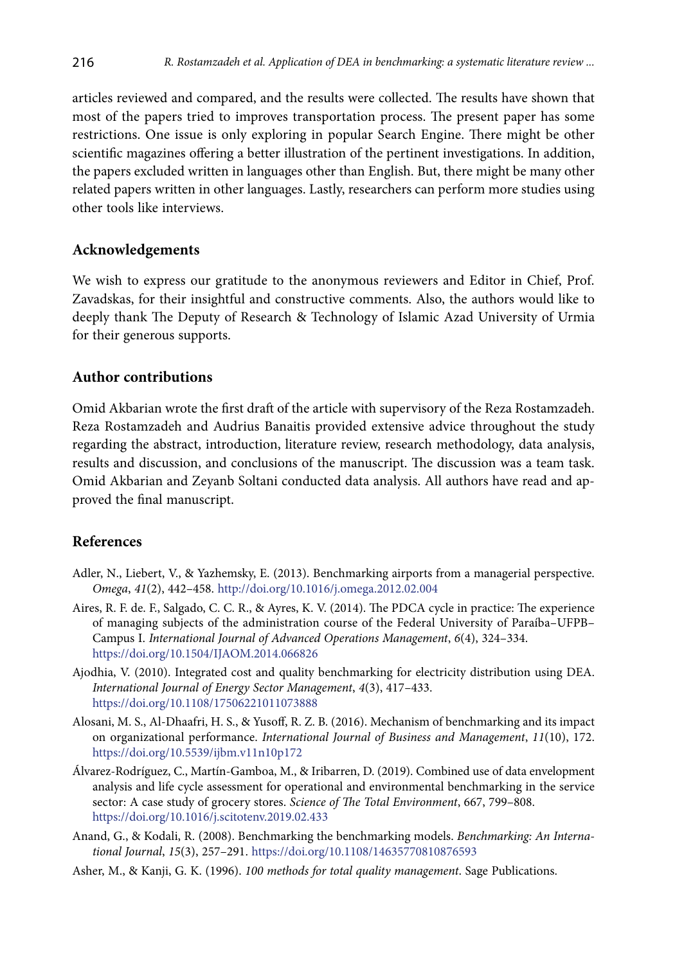articles reviewed and compared, and the results were collected. The results have shown that most of the papers tried to improves transportation process. The present paper has some restrictions. One issue is only exploring in popular Search Engine. There might be other scientific magazines offering a better illustration of the pertinent investigations. In addition, the papers excluded written in languages other than English. But, there might be many other related papers written in other languages. Lastly, researchers can perform more studies using other tools like interviews.

# **Acknowledgements**

We wish to express our gratitude to the anonymous reviewers and Editor in Chief, Prof. Zavadskas, for their insightful and constructive comments. Also, the authors would like to deeply thank The Deputy of Research & Technology of Islamic Azad University of Urmia for their generous supports.

## **Author contributions**

Omid Akbarian wrote the first draft of the article with supervisory of the Reza Rostamzadeh. Reza Rostamzadeh and Audrius Banaitis provided extensive advice throughout the study regarding the abstract, introduction, literature review, research methodology, data analysis, results and discussion, and conclusions of the manuscript. The discussion was a team task. Omid Akbarian and Zeyanb Soltani conducted data analysis. All authors have read and approved the final manuscript.

# **References**

- Adler, N., Liebert, V., & Yazhemsky, E. (2013). Benchmarking airports from a managerial perspective. *Omega*, *41*(2), 442–458. http://doi.org/10.1016/j.omega.2012.02.004
- Aires, R. F. de. F., Salgado, C. C. R., & Ayres, K. V. (2014). The PDCA cycle in practice: The experience of managing subjects of the administration course of the Federal University of Paraíba–UFPB– Campus I. *International Journal of Advanced Operations Management*, *6*(4), 324–334. https://doi.org/10.1504/IJAOM.2014.066826
- Ajodhia, V. (2010). Integrated cost and quality benchmarking for electricity distribution using DEA. *International Journal of Energy Sector Management*, *4*(3), 417–433. https://doi.org/10.1108/17506221011073888
- Alosani, M. S., Al-Dhaafri, H. S., & Yusoff, R. Z. B. (2016). Mechanism of benchmarking and its impact on organizational performance. *International Journal of Business and Management*, *11*(10), 172. https://doi.org/10.5539/ijbm.v11n10p172
- Álvarez-Rodríguez, C., Martín-Gamboa, M., & Iribarren, D. (2019). Combined use of data envelopment analysis and life cycle assessment for operational and environmental benchmarking in the service sector: A case study of grocery stores. *Science of The Total Environment*, 667, 799–808. https://doi.org/10.1016/j.scitotenv.2019.02.433
- Anand, G., & Kodali, R. (2008). Benchmarking the benchmarking models. *Benchmarking: An International Journal*, *15*(3), 257–291. https://doi.org/10.1108/14635770810876593
- Asher, M., & Kanji, G. K. (1996). *100 methods for total quality management*. Sage Publications.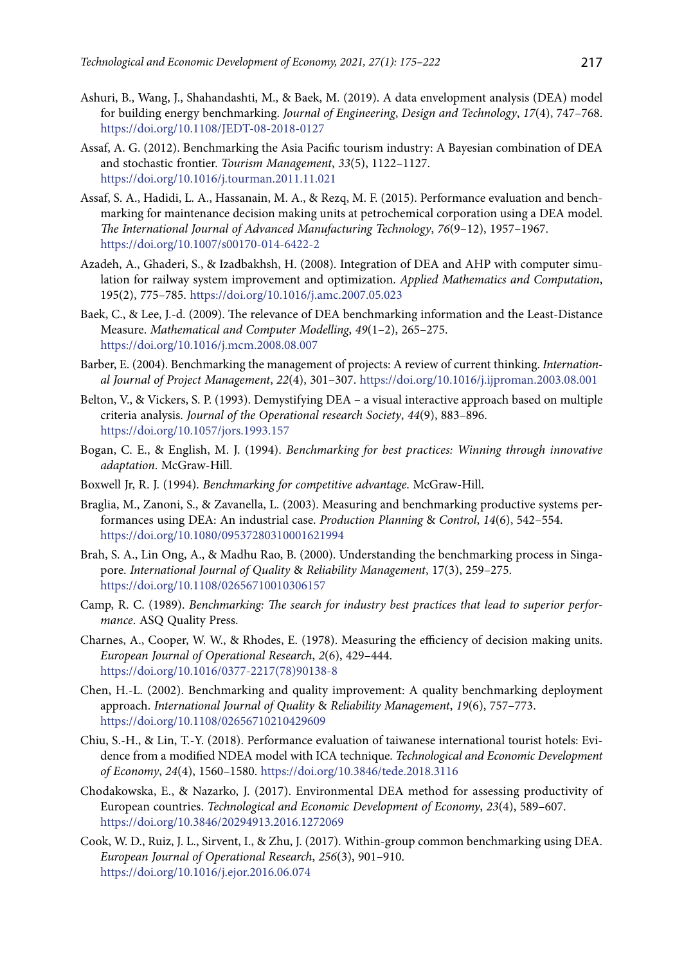- Ashuri, B., Wang, J., Shahandashti, M., & Baek, M. (2019). A data envelopment analysis (DEA) model for building energy benchmarking. *Journal of Engineering*, *Design and Technology*, *17*(4), 747–768. https://doi.org/10.1108/JEDT-08-2018-0127
- Assaf, A. G. (2012). Benchmarking the Asia Pacific tourism industry: A Bayesian combination of DEA and stochastic frontier. *Tourism Management*, *33*(5), 1122–1127. https://doi.org/10.1016/j.tourman.2011.11.021
- Assaf, S. A., Hadidi, L. A., Hassanain, M. A., & Rezq, M. F. (2015). Performance evaluation and benchmarking for maintenance decision making units at petrochemical corporation using a DEA model. *The International Journal of Advanced Manufacturing Technology*, *76*(9–12), 1957–1967. https://doi.org/10.1007/s00170-014-6422-2
- Azadeh, A., Ghaderi, S., & Izadbakhsh, H. (2008). Integration of DEA and AHP with computer simulation for railway system improvement and optimization. *Applied Mathematics and Computation*, 195(2), 775–785. https://doi.org/10.1016/j.amc.2007.05.023
- Baek, C., & Lee, J.-d. (2009). The relevance of DEA benchmarking information and the Least-Distance Measure. *Mathematical and Computer Modelling*, *49*(1–2), 265–275. https://doi.org/10.1016/j.mcm.2008.08.007
- Barber, E. (2004). Benchmarking the management of projects: A review of current thinking. *International Journal of Project Management*, *22*(4), 301–307. https://doi.org/10.1016/j.ijproman.2003.08.001
- Belton, V., & Vickers, S. P. (1993). Demystifying DEA a visual interactive approach based on multiple criteria analysis. *Journal of the Operational research Society*, *44*(9), 883–896. https://doi.org/10.1057/jors.1993.157
- Bogan, C. E., & English, M. J. (1994). *Benchmarking for best practices: Winning through innovative adaptation*. McGraw-Hill.
- Boxwell Jr, R. J. (1994). *Benchmarking for competitive advantage*. McGraw-Hill.
- Braglia, M., Zanoni, S., & Zavanella, L. (2003). Measuring and benchmarking productive systems performances using DEA: An industrial case. *Production Planning* & *Control*, *14*(6), 542–554. https://doi.org/10.1080/09537280310001621994
- Brah, S. A., Lin Ong, A., & Madhu Rao, B. (2000). Understanding the benchmarking process in Singapore. *International Journal of Quality* & *Reliability Management*, 17(3), 259–275. https://doi.org/10.1108/02656710010306157
- Camp, R. C. (1989). *Benchmarking: The search for industry best practices that lead to superior performance*. ASQ Quality Press.
- Charnes, A., Cooper, W. W., & Rhodes, E. (1978). Measuring the efficiency of decision making units. *European Journal of Operational Research*, *2*(6), 429–444. https://doi.org/10.1016/0377-2217(78)90138-8
- Chen, H.-L. (2002). Benchmarking and quality improvement: A quality benchmarking deployment approach. *International Journal of Quality* & *Reliability Management*, *19*(6), 757–773. https://doi.org/10.1108/02656710210429609
- Chiu, S.-H., & Lin, T.-Y. (2018). Performance evaluation of taiwanese international tourist hotels: Evidence from a modified NDEA model with ICA technique. *Technological and Economic Development of Economy*, *24*(4), 1560–1580. https://doi.org/10.3846/tede.2018.3116
- Chodakowska, E., & Nazarko, J. (2017). Environmental DEA method for assessing productivity of European countries. *Technological and Economic Development of Economy*, *23*(4), 589–607. https://doi.org/10.3846/20294913.2016.1272069
- Cook, W. D., Ruiz, J. L., Sirvent, I., & Zhu, J. (2017). Within-group common benchmarking using DEA. *European Journal of Operational Research*, *256*(3), 901–910. https://doi.org/10.1016/j.ejor.2016.06.074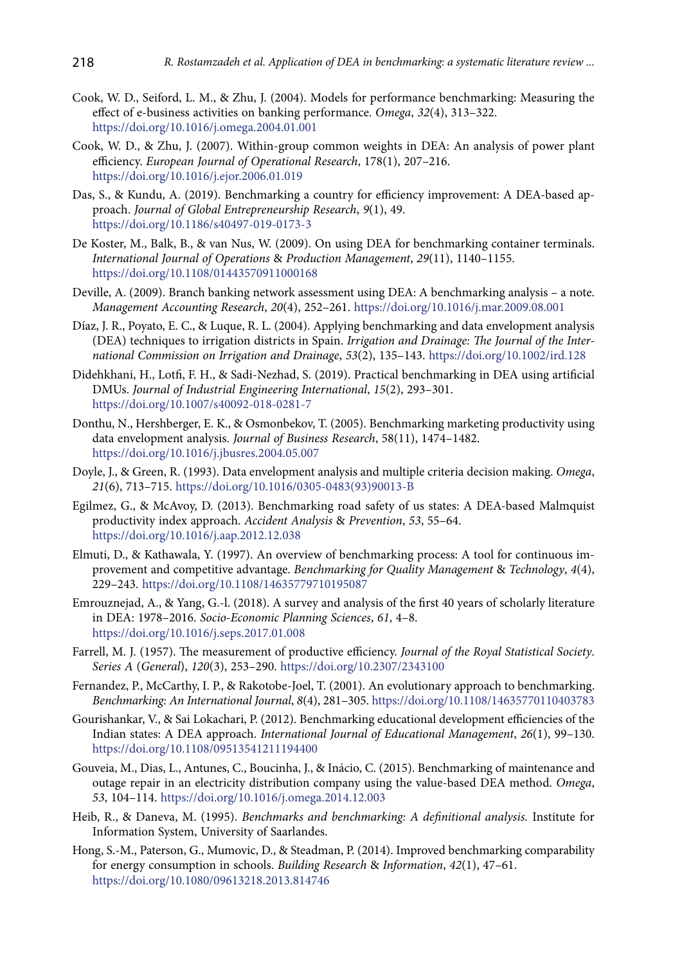- Cook, W. D., Seiford, L. M., & Zhu, J. (2004). Models for performance benchmarking: Measuring the effect of e-business activities on banking performance. *Omega*, *32*(4), 313–322. https://doi.org/10.1016/j.omega.2004.01.001
- Cook, W. D., & Zhu, J. (2007). Within-group common weights in DEA: An analysis of power plant efficiency. *European Journal of Operational Research*, 178(1), 207–216. https://doi.org/10.1016/j.ejor.2006.01.019
- Das, S., & Kundu, A. (2019). Benchmarking a country for efficiency improvement: A DEA-based approach. *Journal of Global Entrepreneurship Research*, *9*(1), 49. https://doi.org/10.1186/s40497-019-0173-3
- De Koster, M., Balk, B., & van Nus, W. (2009). On using DEA for benchmarking container terminals. *International Journal of Operations* & *Production Management*, *29*(11), 1140–1155. https://doi.org/10.1108/01443570911000168
- Deville, A. (2009). Branch banking network assessment using DEA: A benchmarking analysis a note. *Management Accounting Research*, *20*(4), 252–261. https://doi.org/10.1016/j.mar.2009.08.001
- Díaz, J. R., Poyato, E. C., & Luque, R. L. (2004). Applying benchmarking and data envelopment analysis (DEA) techniques to irrigation districts in Spain. *Irrigation and Drainage: The Journal of the International Commission on Irrigation and Drainage*, *53*(2), 135–143. https://doi.org/10.1002/ird.128
- Didehkhani, H., Lotfi, F. H., & Sadi-Nezhad, S. (2019). Practical benchmarking in DEA using artificial DMUs. *Journal of Industrial Engineering International*, *15*(2), 293–301. https://doi.org/10.1007/s40092-018-0281-7
- Donthu, N., Hershberger, E. K., & Osmonbekov, T. (2005). Benchmarking marketing productivity using data envelopment analysis. *Journal of Business Research*, 58(11), 1474–1482. https://doi.org/10.1016/j.jbusres.2004.05.007
- Doyle, J., & Green, R. (1993). Data envelopment analysis and multiple criteria decision making. *Omega*, *21*(6), 713–715. https://doi.org/10.1016/0305-0483(93)90013-B
- Egilmez, G., & McAvoy, D. (2013). Benchmarking road safety of us states: A DEA-based Malmquist productivity index approach. *Accident Analysis* & *Prevention*, *53*, 55–64. https://doi.org/10.1016/j.aap.2012.12.038
- Elmuti, D., & Kathawala, Y. (1997). An overview of benchmarking process: A tool for continuous improvement and competitive advantage. *Benchmarking for Quality Management* & *Technology*, *4*(4), 229–243. https://doi.org/10.1108/14635779710195087
- Emrouznejad, A., & Yang, G.-l. (2018). A survey and analysis of the first 40 years of scholarly literature in DEA: 1978–2016. *Socio-Economic Planning Sciences*, *61*, 4–8. https://doi.org/10.1016/j.seps.2017.01.008
- Farrell, M. J. (1957). The measurement of productive efficiency. *Journal of the Royal Statistical Society*. *Series A* (*General*), *120*(3), 253–290. https://doi.org/10.2307/2343100
- Fernandez, P., McCarthy, I. P., & Rakotobe-Joel, T. (2001). An evolutionary approach to benchmarking. *Benchmarking: An International Journal*, *8*(4), 281–305. https://doi.org/10.1108/14635770110403783
- Gourishankar, V., & Sai Lokachari, P. (2012). Benchmarking educational development efficiencies of the Indian states: A DEA approach. *International Journal of Educational Management*, *26*(1), 99–130. https://doi.org/10.1108/09513541211194400
- Gouveia, M., Dias, L., Antunes, C., Boucinha, J., & Inácio, C. (2015). Benchmarking of maintenance and outage repair in an electricity distribution company using the value-based DEA method. *Omega*, *53*, 104–114. https://doi.org/10.1016/j.omega.2014.12.003
- Heib, R., & Daneva, M. (1995). *Benchmarks and benchmarking: A definitional analysis.* Institute for Information System, University of Saarlandes.
- Hong, S.-M., Paterson, G., Mumovic, D., & Steadman, P. (2014). Improved benchmarking comparability for energy consumption in schools. *Building Research* & *Information*, *42*(1), 47–61. https://doi.org/10.1080/09613218.2013.814746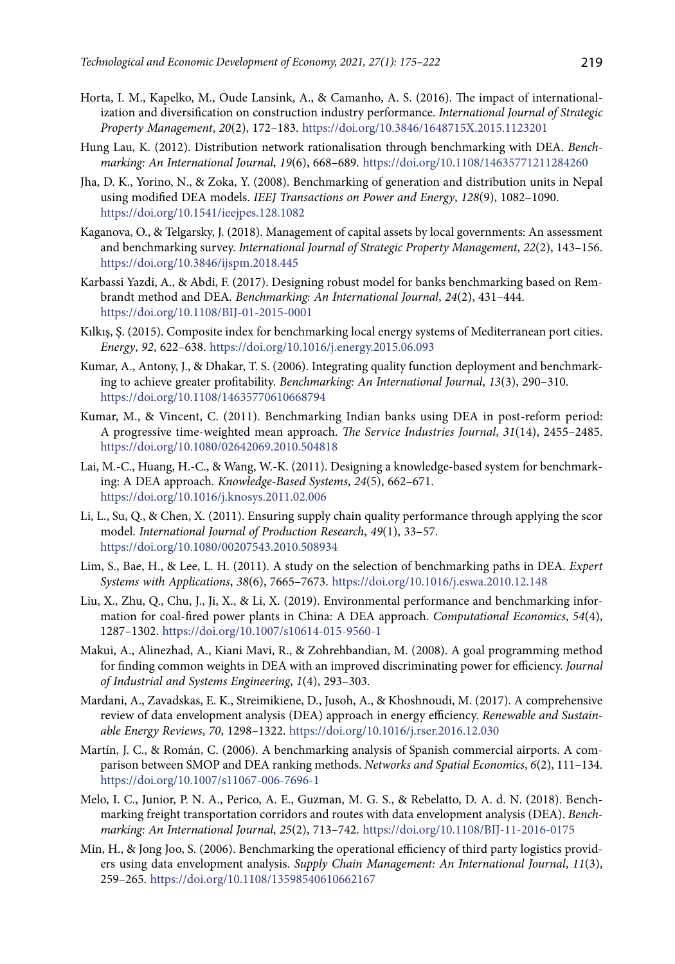- Horta, I. M., Kapelko, M., Oude Lansink, A., & Camanho, A. S. (2016). The impact of internationalization and diversification on construction industry performance. *International Journal of Strategic Property Management*, *20*(2), 172–183. https://doi.org/10.3846/1648715X.2015.1123201
- Hung Lau, K. (2012). Distribution network rationalisation through benchmarking with DEA. *Benchmarking: An International Journal*, *19*(6), 668–689. https://doi.org/10.1108/14635771211284260
- Jha, D. K., Yorino, N., & Zoka, Y. (2008). Benchmarking of generation and distribution units in Nepal using modified DEA models. *IEEJ Transactions on Power and Energy*, *128*(9), 1082–1090. https://doi.org/10.1541/ieejpes.128.1082
- Kaganova, O., & Telgarsky, J. (2018). Management of capital assets by local governments: An assessment and benchmarking survey. *International Journal of Strategic Property Management*, *22*(2), 143–156. https://doi.org/10.3846/ijspm.2018.445
- Karbassi Yazdi, A., & Abdi, F. (2017). Designing robust model for banks benchmarking based on Rembrandt method and DEA. *Benchmarking: An International Journal*, *24*(2), 431–444. https://doi.org/10.1108/BIJ-01-2015-0001
- Kılkış, Ş. (2015). Composite index for benchmarking local energy systems of Mediterranean port cities. *Energy*, *92*, 622–638. https://doi.org/10.1016/j.energy.2015.06.093
- Kumar, A., Antony, J., & Dhakar, T. S. (2006). Integrating quality function deployment and benchmarking to achieve greater profitability. *Benchmarking: An International Journal*, *13*(3), 290–310. https://doi.org/10.1108/14635770610668794
- Kumar, M., & Vincent, C. (2011). Benchmarking Indian banks using DEA in post-reform period: A progressive time-weighted mean approach. *The Service Industries Journal*, *31*(14), 2455–2485. https://doi.org/10.1080/02642069.2010.504818
- Lai, M.-C., Huang, H.-C., & Wang, W.-K. (2011). Designing a knowledge-based system for benchmarking: A DEA approach. *Knowledge-Based Systems*, *24*(5), 662–671. https://doi.org/10.1016/j.knosys.2011.02.006
- Li, L., Su, Q., & Chen, X. (2011). Ensuring supply chain quality performance through applying the scor model. *International Journal of Production Research*, *49*(1), 33–57. https://doi.org/10.1080/00207543.2010.508934
- Lim, S., Bae, H., & Lee, L. H. (2011). A study on the selection of benchmarking paths in DEA. *Expert Systems with Applications*, *38*(6), 7665–7673. https://doi.org/10.1016/j.eswa.2010.12.148
- Liu, X., Zhu, Q., Chu, J., Ji, X., & Li, X. (2019). Environmental performance and benchmarking information for coal-fired power plants in China: A DEA approach. *Computational Economics*, *54*(4), 1287–1302. https://doi.org/10.1007/s10614-015-9560-1
- Makui, A., Alinezhad, A., Kiani Mavi, R., & Zohrehbandian, M. (2008). A goal programming method for finding common weights in DEA with an improved discriminating power for efficiency. *Journal of Industrial and Systems Engineering*, *1*(4), 293–303.
- Mardani, A., Zavadskas, E. K., Streimikiene, D., Jusoh, A., & Khoshnoudi, M. (2017). A comprehensive review of data envelopment analysis (DEA) approach in energy efficiency. *Renewable and Sustainable Energy Reviews*, *70*, 1298–1322. https://doi.org/10.1016/j.rser.2016.12.030
- Martín, J. C., & Román, C. (2006). A benchmarking analysis of Spanish commercial airports. A comparison between SMOP and DEA ranking methods. *Networks and Spatial Economics*, *6*(2), 111–134. https://doi.org/10.1007/s11067-006-7696-1
- Melo, I. C., Junior, P. N. A., Perico, A. E., Guzman, M. G. S., & Rebelatto, D. A. d. N. (2018). Benchmarking freight transportation corridors and routes with data envelopment analysis (DEA). *Benchmarking: An International Journal*, *25*(2), 713–742. https://doi.org/10.1108/BIJ-11-2016-0175
- Min, H., & Jong Joo, S. (2006). Benchmarking the operational efficiency of third party logistics providers using data envelopment analysis. *Supply Chain Management: An International Journal*, *11*(3), 259–265. https://doi.org/10.1108/13598540610662167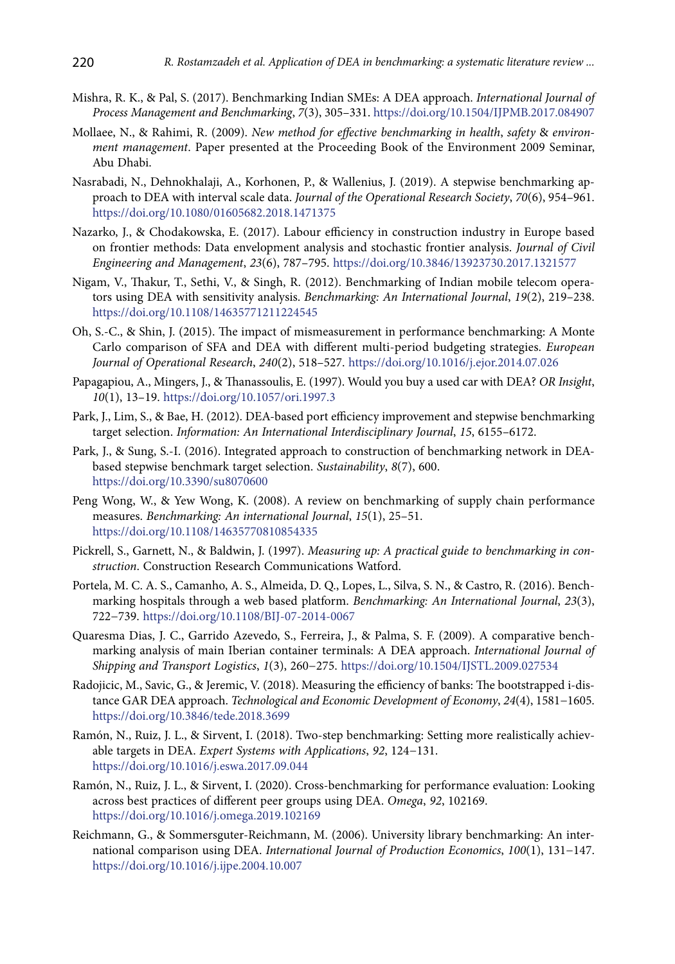- Mishra, R. K., & Pal, S. (2017). Benchmarking Indian SMEs: A DEA approach. *International Journal of Process Management and Benchmarking*, *7*(3), 305–331. https://doi.org/10.1504/IJPMB.2017.084907
- Mollaee, N., & Rahimi, R. (2009). *New method for effective benchmarking in health*, *safety* & *environment management*. Paper presented at the Proceeding Book of the Environment 2009 Seminar, Abu Dhabi.
- Nasrabadi, N., Dehnokhalaji, A., Korhonen, P., & Wallenius, J. (2019). A stepwise benchmarking approach to DEA with interval scale data. *Journal of the Operational Research Society*, *70*(6), 954–961. https://doi.org/10.1080/01605682.2018.1471375
- Nazarko, J., & Chodakowska, E. (2017). Labour efficiency in construction industry in Europe based on frontier methods: Data envelopment analysis and stochastic frontier analysis. *Journal of Civil Engineering and Management*, *23*(6), 787–795. https://doi.org/10.3846/13923730.2017.1321577
- Nigam, V., Thakur, T., Sethi, V., & Singh, R. (2012). Benchmarking of Indian mobile telecom operators using DEA with sensitivity analysis. *Benchmarking: An International Journal*, *19*(2), 219–238. https://doi.org/10.1108/14635771211224545
- Oh, S.-C., & Shin, J. (2015). The impact of mismeasurement in performance benchmarking: A Monte Carlo comparison of SFA and DEA with different multi-period budgeting strategies. *European Journal of Operational Research*, *240*(2), 518–527. https://doi.org/10.1016/j.ejor.2014.07.026
- Papagapiou, A., Mingers, J., & Thanassoulis, E. (1997). Would you buy a used car with DEA? *OR Insight*, *10*(1), 13–19. https://doi.org/10.1057/ori.1997.3
- Park, J., Lim, S., & Bae, H. (2012). DEA-based port efficiency improvement and stepwise benchmarking target selection. *Information: An International Interdisciplinary Journal*, *15*, 6155–6172.
- Park, J., & Sung, S.-I. (2016). Integrated approach to construction of benchmarking network in DEAbased stepwise benchmark target selection. *Sustainability*, *8*(7), 600. https://doi.org/10.3390/su8070600
- Peng Wong, W., & Yew Wong, K. (2008). A review on benchmarking of supply chain performance measures. *Benchmarking: An international Journal*, *15*(1), 25–51. https://doi.org/10.1108/14635770810854335
- Pickrell, S., Garnett, N., & Baldwin, J. (1997). *Measuring up: A practical guide to benchmarking in construction*. Construction Research Communications Watford.
- Portela, M. C. A. S., Camanho, A. S., Almeida, D. Q., Lopes, L., Silva, S. N., & Castro, R. (2016). Benchmarking hospitals through a web based platform. *Benchmarking: An International Journal*, *23*(3), 722−739. https://doi.org/10.1108/BIJ-07-2014-0067
- Quaresma Dias, J. C., Garrido Azevedo, S., Ferreira, J., & Palma, S. F. (2009). A comparative benchmarking analysis of main Iberian container terminals: A DEA approach. *International Journal of Shipping and Transport Logistics*, *1*(3), 260−275. https://doi.org/10.1504/IJSTL.2009.027534
- Radojicic, M., Savic, G., & Jeremic, V. (2018). Measuring the efficiency of banks: The bootstrapped i-distance GAR DEA approach. *Technological and Economic Development of Economy*, *24*(4), 1581−1605. https://doi.org/10.3846/tede.2018.3699
- Ramón, N., Ruiz, J. L., & Sirvent, I. (2018). Two-step benchmarking: Setting more realistically achievable targets in DEA. *Expert Systems with Applications*, *92*, 124−131. https://doi.org/10.1016/j.eswa.2017.09.044
- Ramón, N., Ruiz, J. L., & Sirvent, I. (2020). Cross-benchmarking for performance evaluation: Looking across best practices of different peer groups using DEA. *Omega*, *92*, 102169. https://doi.org/10.1016/j.omega.2019.102169
- Reichmann, G., & Sommersguter-Reichmann, M. (2006). University library benchmarking: An international comparison using DEA. *International Journal of Production Economics*, *100*(1), 131−147. https://doi.org/10.1016/j.ijpe.2004.10.007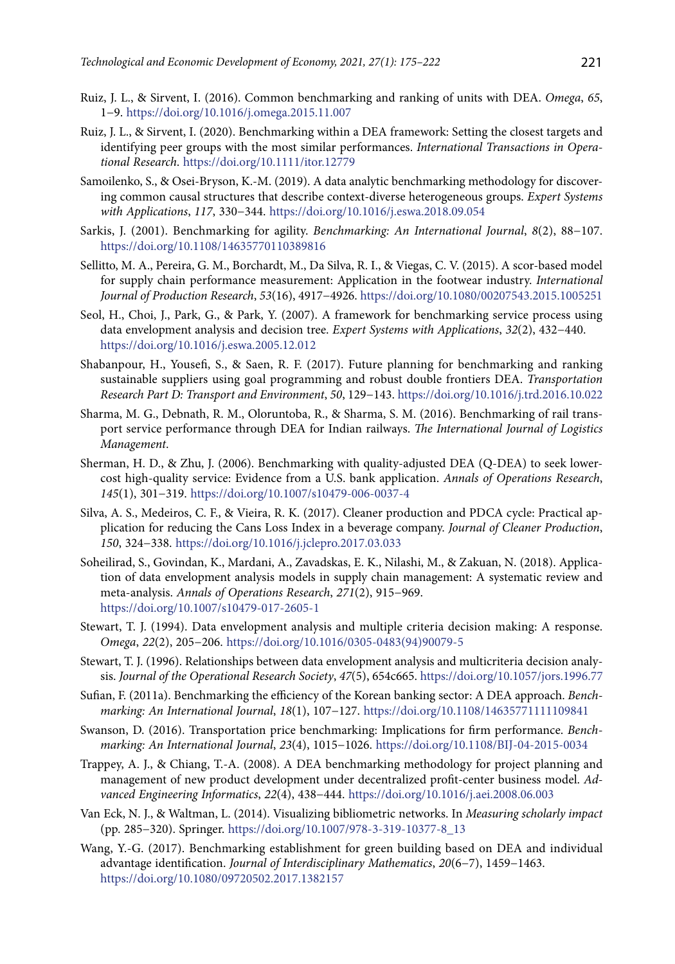- Ruiz, J. L., & Sirvent, I. (2016). Common benchmarking and ranking of units with DEA. *Omega*, *65*, 1−9. https://doi.org/10.1016/j.omega.2015.11.007
- Ruiz, J. L., & Sirvent, I. (2020). Benchmarking within a DEA framework: Setting the closest targets and identifying peer groups with the most similar performances. *International Transactions in Operational Research*. https://doi.org/10.1111/itor.12779
- Samoilenko, S., & Osei-Bryson, K.-M. (2019). A data analytic benchmarking methodology for discovering common causal structures that describe context-diverse heterogeneous groups. *Expert Systems with Applications*, *117*, 330−344. https://doi.org/10.1016/j.eswa.2018.09.054
- Sarkis, J. (2001). Benchmarking for agility. *Benchmarking: An International Journal*, *8*(2), 88−107. https://doi.org/10.1108/14635770110389816
- Sellitto, M. A., Pereira, G. M., Borchardt, M., Da Silva, R. I., & Viegas, C. V. (2015). A scor-based model for supply chain performance measurement: Application in the footwear industry. *International Journal of Production Research*, *53*(16), 4917−4926. https://doi.org/10.1080/00207543.2015.1005251
- Seol, H., Choi, J., Park, G., & Park, Y. (2007). A framework for benchmarking service process using data envelopment analysis and decision tree. *Expert Systems with Applications*, *32*(2), 432−440. https://doi.org/10.1016/j.eswa.2005.12.012
- Shabanpour, H., Yousefi, S., & Saen, R. F. (2017). Future planning for benchmarking and ranking sustainable suppliers using goal programming and robust double frontiers DEA. *Transportation Research Part D: Transport and Environment*, *50*, 129−143. https://doi.org/10.1016/j.trd.2016.10.022
- Sharma, M. G., Debnath, R. M., Oloruntoba, R., & Sharma, S. M. (2016). Benchmarking of rail transport service performance through DEA for Indian railways. *The International Journal of Logistics Management*.
- Sherman, H. D., & Zhu, J. (2006). Benchmarking with quality-adjusted DEA (Q-DEA) to seek lowercost high-quality service: Evidence from a U.S. bank application. *Annals of Operations Research*, *145*(1), 301−319. https://doi.org/10.1007/s10479-006-0037-4
- Silva, A. S., Medeiros, C. F., & Vieira, R. K. (2017). Cleaner production and PDCA cycle: Practical application for reducing the Cans Loss Index in a beverage company. *Journal of Cleaner Production*, *150*, 324−338. https://doi.org/10.1016/j.jclepro.2017.03.033
- Soheilirad, S., Govindan, K., Mardani, A., Zavadskas, E. K., Nilashi, M., & Zakuan, N. (2018). Application of data envelopment analysis models in supply chain management: A systematic review and meta-analysis. *Annals of Operations Research*, *271*(2), 915−969. https://doi.org/10.1007/s10479-017-2605-1
- Stewart, T. J. (1994). Data envelopment analysis and multiple criteria decision making: A response. *Omega*, *22*(2), 205−206. https://doi.org/10.1016/0305-0483(94)90079-5
- Stewart, T. J. (1996). Relationships between data envelopment analysis and multicriteria decision analysis. *Journal of the Operational Research Society*, *47*(5), 654c665. https://doi.org/10.1057/jors.1996.77
- Sufian, F. (2011a). Benchmarking the efficiency of the Korean banking sector: A DEA approach. *Benchmarking: An International Journal*, *18*(1), 107−127. https://doi.org/10.1108/14635771111109841
- Swanson, D. (2016). Transportation price benchmarking: Implications for firm performance. *Benchmarking: An International Journal*, *23*(4), 1015−1026. https://doi.org/10.1108/BIJ-04-2015-0034
- Trappey, A. J., & Chiang, T.-A. (2008). A DEA benchmarking methodology for project planning and management of new product development under decentralized profit-center business model. *Advanced Engineering Informatics*, *22*(4), 438−444. https://doi.org/10.1016/j.aei.2008.06.003
- Van Eck, N. J., & Waltman, L. (2014). Visualizing bibliometric networks. In *Measuring scholarly impact* (pp. 285−320). Springer. https://doi.org/10.1007/978-3-319-10377-8\_13
- Wang, Y.-G. (2017). Benchmarking establishment for green building based on DEA and individual advantage identification. *Journal of Interdisciplinary Mathematics*, *20*(6−7), 1459−1463. https://doi.org/10.1080/09720502.2017.1382157